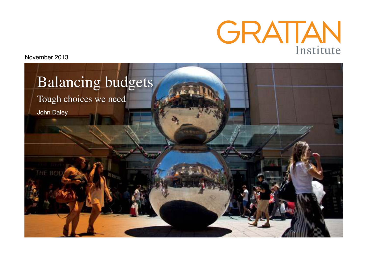

November 2013

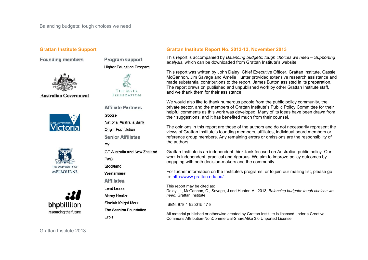**Founding members** 



**Australian Government** 







**Program support Higher Education Program** 



**Affiliate Partners** 

Google National Australia Bank

**Origin Foundation Senior Affiliates** 

 $FY$ 

GF Australia and New Zealand **PwC** 

Stockland

Wesfarmers

**Affiliates** 

Lend Lease

Mercy Health

Sinclair Knight Merz

The Scanlon Foundation

Urbis

#### **Grattan Institute Support Grattan Institute Report No. 2013-13, November 2013**

This report is accompanied by *Balancing budgets: tough choices we need – Supporting analysis*, which can be downloaded from Grattan Institute's website.

This report was written by John Daley, Chief Executive Officer, Grattan Institute. Cassie McGannon, Jim Savage and Amelie Hunter provided extensive research assistance and made substantial contributions to the report. James Button assisted in its preparation. The report draws on published and unpublished work by other Grattan Institute staff, and we thank them for their assistance.

We would also like to thank numerous people from the public policy community, the private sector, and the members of Grattan Institute's Public Policy Committee for their helpful comments as this work was developed. Many of its ideas have been drawn from their suggestions, and it has benefited much from their counsel.

The opinions in this report are those of the authors and do not necessarily represent the views of Grattan Institute's founding members, affiliates, individual board members or reference group members. Any remaining errors or omissions are the responsibility of the authors.

Grattan Institute is an independent think-tank focused on Australian public policy. Our work is independent, practical and rigorous. We aim to improve policy outcomes by engaging with both decision-makers and the community.

For further information on the Institute's programs, or to join our mailing list, please go to: http://www.grattan.edu.au/

This report may be cited as: Daley, J., McGannon, C., Savage, J and Hunter, A., 2013, *Balancing budgets: tough choices we need*, Grattan Institute

ISBN: 978-1-925015-47-8

All material published or otherwise created by Grattan Institute is licensed under a Creative Commons Attribution-NonCommercial-ShareAlike 3.0 Unported License

Grattan Institute 2013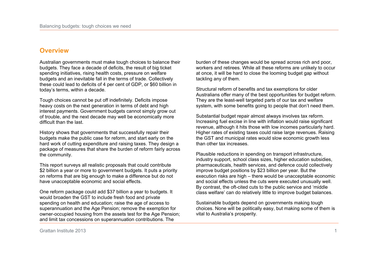### **Overview**

Australian governments must make tough choices to balance their budgets. They face a decade of deficits, the result of big ticket spending initiatives, rising health costs, pressure on welfare budgets and an inevitable fall in the terms of trade. Collectively these could lead to deficits of 4 per cent of GDP, or \$60 billion in today's terms, within a decade.

Tough choices cannot be put off indefinitely. Deficits impose heavy costs on the next generation in terms of debt and high interest payments. Government budgets cannot simply grow out of trouble, and the next decade may well be economically more difficult than the last.

History shows that governments that successfully repair their budgets make the public case for reform, and start early on the hard work of cutting expenditure and raising taxes. They design a package of measures that share the burden of reform fairly across the community.

This report surveys all realistic proposals that could contribute \$2 billion a year or more to government budgets. It puts a priority on reforms that are big enough to make a difference but do not have unacceptable economic and social effects.

One reform package could add \$37 billion a year to budgets. It would broaden the GST to include fresh food and private spending on health and education; raise the age of access to superannuation and the Age Pension; remove the exemption for owner-occupied housing from the assets test for the Age Pension; and limit tax concessions on superannuation contributions. The

burden of these changes would be spread across rich and poor, workers and retirees. While all these reforms are unlikely to occur at once, it will be hard to close the looming budget gap without tackling any of them.

Structural reform of benefits and tax exemptions for older Australians offer many of the best opportunities for budget reform. They are the least-well targeted parts of our tax and welfare system, with some benefits going to people that don't need them.

Substantial budget repair almost always involves tax reform. Increasing fuel excise in line with inflation would raise significant revenue, although it hits those with low incomes particularly hard. Higher rates of existing taxes could raise large revenues. Raising the GST and municipal rates would slow economic growth less than other tax increases.

Plausible reductions in spending on transport infrastructure, industry support, school class sizes, higher education subsidies, pharmaceuticals, health services, and defence could collectively improve budget positions by \$23 billion per year. But the execution risks are high – there would be unacceptable economic and social effects unless the cuts were executed unusually well. By contrast, the oft-cited cuts to the public service and 'middle class welfare' can do relatively little to improve budget balances.

Sustainable budgets depend on governments making tough choices. None will be politically easy, but making some of them is vital to Australia's prosperity.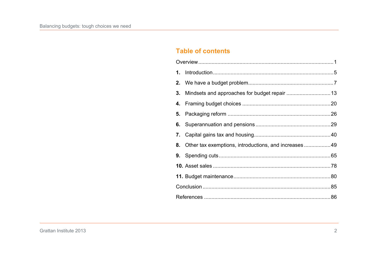# **Table of contents**

|  | 8. Other tax exemptions, introductions, and increases  49 |  |  |  |
|--|-----------------------------------------------------------|--|--|--|
|  |                                                           |  |  |  |
|  |                                                           |  |  |  |
|  |                                                           |  |  |  |
|  |                                                           |  |  |  |
|  |                                                           |  |  |  |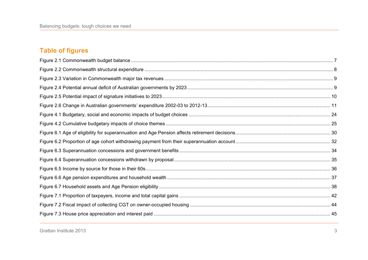# **Table of figures**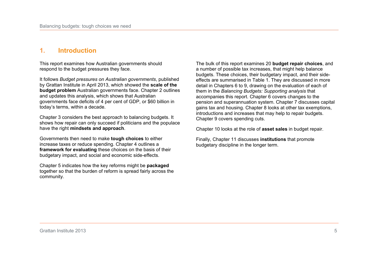# **1. Introduction**

This report examines how Australian governments should respond to the budget pressures they face.

It follows *Budget pressures on Australian governments*, published by Grattan Institute in April 2013, which showed the **scale of the budget problem** Australian governments face. Chapter 2 outlines and updates this analysis, which shows that Australian governments face deficits of 4 per cent of GDP, or \$60 billion in today's terms, within a decade.

Chapter 3 considers the best approach to balancing budgets. It shows how repair can only succeed if politicians and the populace have the right **mindsets and approach**.

Governments then need to make **tough choices** to either increase taxes or reduce spending. Chapter 4 outlines a **framework for evaluating** these choices on the basis of their budgetary impact, and social and economic side-effects.

Chapter 5 indicates how the key reforms might be **packaged** together so that the burden of reform is spread fairly across the community.

The bulk of this report examines 20 **budget repair choices**, and a number of possible tax increases, that might help balance budgets. These choices, their budgetary impact, and their sideeffects are summarised in Table 1. They are discussed in more detail in Chapters 6 to 9, drawing on the evaluation of each of them in the *Balancing Budgets: Supporting analysis* that accompanies this report. Chapter 6 covers changes to the pension and superannuation system. Chapter 7 discusses capital gains tax and housing. Chapter 8 looks at other tax exemptions, introductions and increases that may help to repair budgets. Chapter 9 covers spending cuts.

Chapter 10 looks at the role of **asset sales** in budget repair.

Finally, Chapter 11 discusses **institutions** that promote budgetary discipline in the longer term.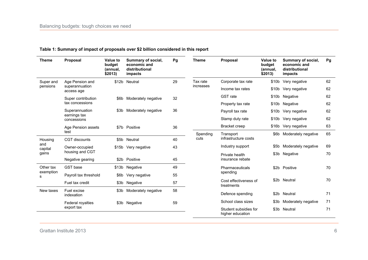| <b>Theme</b>   | <b>Proposal</b>                                 | <b>Value to</b><br>budget<br>(annual,<br>\$2013) | Summary of social,<br>economic and<br>distributional<br>impacts | Pg                  | Theme                 | Proposal                                  | Value to<br>budget<br>(annual,<br>\$2013) | Summary of social,<br>economic and<br>distributional<br>impacts | Pg       |    |
|----------------|-------------------------------------------------|--------------------------------------------------|-----------------------------------------------------------------|---------------------|-----------------------|-------------------------------------------|-------------------------------------------|-----------------------------------------------------------------|----------|----|
| Super and      | Age Pension and<br>superannuation<br>access age |                                                  | \$12b Neutral                                                   | 29                  | Tax rate<br>increases | Corporate tax rate                        |                                           | \$10b Very negative                                             | 62       |    |
| pensions       |                                                 |                                                  |                                                                 |                     |                       | Income tax rates                          |                                           | \$10b Very negative                                             | 62       |    |
|                | Super contribution<br>tax concessions           |                                                  | \$6b                                                            | Moderately negative | 32                    |                                           | <b>GST</b> rate                           | \$10b                                                           | Negative | 62 |
|                |                                                 |                                                  |                                                                 |                     |                       | Property tax rate                         |                                           | \$10b Negative                                                  | 62       |    |
|                | Superannuation<br>earnings tax<br>concessions   |                                                  | \$3b Moderately negative                                        | 36                  |                       | Payroll tax rate                          |                                           | \$10b Very negative                                             | 62       |    |
|                |                                                 |                                                  |                                                                 |                     |                       | Stamp duty rate                           |                                           | \$10b Very negative                                             | 62       |    |
|                | Age Pension assets<br>test                      |                                                  | \$7b Positive                                                   | 36                  |                       | Bracket creep                             |                                           | \$16b Very negative                                             | 63       |    |
|                |                                                 |                                                  |                                                                 |                     | Spending              | Transport                                 |                                           | \$6b Moderately negative                                        | 65       |    |
| Housing<br>and | <b>CGT</b> discounts                            |                                                  | \$5b Neutral                                                    | 40                  | cuts                  | infrastructure costs                      |                                           |                                                                 |          |    |
| capital        | Owner-occupied<br>housing and CGT               |                                                  | \$15b Very negative                                             | 43                  |                       | Industry support                          | \$5b                                      | Moderately negative                                             | 69       |    |
| gains          |                                                 |                                                  |                                                                 |                     |                       | Private health<br>insurance rebate        |                                           | \$3b Negative                                                   | 70       |    |
|                | Negative gearing                                |                                                  | \$2b Positive                                                   | 45                  |                       |                                           |                                           |                                                                 |          |    |
| Other tax      | GST base                                        |                                                  | \$13b Negative                                                  | 49                  |                       | Pharmaceuticals                           |                                           | \$2b Positive                                                   | 70       |    |
| exemption<br>s | Payroll tax threshold                           | \$6b                                             | Very negative                                                   | 55                  |                       | spending                                  |                                           |                                                                 |          |    |
|                | Fuel tax credit                                 |                                                  | \$3b Negative                                                   | 57                  |                       | Cost effectiveness of<br>treatments       |                                           | \$2b Neutral                                                    | 70       |    |
| New taxes      | Fuel excise<br>indexation                       |                                                  | \$3b Moderately negative                                        | 58                  |                       | Defence spending                          | \$2 <sub>b</sub>                          | Neutral                                                         | 71       |    |
|                | Federal royalties                               |                                                  | \$3b Negative                                                   | 59                  |                       | School class sizes                        | \$3 <sub>b</sub>                          | Moderately negative                                             | 71       |    |
|                | export tax                                      |                                                  |                                                                 |                     |                       | Student subsidies for<br>higher education | \$3b                                      | Neutral                                                         | 71       |    |

### **Table 1: Summary of impact of proposals over \$2 billion considered in this report**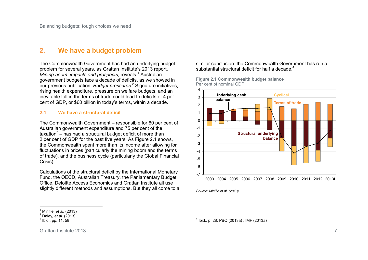### **2. We have a budget problem**

The Commonwealth Government has had an underlying budget problem for several years, as Grattan Institute's 2013 report, *Mining boom: impacts and prospects*, reveals*.* <sup>1</sup> Australian government budgets face a decade of deficits, as we showed in our previous publication, *Budget pressures*. 2 Signature initiatives, rising health expenditure, pressure on welfare budgets, and an inevitable fall in the terms of trade could lead to deficits of 4 per cent of GDP, or \$60 billion in today's terms, within a decade.

#### **2.1 We have a structural deficit**

The Commonwealth Government – responsible for 60 per cent of Australian government expenditure and 75 per cent of the taxation $3$  – has had a structural budget deficit of more than 2 per cent of GDP for the past five years. As Figure 2.1 shows, the Commonwealth spent more than its income after allowing for fluctuations in prices (particularly the mining boom and the terms of trade), and the business cycle (particularly the Global Financial Crisis).

Calculations of the structural deficit by the International Monetary Fund, the OECD, Australian Treasury, the Parliamentary Budget Office, Deloitte Access Economics and Grattan Institute all use slightly different methods and assumptions. But they all come to a similar conclusion: the Commonwealth Government has run a substantial structural deficit for half a decade. $4$ 

**Figure 2.1 Commonwealth budget balance** Per cent of nominal GDP



*Source: Minifie et al. (2013)* 

Grattan Institute 2013 7

 1 Minifie*, et al.* (2013)

<sup>2</sup> Daley*, et al.* (2013)

 $^3$  Ibid., pp. 11, 58

 4 Ibid., p. 28; PBO (2013a) ; IMF (2013a)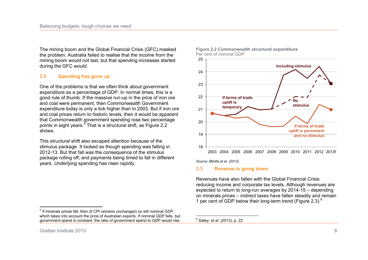The mining boom and the Global Financial Crisis (GFC) masked the problem. Australia failed to realise that the income from the mining boom would not last, but that spending increases started during the GFC *would*.

### **2.2 Spending has gone up**

One of the problems is that we often think about government expenditure as a percentage of GDP. In normal times, this is a good rule of thumb. If the massive run-up in the price of iron ore and coal were permanent, then Commonwealth Government expenditure today is only a tick higher than in 2003. But if iron ore and coal prices return to historic levels, then it would be apparent that Commonwealth government spending rose two percentage points in eight years.<sup>5</sup> That is a structural shift, as Figure 2.2 shows.

This structural shift also escaped attention because of the stimulus package. It looked as though spending was falling in 2012-13. But that fall was the consequence of the stimulus package rolling off, and payments being timed to fall in different years. *Underlying* spending has risen rapidly.

 5 If minerals prices fall, then (if CPI remains unchanged) so will nominal GDP, which takes into account the price of Australian exports. If nominal GDP falls, but government spend is constant, the ratio of government spend to GDP would rise.



#### **Figure 2.2 Commonwealth structural expenditure** Per cent of nominal GDP

*Source: Minifie et al. (2013)* 

#### **2.3 Revenue is going down**

Revenues have also fallen with the Global Financial Crisis reducing income and corporate tax levels. Although revenues are expected to return to long-run averages by 2014-15 – depending on minerals prices – indirect taxes have fallen steadily and remain 1 per cent of GDP below their long-term trend (Figure 2.3). $^6$ 

 6 Daley*, et al.* (2013), p. 22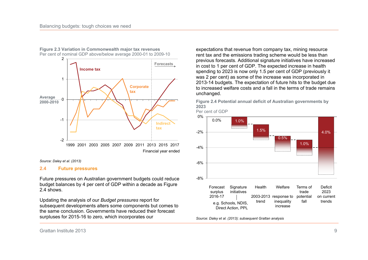

**Figure 2.3 Variation in Commonwealth major tax revenues** Per cent of nominal GDP above/below average 2000-01 to 2009-10

*Source: Daley et al. (2013)* 

#### **2.4 Future pressures**

Future pressures on Australian government budgets could reduce budget balances by 4 per cent of GDP within a decade as Figure 2.4 shows.

Updating the analysis of our *Budget pressures* report for subsequent developments alters some components but comes to the same conclusion. Governments have reduced their forecast surpluses for 2015-16 to zero, which incorporates our

expectations that revenue from company tax, mining resource rent tax and the emissions trading scheme would be less than previous forecasts. Additional signature initiatives have increased in cost to 1 per cent of GDP. The expected increase in health spending to 2023 is now only 1.5 per cent of GDP (previously it was 2 per cent) as some of the increase was incorporated in 2013-14 budgets. The expectation of future hits to the budget due to increased welfare costs and a fall in the terms of trade remains unchanged.

**Figure 2.4 Potential annual deficit of Australian governments by 2023**





*Source: Daley et al. (2013); subsequent Grattan analysis*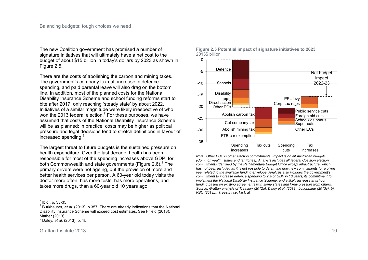The new Coalition government has promised a number of signature initiatives that will ultimately have a net cost to the budget of about \$15 billion in today's dollars by 2023 as shown in Figure 2.5.

There are the costs of abolishing the carbon and mining taxes. The government's company tax cut, increase in defence spending, and paid parental leave will also drag on the bottom line. In addition, most of the planned costs for the National Disability Insurance Scheme and school funding reforms start to bite after 2017, only reaching 'steady state' by about 2022. Initiatives of a similar magnitude were likely irrespective of who won the 2013 federal election.<sup>7</sup> For these purposes, we have assumed that costs of the National Disability Insurance Scheme will be as planned: in practice, costs may be higher as political pressure and legal decisions tend to stretch definitions in favour of increased spending.<sup>8</sup>

The largest threat to future budgets is the sustained pressure on health expenditure. Over the last decade, health has been responsible for most of the spending increases above GDP, for both Commonwealth and state governments (Figure 2.6).<sup>9</sup> The primary drivers were not ageing, but the provision of more and better health services per person. A 60-year old today visits the doctor more often, has more tests, has more operations, and takes more drugs, than a 60-year old 10 years ago.





*Note: 'Other ECs' is other election commitments. Impact is on all Australian budgets (Commonwealth, states and territories). Analysis includes all federal Coalition election commitments identified by the Parliamentary Budget Office except infrastructure, which*  has not been included as it is not possible to determine how new commitments for a given *year related to the available funding envelope. Analysis also includes the government's commitment to increase defence spending to 2% of GDP in 10 years, its commitment to implement the National Disability Insurance Scheme, and a likely increase in school funding based on existing agreements with some states and likely pressure from others. Source: Grattan analysis of Treasury (2012a); Daley et al. (2013); Loughnane (2013c); b); PBO (2013b); Treasury (2013c); a)* 

 $\frac{7}{1}$ lbid., p. 33-35

<sup>8</sup> Burkhauser*, et al.* (2013), p.357. There are already indications that the National Disability Insurance Scheme will exceed cost estimates. See Fifield (2013); Mather (2013)

<sup>9</sup> Daley*, et al.* (2013), p. 15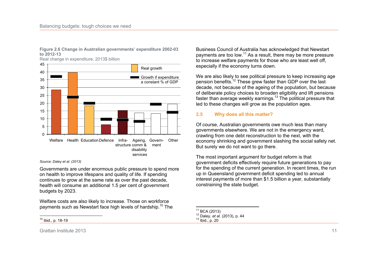

Real change in expenditure, 2013\$ billion



#### *Source: Daley et al. (2013)*

Governments are under enormous public pressure to spend more on health to improve lifespans and quality of life. If spending continues to grow at the same rate as over the past decade, health will consume an additional 1.5 per cent of government budgets by 2023.

Welfare costs are also likely to increase. Those on workforce payments such as Newstart face high levels of hardship.<sup>10</sup> The

 $\frac{1}{2}$ <sup>10</sup> Ibid., p. 18-19

Business Council of Australia has acknowledged that Newstart payments are too low.<sup>11</sup> As a result, there may be more pressure to increase welfare payments for those who are least well off, especially if the economy turns down.

We are also likely to see political pressure to keep increasing age pension benefits.<sup>12</sup> These grew faster than GDP over the last decade, not because of the ageing of the population, but because of deliberate policy choices to broaden eligibility and lift pensions faster than average weekly earnings.<sup>13</sup> The political pressure that led to these changes will grow as the population ages.

#### **2.5 Why does all this matter?**

Of course, Australian governments owe much less than many governments elsewhere. We are not in the emergency ward, crawling from one debt reconstruction to the next, with the economy shrinking and government slashing the social safety net. But surely we do not want to go there.

The most important argument for budget reform is that government deficits effectively require future generations to pay for the spending of the current generation. In recent times, the run up in Queensland government deficit spending led to annual interest payments of more than \$1.5 billion a year, substantially constraining the state budget.

 $\overline{a}$  $^{11}_{12}$  BCA (2013)

<sup>12</sup> Daley*, et al.* (2013), p. 44

 $13$  Ibid., p. 20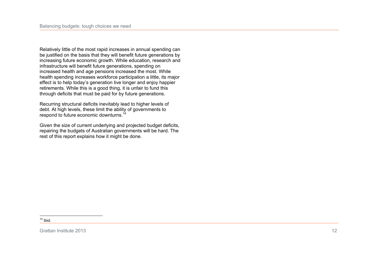Relatively little of the most rapid increases in annual spending can be justified on the basis that they will benefit future generations by increasing future economic growth. While education, research and infrastructure will benefit future generations, spending on increased health and age pensions increased the most. While health spending increases workforce participation a little, its major effect is to help today's generation live longer and enjoy happier retirements. While this is a good thing, it is unfair to fund this through deficits that must be paid for by future generations.

Recurring structural deficits inevitably lead to higher levels of debt. At high levels, these limit the ability of governments to respond to future economic downturns.<sup>14</sup>

Given the size of current underlying and projected budget deficits, repairing the budgets of Australian governments will be hard. The rest of this report explains how it might be done.

 $\frac{1}{2}$  $14$  Ibid.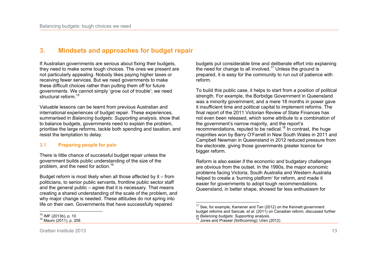## **3. Mindsets and approaches for budget repair**

If Australian governments are serious about fixing their budgets, they need to make some tough choices. The ones we present are not particularly appealing. Nobody likes paying higher taxes or receiving fewer services. But we need governments to make these difficult choices rather than putting them off for future governments. We cannot simply 'grow out of trouble'; we need structural reform.<sup>15</sup>

Valuable lessons can be learnt from previous Australian and international experiences of budget repair. These experiences, summarised in *Balancing budgets: Supporting analysis,* show that to balance budgets, governments need to explain the problem, prioritise the large reforms, tackle both spending and taxation, and resist the temptation to delay.

#### **3.1 Preparing people for pain**

There is little chance of successful budget repair unless the government builds public understanding of the size of the problem, and the need for action.<sup>16</sup>

Budget reform is most likely when all those affected by it – from politicians, to senior public servants, frontline public sector staff and the general public – agree that it is necessary. That means creating a shared understanding of the scale of the problem, and why major change is needed. These attitudes do not spring into life on their own. Governments that have successfully repaired

budgets put considerable time and deliberate effort into explaining the need for change to all involved.<sup>17</sup> Unless the ground is prepared, it is easy for the community to run out of patience with reform.

To build this public case, it helps to start from a position of political strength. For example, the Borbidge Government in Queensland was a minority government, and a mere 18 months in power gave it insufficient time and political capital to implement reforms. The final report of the 2011 Victorian Review of State Finances has not even been released, which some attribute to a combination of the government's narrow majority, and the report's recommendations, reputed to be radical.<sup>18</sup> In contrast, the huge majorities won by Barry O'Farrell in New South Wales in 2011 and Campbell Newman in Queensland in 2012 reduced pressure from the electorate, giving those governments greater licence for bigger reform.

Reform is also easier if the economic and budgetary challenges are obvious from the outset. In the 1990s, the major economic problems facing Victoria, South Australia and Western Australia helped to create a 'burning platform' for reform, and made it easier for governments to adopt tough recommendations. Queensland, in better shape, showed far less enthusiasm for

 $\frac{1}{1}$ <sup>15</sup> IMF (2013b), p. 10

<sup>16</sup> Mauro (2011), p. 258

 $\overline{\phantom{a}}$  $17$  See, for example, Kamener and Tan (2012) on the Kennett government budget reforms and Sancak*, et al.* (2011) on Canadian reform, discussed further in *Balancing budgets: Supporting analysis.*

<sup>18</sup> Jones and Prasser (forthcoming); Uren (2012)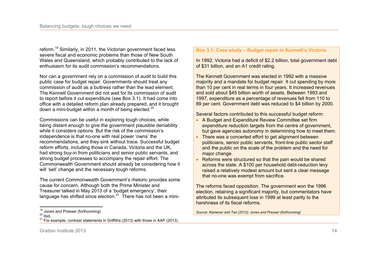reform.<sup>19</sup> Similarly, in 2011, the Victorian government faced less severe fiscal and economic problems than those of New South Wales and Queensland, which probably contributed to the lack of enthusiasm for its audit commission's recommendations.

Nor can a government rely on a commission of audit to build this public case for budget repair. Governments should treat any commission of audit as a buttress rather than the lead element. The Kennett Government did not wait for its commission of audit to report before it cut expenditure (see Box 3.1). It had come into office with a detailed reform plan already prepared, and it brought down a mini-budget within a month of being elected.<sup>20</sup>

Commissions can be useful in exploring tough choices, while being distant enough to give the government plausible deniability while it considers options. But the risk of the commission's independence is that no-one with real power 'owns' the recommendations, and they sink without trace. Successful budget reform efforts, including those in Canada, Victoria and the UK, had strong buy-in from politicians and senior public servants, and strong budget processes to accompany the repair effort. The Commonwealth Government should already be considering how it will 'sell' change and the necessary tough reforms.

The current Commonwealth Government's rhetoric provides some cause for concern. Although both the Prime Minister and Treasurer talked in May 2013 of a 'budget emergency', their language has shifted since election.<sup>21</sup> There has not been a mini-

### **Box 3.1: Case study – Budget repair in Kennett's Victoria**

In 1992, Victoria had a deficit of \$2.2 billion, total government debt of \$31 billion, and an A1 credit rating.

The Kennett Government was elected in 1992 with a massive majority and a mandate for budget repair. It cut spending by more than 10 per cent in real terms in four years. It increased revenues and sold about \$45 billion worth of assets. Between 1993 and 1997, expenditure as a percentage of revenues fell from 110 to 89 per cent. Government debt was reduced to \$4 billion by 2000.

Several factors contributed to this successful budget reform:

- A Budget and Expenditure Review Committee set firm expenditure reduction targets from the centre of government, but gave agencies autonomy in determining how to meet them.
- There was a concerted effort to get alignment between politicians, senior public servants, front-line public sector staff and the public on the scale of the problem and the need for major change.
- Reforms were structured so that the pain would be shared across the state. A \$100 per household debt-reduction levy raised a relatively modest amount but sent a clear message that no-one was exempt from sacrifice.

The reforms faced opposition. The government won the 1996 election, retaining a significant majority, but commentators have attributed its subsequent loss in 1999 at least partly to the harshness of its fiscal reforms.

*Source: Kamener and Tan (2012); Jones and Prasser (forthcoming)* 

Grattan Institute 2013 **14** 

 $\frac{1}{2}$  $\frac{19}{10}$  Jones and Prasser (forthcoming)

 $^{20}$  Ibid.

 $21$  For example, contrast statements in Griffiths (2013) with those in AAP (2013)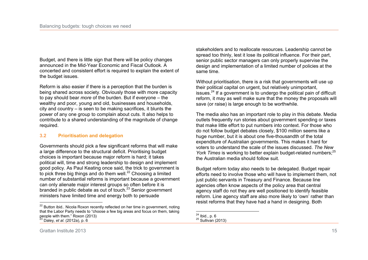Budget, and there is little sign that there will be policy changes announced in the Mid-Year Economic and Fiscal Outlook. A concerted and consistent effort is required to explain the extent of the budget issues.

Reform is also easier if there is a perception that the burden is being shared across society. Obviously those with more capacity to pay should bear *more* of the burden. But if everyone – the wealthy and poor, young and old, businesses and households, city and country – is seen to be making sacrifices, it blunts the power of any one group to complain about cuts. It also helps to contribute to a shared understanding of the magnitude of change required.

### **3.2 Prioritisation and delegation**

Governments should pick a few significant reforms that will make a large difference to the structural deficit. Prioritising budget choices is important because major reform is hard; it takes political will, time and strong leadership to design and implement good policy. As Paul Keating once said, the trick to government is to pick three big things and do them well.<sup>22</sup> Choosing a limited number of substantial reforms is important because a government can only alienate major interest groups so often before it is branded in public debate as out of touch.<sup>23</sup> Senior government ministers have limited time and energy both to persuade

stakeholders and to reallocate resources. Leadership cannot be spread too thinly, lest it lose its political influence. For their part, senior public sector managers can only properly supervise the design and implementation of a limited number of policies at the same time.

Without prioritisation, there is a risk that governments will use up their political capital on urgent, but relatively unimportant, issues.<sup>24</sup> If a government is to undergo the political pain of difficult reform, it may as well make sure that the money the proposals will save (or raise) is large enough to be worthwhile.

The media also has an important role to play in this debate. Media outlets frequently run stories about government spending or taxes that make little effort to put numbers into context. For those who do not follow budget debates closely, \$100 million seems like a huge number, but it is about one five-thousandth of the total expenditure of Australian governments. This makes it hard for voters to understand the scale of the issues discussed. *The New York Times* is working to better explain budget-related numbers:<sup>25</sup> the Australian media should follow suit.

Budget reform today also needs to be delegated. Budget repair efforts need to involve those who will have to implement them, not just public servants in Treasury and Finance. Because line agencies often know aspects of the policy area that central agency staff do not they are well positioned to identify feasible reform. Line agency staff are also more likely to 'own' rather than resist reforms that they have had a hand in designing. Both

 $\overline{a}$  $22$  Button ibid.. Nicola Roxon recently reflected on her time in government, noting that the Labor Party needs to "choose a few big areas and focus on them, taking people with them." Roxon (2013) <sup>23</sup> Daley*, et al.* (2012a), p. 6

 $\overline{a}$  $^{24}$  Ibid., p. 6

 $25$  Sullivan (2013)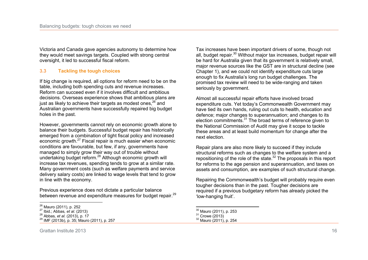Victoria and Canada gave agencies autonomy to determine how they would meet savings targets. Coupled with strong central oversight, it led to successful fiscal reform.

#### **3.3 Tackling the tough choices**

If big change is required, all options for reform need to be on the table, including both spending cuts and revenue increases. Reform can succeed even if it involves difficult and ambitious decisions. Overseas experience shows that ambitious plans are just as likely to achieve their targets as modest ones,  $26$  and Australian governments have successfully repaired big budget holes in the past.

However, governments cannot rely on economic growth alone to balance their budgets. Successful budget repair has historically emerged from a combination of tight fiscal policy and increased economic growth.<sup>27</sup> Fiscal repair is much easier when economic conditions are favourable, but few, if any, governments have managed to simply grow their way out of trouble without undertaking budget reform.<sup>28</sup> Although economic growth will increase tax revenues, spending tends to grow at a similar rate. Many government costs (such as welfare payments and service delivery salary costs) are linked to wage levels that tend to grow in line with the economy.

Previous experience does not dictate a particular balance between revenue and expenditure measures for budget repair.<sup>29</sup>

Tax increases have been important drivers of some, though not all, budget repair.<sup>30</sup> Without major tax increases, budget repair will be hard for Australia given that its government is relatively small, major revenue sources like the GST are in structural decline (see Chapter 1), and we could not identify expenditure cuts large enough to fix Australia's long run budget challenges. The promised tax review will need to be wide-ranging and taken seriously by government.

Almost all successful repair efforts have involved broad expenditure cuts. Yet today's Commonwealth Government may have tied its own hands, ruling out cuts to health, education and defence; major changes to superannuation; and changes to its election commitments.<sup>31</sup> The broad terms of reference given to the National Commission of Audit may give it scope to tackle these areas and at least build momentum for change after the next election.

Repair plans are also more likely to succeed if they include structural reforms such as changes to the welfare system and a repositioning of the role of the state. $32$  The proposals in this report for reforms to the age pension and superannuation, and taxes on assets and consumption, are examples of such structural change.

Repairing the Commonwealth's budget will probably require even tougher decisions than in the past. Tougher decisions are required if a previous budgetary reform has already picked the 'low-hanging fruit'.

 $\overline{a}$ <sup>26</sup> Mauro (2011), p. 252

<sup>27</sup> Ibid.; Abbas*, et al.* (2013)

<sup>28</sup> Abbas*, et al.* (2013), p. 17

<sup>29</sup> IMF (2013b), p. 35; Mauro (2011), p. 257

 $\overline{a}$  $\frac{30}{10}$  Mauro (2011), p. 253

 $31$  Crowe (2013)

<sup>32</sup> Mauro (2011), p. 254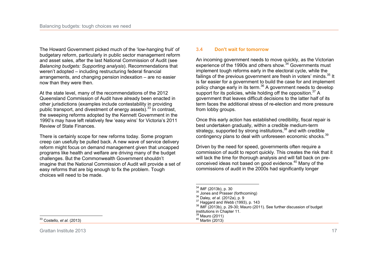The Howard Government picked much of the 'low-hanging fruit' of budgetary reform, particularly in public sector management reform and asset sales, after the last National Commission of Audit (see *Balancing budgets: Supporting analysis*). Recommendations that weren't adopted – including restructuring federal financial arrangements, and changing pension indexation – are no easier now than they were then.

At the state level, many of the recommendations of the 2012 Queensland Commission of Audit have already been enacted in other jurisdictions (examples include contestability in providing public transport, and divestment of energy assets).<sup>33</sup> In contrast, the sweeping reforms adopted by the Kennett Government in the 1990's may have left relatively few 'easy wins' for Victoria's 2011 Review of State Finances.

There is certainly scope for new reforms today. Some program creep can usefully be pulled back. A new wave of service delivery reform might focus on demand management given that uncapped programs like health and welfare are driving many of the budget challenges. But the Commonwealth Government shouldn't imagine that the National Commission of Audit will provide a set of easy reforms that are big enough to fix the problem. Tough choices will need to be made.

#### **3.4 Don't wait for tomorrow**

An incoming government needs to move quickly, as the Victorian experience of the 1990s and others show.<sup>34</sup> Governments must implement tough reforms early in the electoral cycle, while the failings of the previous government are fresh in voters' minds.<sup>35</sup> It is far easier for a government to build the case for and implement policy change early in its term.<sup>36</sup> A government needs to develop support for its policies, while holding off the opposition.<sup>37</sup> A government that leaves difficult decisions to the latter half of its term faces the additional stress of re-election and more pressure from lobby groups.

Once this early action has established credibility, fiscal repair is best undertaken gradually, within a credible medium-term strategy, supported by strong institutions,<sup>38</sup> and with credible contingency plans to deal with unforeseen economic shocks.<sup>39</sup>

Driven by the need for speed, governments often require a commission of audit to report quickly. This creates the risk that it will lack the time for thorough analysis and will fall back on preconceived ideas not based on good evidence.<sup>40</sup> Many of the commissions of audit in the 2000s had significantly longer

 $\frac{1}{2}$ <sup>33</sup> Costello*, et al.* (2013)

Grattan Institute 2013 **17** and 2013

 $\overline{a}$  $^{34}_{\sim}$  IMF (2013b), p. 30

 $35$  Jones and Prasser (forthcoming)

<sup>36</sup> Daley*, et al.* (2012a), p. 9

 $37$  Haggard and Webb (1993), p. 143

<sup>&</sup>lt;sup>38</sup> IMF (2013b), p. 29-30; Mauro (2011). See further discussion of budget

institutions in Chapter 11.

<sup>39</sup> Mauro (2011)  $40$  Martin (2013)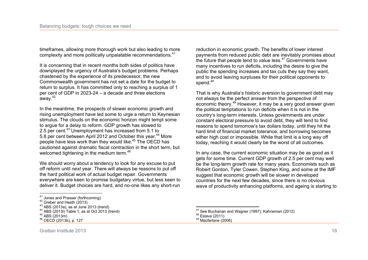timeframes, allowing more thorough work but also leading to more complexity and more politically unpalatable recommendations.<sup>41</sup>

It is concerning that in recent months both sides of politics have downplayed the urgency of Australia's budget problems. Perhaps chastened by the experience of its predecessor, the new Commonwealth government has not set a date for the budget to return to surplus. It has committed only to reaching a surplus of 1 per cent of GDP in 2023-24 – a decade and three elections away.<sup>42</sup>

In the meantime, the prospects of slower economic growth and rising unemployment have led some to urge a return to Keynesian stimulus. The clouds on the economic horizon might tempt some to argue for a delay to reform. GDP growth has slowed to 2.5 per cent.<sup>43</sup> Unemployment has increased from 5.1 to 5.8 per cent between April 2012 and October this year.<sup>44</sup> More people have less work than they would like.<sup>45</sup> The OECD has cautioned against dramatic fiscal contraction in the short term, but welcomed tightening in the medium term.<sup>46</sup>

We should worry about a tendency to look for any excuse to put off reform until *next* year. There will always be reasons to put off the hard political work of actual budget repair. Governments everywhere are keen to promise budgetary virtue, but less keen to deliver it. Budget choices are hard, and no-one likes any short-run

<sup>44</sup> ABS (2013l) Table 1, as at Oct 2013 (trend)

 $\overline{a}$ 

reduction in economic growth. The benefits of lower interest payments from reduced public debt are inevitably promises about the future that people tend to value less. $47$  Governments have many incentives to run deficits, including the desire to give the public the spending increases and tax cuts they say they want, and to avoid leaving surpluses for their political opponents to spend.<sup>48</sup>

That is why Australia's historic aversion to government debt may not always be the perfect answer from the perspective of economic theory.<sup>49</sup> However, it may be a very good answer given the political temptations to run deficits when it is not in the country's long-term interests. Unless governments are under constant electoral pressure to avoid debt, they will tend to find reasons to spend tomorrow's tax dollars today, until they hit the hard limit of financial market tolerance, and borrowing becomes either high cost or impossible. While that limit is a long way off today, reaching it would clearly be the worst of all outcomes.

In any case, the current economic situation may be as good as it gets for some time. Current GDP growth of 2.5 per cent may well be the long-term growth rate for many years. Economists such as Robert Gordon, Tyler Cowen, Stephen King, and some at the IMF suggest that economic growth will be slower in developed countries for the next few decades, since there is no obvious wave of productivity enhancing platforms, and ageing is starting to

 $41$  Jones and Prasser (forthcoming)

<sup>&</sup>lt;sup>42</sup> Greber and Heath (2013)

<sup>43</sup> ABS (2013a), as at June 2013 (trend)

 $45$  ABS (2013m)

OECD (2013b), p. 127

 $\overline{a}$ see Buchanan and Wagner (1997): Kahneman (2012)

<sup>48</sup> Eslava (2011)

<sup>49</sup> Macfarlane (2006)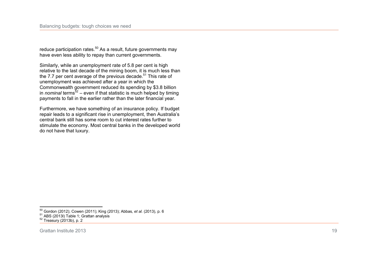reduce participation rates. $50$  As a result, future governments may have even less ability to repay than current governments.

Similarly, while an unemployment rate of 5.8 per cent is high relative to the last decade of the mining boom, it is much less than the 7.7 per cent average of the previous decade.<sup>51</sup> This rate of unemployment was achieved after a year in which the Commonwealth government reduced its spending by \$3.8 billion in *nominal* terms<sup>52</sup> – even if that statistic is much helped by timing payments to fall in the earlier rather than the later financial year.

Furthermore, we have something of an insurance policy. If budget repair leads to a significant rise in unemployment, then Australia's central bank still has some room to cut interest rates further to stimulate the economy. Most central banks in the developed world do not have that luxury.

 $\overline{a}$ 

<sup>50</sup> Gordon (2012); Cowen (2011); King (2013); Abbas*, et al.* (2013), p. 6

<sup>&</sup>lt;sup>51</sup> ABS (2013I) Table 1; Grattan analysis

 $52$  Treasury (2013b), p. 2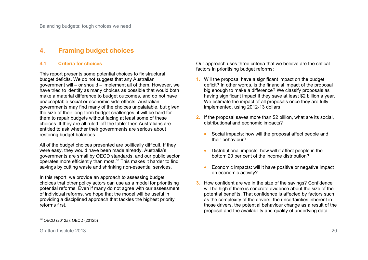# **4. Framing budget choices**

### **4.1 Criteria for choices**

This report presents some potential choices to fix structural budget deficits. We do not suggest that any Australian government will – or should – implement all of them. However, we have tried to identify as many choices as possible that would both make a material difference to budget outcomes, and do not have unacceptable social or economic side-effects. Australian governments may find many of the choices unpalatable, but given the size of their long-term budget challenges, it will be hard for them to repair budgets without facing at least some of these choices. If they are all ruled 'off the table' then Australians are entitled to ask whether their governments are serious about restoring budget balances.

All of the budget choices presented are politically difficult. If they were easy, they would have been made already. Australia's governments are small by OECD standards, and our public sector operates more efficiently than most.<sup>53</sup> This makes it harder to find savings by cutting waste and shrinking non-essential services.

In this report, we provide an approach to assessing budget choices that other policy actors can use as a model for prioritising potential reforms. Even if many do not agree with our assessment of individual reforms, we hope that the model will be useful in providing a disciplined approach that tackles the highest priority reforms first.

Our approach uses three criteria that we believe are the critical factors in prioritising budget reforms:

- **1.** Will the proposal have a significant impact on the budget deficit? In other words, is the financial impact of the proposal big enough to make a difference? We classify proposals as having significant impact if they save at least \$2 billion a year. We estimate the impact of all proposals once they are fully implemented, using 2012-13 dollars.
- **2.** If the proposal saves more than \$2 billion, what are its social, distributional and economic impacts?
	- Social impacts: how will the proposal affect people and their behaviour?
	- Distributional impacts: how will it affect people in the bottom 20 per cent of the income distribution?
	- Economic impacts: will it have positive or negative impact on economic activity?
- **3.** How confident are we in the size of the savings? Confidence will be high if there is concrete evidence about the size of the potential benefits. That confidence is affected by factors such as the complexity of the drivers, the uncertainties inherent in those drivers, the potential behaviour change as a result of the proposal and the availability and quality of underlying data.

 $\overline{a}$ <sup>53</sup> OECD (2012a); OECD (2012b)

Grattan Institute 2013 20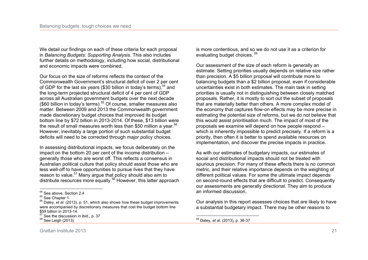We detail our findings on each of these criteria for each proposal in *Balancing Budgets: Supporting Analysis*. This also includes further details on methodology, including how social, distributional and economic impacts were combined.

Our focus on the size of reforms reflects the context of the Commonwealth Government's structural deficit of over 2 per cent of GDP for the last six years (\$30 billion in today's terms),  $54$  and the long-term projected structural deficit of 4 per cent of GDP across all Australian government budgets over the next decade (\$60 billion in today's terms).<sup>55</sup> Of course, smaller measures also matter. Between 2009 and 2013 the Commonwealth government made discretionary budget choices that improved its budget bottom line by \$72 billion in 2013-2014. Of these, \$13 billion were the result of small measures worth less than \$50 million a year.<sup>56</sup> However, inevitably a large portion of such substantial budget deficits will need to be corrected through major policy choices.

In assessing distributional impacts, we focus deliberately on the impact on the bottom 20 per cent of the income distribution – generally those who are worst off. This reflects a consensus in Australian political culture that policy should assist those who are less well-off to have opportunities to pursue lives that they have reason to value.<sup>57</sup> Many argue that policy should also aim to distribute resources more equally.<sup>58</sup> However, this latter approach

is more contentious, and so we do not use it as a criterion for evaluating budget choices.<sup>59</sup>

Our assessment of the size of each reform is generally an estimate. Setting priorities usually depends on relative size rather than precision. A \$5 billion proposal will contribute more to balancing budgets than a \$2 billion proposal, even if considerable uncertainties exist in both estimates. The main task in setting priorities is usually not in distinguishing between closely matched proposals. Rather, it is mostly to sort out the subset of proposals that are materially better than others. A more complex model of the economy that captures flow-on effects may be more precise in estimating the potential size of reforms, but we do not believe that this would assist prioritisation much. The impact of most of the proposals we examine will depend on how people respond – which is inherently impossible to predict precisely. If a reform is a priority, then often it is better to spend available resources on implementation, and discover the precise impacts in practice.

As with our estimates of budgetary impacts, our estimates of social and distributional impacts should not be treated with spurious precision. For many of these effects there is no common metric, and their relative importance depends on the weighting of different political values. For some the ultimate impact depends on second-round effects that are difficult to predict. Consequently our assessments are generally directional. They aim to produce an informed discussion.

Our analysis in this report assesses choices that are likely to have a substantial budgetary impact. There may be other reasons to

 $\frac{1}{2}$  $^{54}_{2}$  See above, Section 2.4

 $55$  See Chapter 1.

<sup>56</sup> Daley*, et al.* (2013), p. 51, which also shows how these budget improvements were accompanied by discretionary measures that cost the budget bottom line \$59 billion in 2013-14.

See the discussion in ibid., p. 37

<sup>58</sup> See Leigh (2013)

 $\overline{a}$ <sup>59</sup> Daley*, et al.* (2013), p. 36-37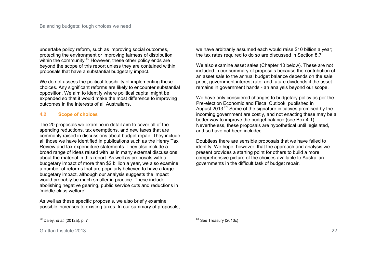undertake policy reform, such as improving social outcomes, protecting the environment or improving fairness of distribution within the community.<sup>60</sup> However, these other policy ends are beyond the scope of this report unless they are contained within proposals that have a substantial budgetary impact.

We do not assess the political feasibility of implementing these choices. Any significant reforms are likely to encounter substantial opposition. We aim to identify where political capital might be expended so that it would make the most difference to improving outcomes in the interests of all Australians.

#### **4.2 Scope of choices**

The 20 proposals we examine in detail aim to cover all of the spending reductions, tax exemptions, and new taxes that are commonly raised in discussions about budget repair. They include all those we have identified in publications such as the Henry Tax Review and tax expenditure statements. They also include a broad range of ideas raised with us in many external discussions about the material in this report. As well as proposals with a budgetary impact of more than \$2 billion a year, we also examine a number of reforms that are popularly believed to have a large budgetary impact, although our analysis suggests the impact would probably be much smaller in practice. These include abolishing negative gearing, public service cuts and reductions in 'middle-class welfare'.

As well as these specific proposals, we also briefly examine possible increases to existing taxes. In our summary of proposals, we have arbitrarily assumed each would raise \$10 billion a year; the tax rates required to do so are discussed in Section 8.7.

We also examine asset sales (Chapter 10 below). These are not included in our summary of proposals because the contribution of an asset sale to the annual budget balance depends on the sale price, government interest rate, and future dividends if the asset remains in government hands - an analysis beyond our scope.

We have only considered changes to budgetary policy as per the Pre-election Economic and Fiscal Outlook, published in August  $2013$ <sup>61</sup> Some of the signature initiatives promised by the incoming government are costly, and not enacting these may be a better way to improve the budget balance (see Box 4.1). Nevertheless, these proposals are hypothetical until legislated, and so have not been included.

Doubtless there are sensible proposals that we have failed to identify. We hope, however, that the approach and analysis we present provides a starting point for others to build a more comprehensive picture of the choices available to Australian governments in the difficult task of budget repair.

<sup>60</sup> Daley*, et al.* (2012a), p. 7

 $\overline{a}$ <sup>61</sup> See Treasury (2013c)

Grattan Institute 2013 22

 $\frac{1}{2}$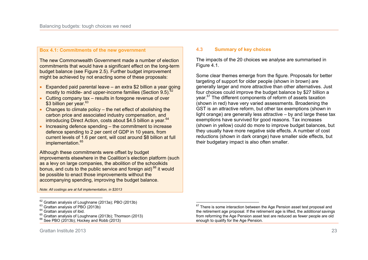#### **Box 4.1: Commitments of the new government**

The new Commonwealth Government made a number of election commitments that would have a significant effect on the long-term budget balance (see Figure 2.5). Further budget improvement might be achieved by not enacting some of these proposals:

- Expanded paid parental leave an extra \$2 billion a year going mostly to middle- and upper-income families (Section 9.5).<sup>62</sup>
- $\bullet$  Cutting company tax results in foregone revenue of over \$3 billion per year.<sup>63</sup>
- $\bullet$  Changes to climate policy the net effect of abolishing the carbon price and associated industry compensation, and introducing Direct Action, costs about \$4.5 billion a year. $64$
- $\bullet$  Increasing defence spending  $-$  the commitment to increase defence spending to 2 per cent of GDP in 10 years, from current levels of 1.6 per cent, will cost around \$8 billion at full implementation.<sup>65</sup>

Although these commitments were offset by budget improvements elsewhere in the Coalition's election platform (such as a levy on large companies, the abolition of the schoolkids bonus, and cuts to the public service and foreign aid) $66$  it would be possible to enact those improvements without the accompanying spending, improving the budget balance.

*Note: All costings are at full implementation, in \$2013* 

 $\frac{1}{2}$ 

#### **4.3 Summary of key choices**

The impacts of the 20 choices we analyse are summarised in Figure 4.1.

Some clear themes emerge from the figure. Proposals for better targeting of support for older people (shown in brown) are generally larger and more attractive than other alternatives. Just four choices could improve the budget balance by \$27 billion a year.<sup>67</sup> The different components of reform of assets taxation (shown in red) have very varied assessments. Broadening the GST is an attractive reform, but other tax exemptions (shown in light orange) are generally less attractive – by and large these tax exemptions have survived for good reasons. Tax increases (shown in yellow) could do more to improve budget balances, but they usually have more negative side effects. A number of cost reductions (shown in dark orange) have smaller side effects, but their budgetary impact is also often smaller.

 $\frac{62}{1}$  Grattan analysis of Loughnane (2013a); PBO (2013b)

<sup>&</sup>lt;sup>63</sup> Grattan analysis of PBO (2013b)

<sup>&</sup>lt;sup>64</sup> Grattan analysis of ibid.

<sup>&</sup>lt;sup>65</sup> Grattan analysis of Loughnane (2013b); Thomson (2013)

 $66$  See PBO (2013b); Hockey and Robb (2013)

 $\overline{a}$  $67$  There is some interaction between the Age Pension asset test proposal and the retirement age proposal. If the retirement age is lifted, the *additional* savings from reforming the Age Pension asset test are reduced as fewer people are old enough to qualify for the Age Pension.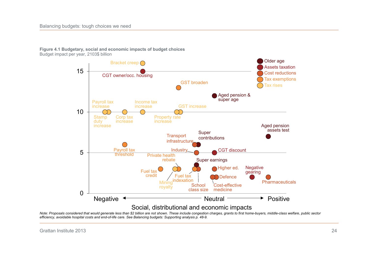

**Figure 4.1 Budgetary, social and economic impacts of budget choices**  Budget impact per year, 2103\$ billion

*Note: Proposals considered that would generate less than \$2 billion are not shown. These include congestion charges, grants to first home-buyers, middle-class welfare, public sector efficiency, avoidable hospital costs and end-of-life care. See Balancing budgets: Supporting analysis p. 48-9.*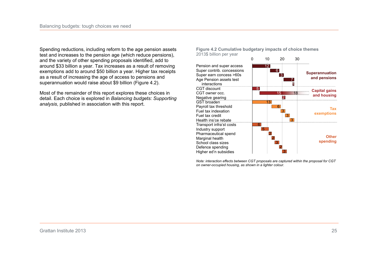Spending reductions, including reform to the age pension assets test and increases to the pension age (which reduce pensions), and the variety of other spending proposals identified, add to around \$33 billion a year. Tax increases as a result of removing exemptions add to around \$50 billion a year. Higher tax receipts as a result of increasing the age of access to pensions and superannuation would raise about \$9 billion (Figure 4.2).

Most of the remainder of this report explores these choices in detail. Each choice is explored in *Balancing budgets: Supporting analysis*, published in association with this report.

**Figure 4.2 Cumulative budgetary impacts of choice themes**  2013\$ billion per year



*Note: interaction effects between CGT proposals are captured within the proposal for CGT on owner-occupied housing, as shown in a lighter colour.*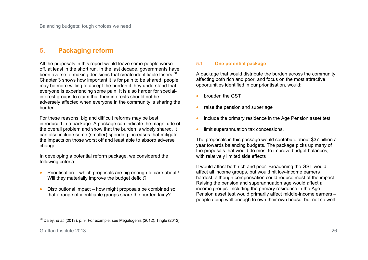# **5. Packaging reform**

All the proposals in this report would leave some people worse off, at least in the short run. In the last decade, governments have been averse to making decisions that create identifiable losers.<sup>68</sup> Chapter 3 shows how important it is for pain to be shared: people may be more willing to accept the burden if they understand that everyone is experiencing some pain. It is also harder for specialinterest groups to claim that their interests should not be adversely affected when everyone in the community is sharing the burden.

For these reasons, big and difficult reforms may be best introduced in a package. A package can indicate the magnitude of the overall problem and show that the burden is widely shared. It can also include some (smaller) spending increases that mitigate the impacts on those worst off and least able to absorb adverse change

In developing a potential reform package, we considered the following criteria:

- $\bullet$  Prioritisation which proposals are big enough to care about? Will they materially improve the budget deficit?
- Distributional impact how might proposals be combined so that a range of identifiable groups share the burden fairly?

#### **5.1 One potential package**

A package that would distribute the burden across the community, affecting both rich and poor, and focus on the most attractive opportunities identified in our prioritisation, would:

- broaden the GST
- $\bullet$  raise the pension and super age
- $\bullet$  include the primary residence in the Age Pension asset test
- limit superannuation tax concessions.

The proposals in this package would contribute about \$37 billion a year towards balancing budgets. The package picks up many of the proposals that would do most to improve budget balances, with relatively limited side effects

It would affect both rich and poor. Broadening the GST would affect all income groups, but would hit low-income earners hardest, although compensation could reduce most of the impact. Raising the pension and superannuation age would affect all income groups. Including the primary residence in the Age Pension asset test would primarily affect middle-income earners – people doing well enough to own their own house, but not so well

Grattan Institute 2013 26

 $\frac{1}{2}$ <sup>68</sup> Daley*, et al.* (2013), p. 9. For example, see Megalogenis (2012); Tingle (2012)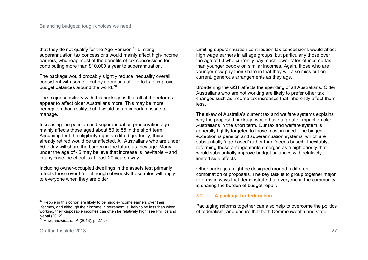that they do not qualify for the Age Pension.<sup>69</sup> Limiting superannuation tax concessions would mainly affect high-income earners, who reap most of the benefits of tax concessions for contributing more than \$10,000 a year to superannuation.

The package would probably slightly reduce inequality overall. consistent with some – but by no means all – efforts to improve budget balances around the world.<sup>70</sup>

The major sensitivity with this package is that all of the reforms appear to affect older Australians more. This may be more perception than reality, but it would be an important issue to manage.

Increasing the pension and superannuation preservation age mainly affects those aged about 50 to 55 in the short term. Assuming that the eligibility ages are lifted gradually, those already retired would be unaffected. All Australians who are under 50 today will share the burden in the future as they age. Many under the age of 45 may believe that increase is inevitable – and in any case the effect is at least 20 years away.

Including owner-occupied dwellings in the assets test primarily affects those over 65 – although obviously these rules will apply to everyone when they are older.

Limiting superannuation contribution tax concessions would affect high wage earners in all age groups, but particularly those over the age of 60 who currently pay much lower rates of income tax than younger people on similar incomes. Again, those who are younger now pay their share in that they will also miss out on current, generous arrangements as they age.

Broadening the GST affects the spending of all Australians. Older Australians who are not working are likely to prefer other tax changes such as income tax increases that inherently affect them less.

The skew of Australia's current tax and welfare systems explains why the proposed package would have a greater impact on older Australians in the short term. Our tax and welfare system is generally tightly targeted to those most in need. The biggest exception is pension and superannuation systems, which are substantially 'age-based' rather than 'needs based'. Inevitably, reforming these arrangements emerges as a high priority that would substantially improve budget balances with relatively limited side effects.

Other packages might be designed around a different combination of proposals. The key task is to group together major reforms in ways that demonstrate that everyone in the community is sharing the burden of budget repair.

### **5.2 A package for federalism**

Packaging reforms together can also help to overcome the politics of federalism, and ensure that both Commonwealth and state

 $\frac{1}{2}$  $69$  People in this cohort are likely to be middle-income earners over their lifetimes, and although their income in retirement is likely to be less than when working, their disposable incomes can often be relatively high: see Phillips and Nepal (2012)

<sup>70</sup> Rawdanowicz*, et al.* (2013), p. 27-28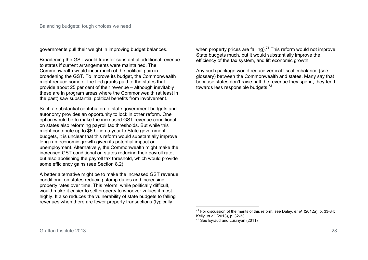governments pull their weight in improving budget balances.

Broadening the GST would transfer substantial additional revenue to states if current arrangements were maintained. The Commonwealth would incur much of the political pain in broadening the GST. To improve its budget, the Commonwealth might reduce some of the tied grants paid to the states that provide about 25 per cent of their revenue – although inevitably these are in program areas where the Commonwealth (at least in the past) saw substantial political benefits from involvement.

Such a substantial contribution to state government budgets and autonomy provides an opportunity to lock in other reform. One option would be to make the increased GST revenue conditional on states also reforming payroll tax thresholds. But while this might contribute up to \$6 billion a year to State government budgets, it is unclear that this reform would substantially improve long-run economic growth given its potential impact on unemployment. Alternatively, the Commonwealth might make the increased GST conditional on states reducing their payroll rate, but also abolishing the payroll tax threshold, which would provide some efficiency gains (see Section 8.2).

A better alternative might be to make the increased GST revenue conditional on states reducing stamp duties and increasing property rates over time. This reform, while politically difficult, would make it easier to sell property to whoever values it most highly. It also reduces the vulnerability of state budgets to falling revenues when there are fewer property transactions (typically

when property prices are falling).<sup>71</sup> This reform would not improve State budgets much, but it would substantially improve the efficiency of the tax system, and lift economic growth.

Any such package would reduce vertical fiscal imbalance (see glossary) between the Commonwealth and states. Many say that because states don't raise half the revenue they spend, they tend towards less responsible budgets.<sup>72</sup>

 $\overline{a}$ <sup>71</sup> For discussion of the merits of this reform, see Daley*, et al.* (2012a), p. 33-34; Kelly*, et al.* (2013), p. 32-33  $72$  See Evraud and Lusinyan (2011)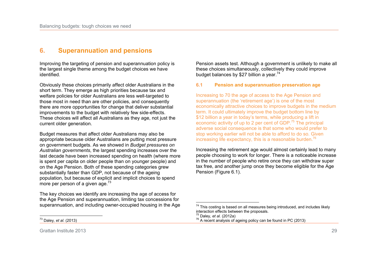# **6. Superannuation and pensions**

Improving the targeting of pension and superannuation policy is the largest single theme among the budget choices we have identified.

Obviously these choices primarily affect older Australians in the short term. They emerge as high priorities because tax and welfare policies for older Australians are less well-targeted to those most in need than are other policies, and consequently there are more opportunities for change that deliver substantial improvements to the budget with relatively few side-effects. These choices will affect all Australians as they age, not just the current older generation.

Budget measures that affect older Australians may also be appropriate because older Australians are putting most pressure on government budgets. As we showed in *Budget pressures on Australian governments*, the largest spending increases over the last decade have been increased spending on health (where more is spent per capita on older people than on younger people) and on the Age Pension. Both of these spending categories grew substantially faster than GDP, not because of the ageing population, but because of explicit and implicit choices to spend more per person of a given age. $73$ 

The key choices we identify are increasing the age of access for the Age Pension and superannuation, limiting tax concessions for superannuation, and including owner-occupied housing in the Age

 $\overline{a}$ <sup>73</sup> Daley*, et al.* (2013)

Pension assets test. Although a government is unlikely to make all these choices simultaneously, collectively they could improve budget balances by \$27 billion a year.<sup>74</sup>

#### **6.1 Pension and superannuation preservation age**

Increasing to 70 the age of access to the Age Pension and superannuation (the 'retirement age') is one of the most economically attractive choices to improve budgets in the medium term. It could ultimately improve the budget bottom line by \$12 billion a year in today's terms, while producing a lift in economic activity of up to 2 per cent of GDP.<sup>75</sup> The principal adverse social consequence is that some who would prefer to stop working earlier will not be able to afford to do so. Given increasing life expectancy, this is a reasonable burden.<sup>76</sup>

Increasing the retirement age would almost certainly lead to many people choosing to work for longer. There is a noticeable increase in the number of people who retire once they can withdraw super tax free, and another jump once they become eligible for the Age Pension (Figure 6.1).

 $\overline{a}$ 

 $74$  This costing is based on all measures being introduced, and includes likely interaction effects between the proposals.

<sup>75</sup> Daley*, et al.* (2012a)

 $76$  A recent analysis of ageing policy can be found in PC (2013)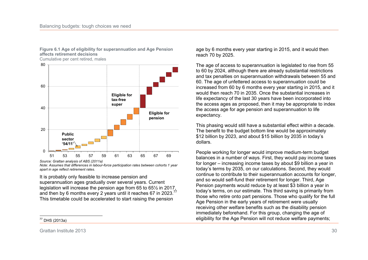

**Figure 6.1 Age of eligibility for superannuation and Age Pension affects retirement decisions**

Cumulative per cent retired, males

*Source: Grattan analysis of ABS (2011a)* 

*Note: Assumes that differences in labour-force participation rates between cohorts 1 year apart in age reflect retirement rates.* 

It is probably only feasible to increase pension and superannuation ages gradually over several years. Current legislation will increase the pension age from 65 to 65½ in 2017, and then by 6 months every 2 years until it reaches 67 in 2023.<sup>77</sup> This timetable could be accelerated to start raising the pension

age by 6 months every year starting in 2015, and it would then reach 70 by 2025.

The age of access to superannuation is legislated to rise from 55 to 60 by 2024, although there are already substantial restrictions and tax penalties on superannuation withdrawals between 55 and 60. The age of unfettered access to superannuation could be increased from 60 by 6 months every year starting in 2015, and it would then reach 70 in 2035. Once the substantial increases in life expectancy of the last 30 years have been incorporated into the access ages as proposed, then it may be appropriate to index the access age for age pension and superannuation to life expectancy.

This phasing would still have a substantial effect within a decade. The benefit to the budget bottom line would be approximately \$12 billion by 2023, and about \$15 billion by 2035 in today's dollars.

People working for longer would improve medium-term budget balances in a number of ways. First, they would pay income taxes for longer – increasing income taxes by about \$9 billion a year in today's terms by 2035, on our calculations. Second, they would continue to contribute to their superannuation accounts for longer, and so would self-fund their retirement for longer. Third, Age Pension payments would reduce by at least \$3 billion a year in today's terms, on our estimate. This third saving is primarily from those who retire onto part pensions. Those who qualify for the full Age Pension in the early years of retirement were usually receiving other welfare benefits such as the disability pension immediately beforehand. For this group, changing the age of eligibility for the Age Pension will not reduce welfare payments;

 $\overline{a}$ <sup>77</sup> DHS (2013a)

Grattan Institute 2013 30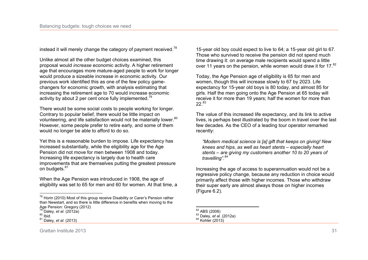instead it will merely change the category of payment received.<sup>78</sup>

Unlike almost all the other budget choices examined, this proposal would *increase* economic activity. A higher retirement age that encourages more mature-aged people to work for longer would produce a sizeable increase in economic activity. Our previous work identified this as one of the few policy gamechangers for economic growth, with analysis estimating that increasing the retirement age to 70 would increase economic activity by about 2 per cent once fully implemented.<sup>79</sup>

There would be some social costs to people working for longer. Contrary to popular belief, there would be little impact on volunteering, and life satisfaction would not be materially lower.<sup>80</sup> However, some people prefer to retire early, and some of them would no longer be able to afford to do so.

Yet this is a reasonable burden to impose. Life expectancy has increased substantially, while the eligibility age for the Age Pension did not move for men between 1908 and today. Increasing life expectancy is largely due to health care improvements that are themselves putting the greatest pressure on budgets.<sup>81</sup>

When the Age Pension was introduced in 1908, the age of eligibility was set to 65 for men and 60 for women. At that time, a

 $\overline{a}$ 

15-year old boy could expect to live to 64; a 15-year old girl to 67. Those who survived to receive the pension did not spend much time drawing it: on average male recipients would spend a little over 11 years on the pension, while women would draw it for 17.<sup>82</sup>

Today, the Age Pension age of eligibility is 65 for men and women, though this will increase slowly to 67 by 2023. Life expectancy for 15-year old boys is 80 today, and almost 85 for girls. Half the men going onto the Age Pension at 65 today will receive it for more than 19 years; half the women for more than  $22^{83}$ 

The value of this increased life expectancy, and its link to active lives, is perhaps best illustrated by the boom in travel over the last few decades. As the CEO of a leading tour operator remarked recently:

*"Modern medical science is [a] gift that keeps on giving! New knees and hips, as well as heart stents – especially heart stents – are giving my customers another 10 to 20 years of travelling".<sup>84</sup>*

Increasing the age of access to superannuation would not be a regressive policy change, because any reduction in choice would primarily affect those with higher incomes. Those who withdraw their super early are almost always those on higher incomes (Figure 6.2).

<sup>&</sup>lt;sup>78</sup> Horin (2010) Most of this group receive Disability or Carer's Pension rather than Newstart, and so there is little difference in benefits when moving to the Age Pension: Gregory (2012)

<sup>79</sup> Daley*, et al.* (2012a)

 $80$  Ibid.

<sup>81</sup> Daley*, et al.* (2013)

 $\overline{a}$  $^{82}_{\bullet}$  ABS (2008)

<sup>83</sup> Daley*, et al.* (2012a)

 $84$  Kohler (2013)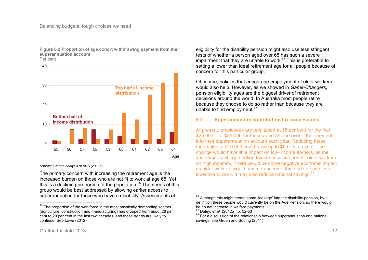

**Figure 6.2 Proportion of age cohort withdrawing payment from their superannuation account** 

Per cent

#### *Source: Grattan analysis of* ABS (2011c)

The primary concern with increasing the retirement age is the increased burden on those who are not fit to work at age 65. Yet this is a declining proportion of the population. $85$  The needs of this group would be best addressed by allowing earlier access to superannuation for those who have a disability. Assessments of

eligibility for the disability pension might also use less stringent tests of whether a person aged over 65 has such a severe impairment that they are unable to work. $86$  This is preferable to setting a lower than ideal retirement age for all people because of concern for this particular group.

Of course, policies that encourage employment of older workers would also help. However, as we showed in *Game-Changers*, pension eligibility ages are the biggest driver of retirement decisions around the world. In Australia most people retire because they choose to do so rather than because they are unable to find employment.<sup>87</sup>

#### **6.2 Superannuation contribution tax concessions**

At present, employees are only taxed at 15 per cent for the first  $$25,000 - or $35,000$  for those aged 59 and over – that they put into their superannuation account each year. Reducing these thresholds to \$10,000 could raise up to \$6 billion a year. The change would have little impact on low-income earners, as the vast majority of contribution tax concessions benefit older workers on high incomes. There would be some negative economic impact as older workers would pay more income tax, and so have less incentive to work. It may also reduce national savings.<sup>88</sup>

 $\overline{a}$ 

<sup>&</sup>lt;sup>85</sup> The proportion of the workforce in the most physically demanding sectors (agriculture, construction and manufacturing) has dropped from about 28 per cent to 20 per cent in the last two decades, and these trends are likely to continue. See Lowe (2012)

 $\overline{a}$ <sup>86</sup> Although this might create some 'leakage' into the disability pension, by definition these people would currently be on the Age Pension, so there would be no net increase in welfare payments.

<sup>87</sup> Daley*, et al.* (2012a), p. 52-53

<sup>88</sup> For a discussion of the relationship between superannuation and national savings, see Gruen and Soding (2011)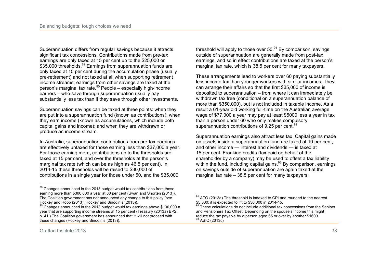Superannuation differs from regular savings because it attracts significant tax concessions. Contributions made from pre-tax earnings are only taxed at 15 per cent up to the \$25,000 or \$35,000 thresholds.<sup>89</sup> Earnings from superannuation funds are only taxed at 15 per cent during the accumulation phase (usually pre-retirement) and not taxed at all when supporting retirement income streams; earnings from other savings are taxed at the person's marginal tax rate.<sup>90</sup> People – especially high-income earners – who save through superannuation usually pay substantially less tax than if they save through other investments.

Superannuation savings can be taxed at three points: when they are put into a superannuation fund (known as contributions); when they earn income (known as accumulations, which include both capital gains and income); and when they are withdrawn or produce an income stream.

In Australia, superannuation contributions from pre-tax earnings are effectively untaxed for those earning less than \$37,000 a year. For those earning more, contributions up to the thresholds are taxed at 15 per cent, and over the thresholds at the person's marginal tax rate (which can be as high as 46.5 per cent). In 2014-15 these thresholds will be raised to \$30,000 of contributions in a single year for those under 50, and the \$35,000

threshold will apply to those over  $50<sup>91</sup>$  By comparison, savings outside of superannuation are generally made from post-tax earnings, and so in effect contributions are taxed at the person's marginal tax rate, which is 38.5 per cent for many taxpayers.

These arrangements lead to workers over 60 paying substantially less income tax than younger workers with similar incomes. They can arrange their affairs so that the first \$35,000 of income is deposited to superannuation – from where it can immediately be withdrawn tax free (conditional on a superannuation balance of more than \$350,000), but is not included in taxable income. As a result a 61-year old working full-time on the Australian average wage of \$77,000 a year may pay at least \$5000 less a year in tax than a person under 60 who only makes compulsory superannuation contributions of 9.25 per cent.<sup>92</sup>

Superannuation earnings also attract less tax. Capital gains made on assets inside a superannuation fund are taxed at 10 per cent, and other income — interest and dividends — is taxed at 15 per cent. Franking credits (tax paid on behalf of the shareholder by a company) may be used to offset a tax liability within the fund, including capital gains.<sup>93</sup> By comparison, earnings on savings outside of superannuation are again taxed at the marginal tax rate – 38.5 per cent for many taxpayers.

 $\frac{1}{2}$  $89$  Changes announced in the 2013 budget would tax contributions from those earning more than \$300,000 a year at 30 per cent (Swan and Shorten (2013)). The Coalition government has not announced any change to this policy (see Hockey and Robb (2013); Hockey and Sinodinis (2013)).

 $90$  Changes announced in the 2013 budget would tax earnings above \$100,000 a year that are supporting income streams at 15 per cent (Treasury (2013a) BP2, p. 41.) The Coalition government has announced that it will not proceed with these changes (Hockey and Sinodinis (2013)).

 $\overline{a}$  $91$  ATO (2013a) The threshold is indexed to CPI and rounded to the nearest \$5,000: it is expected to lift to \$30,000 in 2014-15.

These calculations do not include additional tax concessions from the Seniors and Pensioners Tax Offset. Depending on the spouse's income this might reduce the tax payable by a person aged 65 or over by another \$1600. <sup>93</sup> ASIC (2013c)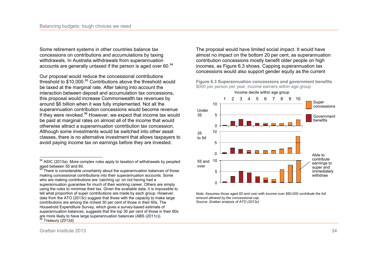Some retirement systems in other countries balance tax concessions on contributions and accumulations by taxing withdrawals. In Australia withdrawals from superannuation accounts are generally untaxed if the person is aged over 60.<sup>94</sup>

Our proposal would reduce the concessional contributions threshold to \$10,000.<sup>95</sup> Contributions above the threshold would be taxed at the marginal rate. After taking into account the interaction between deposit and accumulation tax concessions, this proposal would increase Commonwealth tax revenues by around \$6 billion when it was fully implemented. Not all the superannuation contribution concessions would become revenue if they were revoked.<sup>96</sup> However, we expect that income tax would be paid at marginal rates on almost all of the income that would otherwise attract a superannuation contribution tax concession. Although some investments would be switched into other asset classes, there is no alternative investment that allows taxpayers to avoid paying income tax on earnings before they are invested.

The proposal would have limited social impact. It would have almost no impact on the bottom 20 per cent, as superannuation contribution concessions mostly benefit older people on high incomes, as Figure 6.3 shows. Capping superannuation tax concessions would also support gender equity as the current

**Figure 6.3 Superannuation concessions and government benefits**  \$000 per person per year, income earners within age group



*Note: Assumes those aged 60 and over with income over \$60,000 contribute the full amount allowed by the concessional cap. Source: Grattan analysis of ATO (2013c)* 

 $\overline{a}$ <sup>94</sup> ASIC (2013a). More complex rules apply to taxation of withdrawals by peopled aged between 55 and 60.

 $95$  There is considerable uncertainty about the superannuation balances of those making concessional contributions into their superannuation accounts. Some who are making contributions are 'catching up' on not having had a superannuation guarantee for much of their working career. Others are simply using the rules to minimise their tax. Given the available data, it is impossible to tell what proportion of super contributions are made by each group. However, data from the ATO (2013c) suggest that those with the capacity to make large contributions are among the richest 30 per cent of those in their 60s. The Household Expenditure Survey, which gives a survey-based estimate of superannuation balances, suggests that the top 30 per cent of those in their 60s are more likely to have large superannuation balances (ABS (2011c)). Treasury (2013d)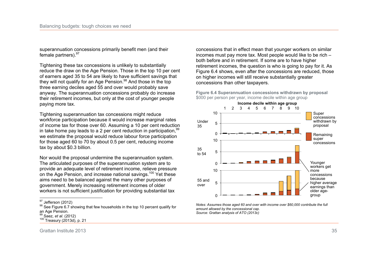superannuation concessions primarily benefit men (and their female partners). 97

Tightening these tax concessions is unlikely to substantially reduce the draw on the Age Pension. Those in the top 10 per cent of earners aged 35 to 54 are likely to have sufficient savings that they will not qualify for an Age Pension.<sup>98</sup> And those in the top three earning deciles aged 55 and over would probably save anyway. The superannuation concessions probably do increase their retirement incomes, but only at the cost of younger people paying more tax.

Tightening superannuation tax concessions might reduce workforce participation because it would increase marginal rates of income tax for those over 60. Assuming a 10 per cent reduction in take home pay leads to a 2 per cent reduction in participation.<sup>9</sup> we estimate the proposal would reduce labour force participation for those aged 60 to 70 by about 0.5 per cent, reducing income tax by about \$0.3 billion.

Nor would the proposal undermine the superannuation system. The articulated purposes of the superannuation system are to provide an adequate level of retirement income, relieve pressure on the Age Pension, and increase national savings.<sup>100</sup> Yet these aims need to be balanced against the many other purposes of government. Merely increasing retirement incomes of older workers is not sufficient justification for providing substantial tax

concessions that in effect mean that younger workers on similar incomes must pay more tax. Most people would like to be rich – both before and in retirement. If some are to have higher retirement incomes, the question is who is going to pay for it. As Figure 6.4 shows, even after the concessions are reduced, those on higher incomes will still receive substantially greater concessions than other taxpayers.





*Notes: Assumes those aged 60 and over with income over \$60,000 contribute the full amount allowed by the concessional cap. Source: Grattan analysis of ATO (2013c)* 

 $\frac{1}{2}$  $\frac{97}{12}$  Jefferson (2012)

<sup>98</sup> See Figure 6.7 showing that few households in the top 10 percent qualify for an Age Pension.

<sup>&</sup>lt;sup>99</sup> Saez, *et al.* (2012)

<sup>100</sup> Treasury (2013d), p. 21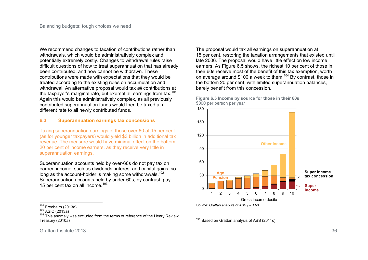We recommend changes to taxation of contributions rather than withdrawals, which would be administratively complex and potentially extremely costly. Changes to withdrawal rules raise difficult questions of how to treat superannuation that has already been contributed, and now cannot be withdrawn. These contributions were made with expectations that they would be treated according to the existing rules on accumulation and withdrawal. An alternative proposal would tax *all* contributions at the taxpayer's marginal rate, but exempt all earnings from tax.<sup>101</sup> Again this would be administratively complex, as all previously contributed superannuation funds would then be taxed at a different rate to all newly contributed funds.

## **6.3 Superannuation earnings tax concessions**

Taxing superannuation earnings of those over 60 at 15 per cent (as for younger taxpayers) would yield \$3 billion in additional tax revenue. The measure would have minimal effect on the bottom 20 per cent of income earners, as they receive very little in superannuation earnings.

Superannuation accounts held by over-60s do not pay tax on earned income, such as dividends, interest and capital gains, so long as the account-holder is making some withdrawals.<sup>102</sup> Superannuation accounts held by under-60s, by contrast, pay 15 per cent tax on all income.<sup>103</sup>

The proposal would tax all earnings on superannuation at 15 per cent, restoring the taxation arrangements that existed until late 2006. The proposal would have little effect on low income earners. As Figure 6.5 shows, the richest 10 per cent of those in their 60s receive most of the benefit of this tax exemption, worth on average around \$100 a week to them.<sup>104</sup> By contrast, those in the bottom 20 per cent, with limited superannuation balances, barely benefit from this concession.



**Figure 6.5 Income by source for those in their 60s**  \$000 per person per year

 $\frac{1}{1}$ 

*Source: Grattan analysis of ABS (2011c)* 

 $\overline{a}$ <sup>104</sup> Based on Grattan analysis of ABS (2011c)

Grattan Institute 2013 36

 $101$  Freebairn (2013a)

 $102$  ASIC (2013a)

<sup>&</sup>lt;sup>103</sup> This anomaly was excluded from the terms of reference of the Henry Review: Treasury (2010a)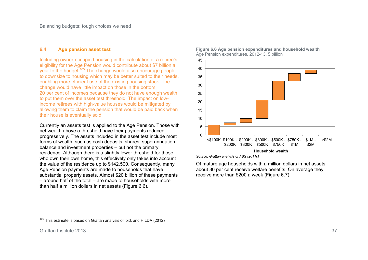## **6.4 Age pension asset test**

Including owner-occupied housing in the calculation of a retiree's eligibility for the Age Pension would contribute about \$7 billion a year to the budget.<sup>105</sup> The change would also encourage people to downsize to housing which may be better suited to their needs, enabling more efficient use of the existing housing stock. The change would have little impact on those in the bottom 20 per cent of incomes because they do not have enough wealth to put them over the asset test threshold. The impact on lowincome retirees with high-value houses would be mitigated by allowing them to claim the pension that would be paid back when their house is eventually sold.

Currently an assets test is applied to the Age Pension. Those with net wealth above a threshold have their payments reduced progressively. The assets included in the asset test include most forms of wealth, such as cash deposits, shares, superannuation balance and investment properties – but not the primary residence. Although there is a slightly lower threshold for those who own their own home, this effectively only takes into account the value of the residence up to \$142,500. Consequently, many Age Pension payments are made to households that have substantial property assets. Almost \$20 billion of these payments – around half of the total – are made to households with more than half a million dollars in net assets (Figure 6.6).



**Figure 6.6 Age pension expenditures and household wealth**  Age Pension expenditures, 2012-13, \$ billion

*Source: Grattan analysis of ABS (2011c)* 

Of mature age households with a million dollars in net assets, about 80 per cent receive welfare benefits. On average they receive more than \$200 a week (Figure 6.7).

 $\frac{1}{2}$  $105$  This estimate is based on Grattan analysis of ibid. and HILDA (2012)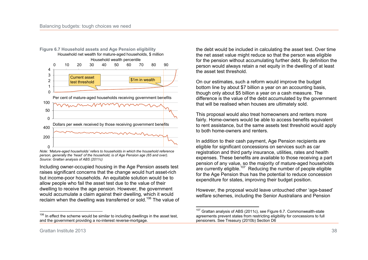

*Note: 'Mature-aged households' refers to households in which the household reference person, generally the 'head' of the household, is of Age Pension age (65 and over). Source: Grattan analysis of ABS (2011c)* 

Including owner-occupied housing in the Age Pension assets test raises significant concerns that the change would hurt asset-rich but income-poor households. An equitable solution would be to allow people who fail the asset test due to the value of their dwelling to receive the age pension. However, the government would accumulate a claim against their dwelling, which it would reclaim when the dwelling was transferred or sold.<sup>106</sup> The value of the debt would be included in calculating the asset test. Over time the net asset value might reduce so that the person was eligible for the pension without accumulating further debt. By definition the person would always retain a net equity in the dwelling of at least the asset test threshold.

On our estimates, such a reform would improve the budget bottom line by about \$7 billion a year on an accounting basis, though only about \$5 billion a year on a cash measure. The difference is the value of the debt accumulated by the government that will be realised when houses are ultimately sold.

This proposal would also treat homeowners and renters more fairly. Home-owners would be able to access benefits equivalent to rent assistance, but the same assets test threshold would apply to both home-owners and renters.

In addition to their cash payment, Age Pension recipients are eligible for significant concessions on services such as car registration and third party insurance, utilities, rates and health expenses. These benefits are available to those receiving a part pension of any value, so the majority of mature-aged households are currently eligible.<sup>107</sup> Reducing the number of people eligible for the Age Pension thus has the potential to reduce concession expenditure for states, improving their budget position.

However, the proposal would leave untouched other 'age-based' welfare schemes, including the Senior Australians and Pension

 $\frac{1}{1}$  $106$  In effect the scheme would be similar to including dwellings in the asset test, and the government providing a no-interest reverse-mortgage.

 $\overline{a}$  $107$  Grattan analysis of ABS (2011c), see Figure 6.7. Commonwealth-state agreements prevent states from restricting eligibility for concessions to full pensioners. See Treasury (2010b) Section D6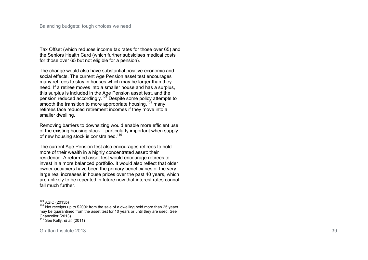Tax Offset (which reduces income tax rates for those over 65) and the Seniors Health Card (which further subsidises medical costs for those over 65 but not eligible for a pension).

The change would also have substantial positive economic and social effects. The current Age Pension asset test encourages many retirees to stay in houses which may be larger than they need. If a retiree moves into a smaller house and has a surplus, this surplus is included in the Age Pension asset test, and the pension reduced accordingly.<sup>108</sup> Despite some policy attempts to smooth the transition to more appropriate housing, <sup>109</sup> many retirees face reduced retirement incomes if they move into a smaller dwelling.

Removing barriers to downsizing would enable more efficient use of the existing housing stock – particularly important when supply of new housing stock is constrained.<sup>110</sup>

The current Age Pension test also encourages retirees to hold more of their wealth in a highly concentrated asset: their residence. A reformed asset test would encourage retirees to invest in a more balanced portfolio. It would also reflect that older owner-occupiers have been the primary beneficiaries of the very large real increases in house prices over the past 40 years, which are unlikely to be repeated in future now that interest rates cannot fall much further.

 $\frac{1}{2}$  $^{108}_{100}$  ASIC (2013b)

<sup>&</sup>lt;sup>109</sup> Net receipts up to \$200k from the sale of a dwelling held more than 25 years may be quarantined from the asset test for 10 years or until they are used. See Chancellor (2013)

<sup>110</sup> See Kelly*, et al.* (2011)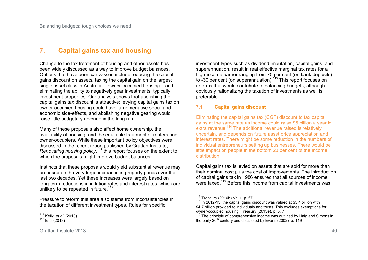# **7. Capital gains tax and housing**

Change to the tax treatment of housing and other assets has been widely discussed as a way to improve budget balances. Options that have been canvassed include reducing the capital gains discount on assets, taxing the capital gain on the largest single asset class in Australia – owner-occupied housing – and eliminating the ability to negatively gear investments, typically investment properties. Our analysis shows that abolishing the capital gains tax discount is attractive; levying capital gains tax on owner-occupied housing could have large negative social and economic side-effects, and abolishing negative gearing would raise little budgetary revenue in the long run.

Many of these proposals also affect home ownership, the availability of housing, and the equitable treatment of renters and owner-occupiers. While these important policy objectives were discussed in the recent report published by Grattan Institute, *Renovating housing policy*, <sup>111</sup> this report focuses on the extent to which the proposals might improve budget balances.

Instincts that these proposals would yield substantial revenue may be based on the very large increases in property prices over the last two decades. Yet these increases were largely based on long-term reductions in inflation rates and interest rates, which are unlikely to be repeated in future.<sup>112</sup>

Pressure to reform this area also stems from inconsistencies in the taxation of different investment types. Rules for specific

 $\frac{1}{1}$ <sup>111</sup> Kelly*, et al.* (2013).  $112$  Ellis (2013)

investment types such as dividend imputation, capital gains, and superannuation, result in real effective marginal tax rates for a high-income earner ranging from 70 per cent (on bank deposits) to -30 per cent (on superannuation).<sup>113</sup> This report focuses on reforms that would contribute to balancing budgets, although obviously rationalizing the taxation of investments as well is preferable.

## **7.1 Capital gains discount**

Eliminating the capital gains tax (CGT) discount to tax capital gains at the same rate as income could raise \$5 billion a year in extra revenue.<sup>114</sup> The additional revenue raised is relatively uncertain, and depends on future asset price appreciation and interest rates. There might be some reduction in the numbers of individual entrepreneurs setting up businesses. There would be little impact on people in the bottom 20 per cent of the income distribution.

Capital gains tax is levied on assets that are sold for more than their nominal cost plus the cost of improvements. The introduction of capital gains tax in 1986 ensured that all sources of income were taxed.<sup>115</sup> Before this income from capital investments was

 $\overline{a}$  $113$  Treasury (2010b) Vol 1, p. 67

 $114$  In 2012-13, the capital gains discount was valued at \$5.4 billion with \$4.7 billion provided to individuals and trusts. This excludes exemptions for owner-occupied housing. Treasury (2013e), p. 5, 7

 $115$  The principle of comprehensive income was outlined by Haig and Simons in the early  $20<sup>th</sup>$  century and discussed by Evans (2002), p. 119

Grattan Institute 2013 40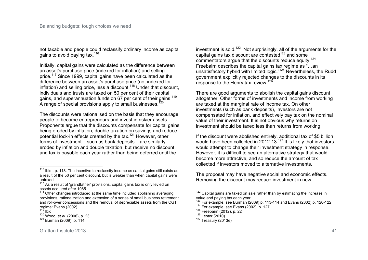not taxable and people could reclassify ordinary income as capital gains to avoid paying tax.<sup>116</sup>

Initially, capital gains were calculated as the difference between an asset's purchase price (indexed for inflation) and selling price.<sup>117</sup> Since 1999, capital gains have been calculated as the difference between an asset's purchase price (not indexed for inflation) and selling price, less a discount.<sup>118</sup> Under that discount, individuals and trusts are taxed on 50 per cent of their capital gains, and superannuation funds on 67 per cent of their gains.<sup>119</sup> A range of special provisions apply to small businesses.<sup>120</sup>

The discounts were rationalised on the basis that they encourage people to become entrepreneurs and invest in riskier assets. Proponents argue that the discounts compensate for capital gains being eroded by inflation, double taxation on savings and reduce potential lock-in effects created by the tax.<sup>121</sup> However, other forms of investment – such as bank deposits – are similarly eroded by inflation and double taxation, but receive no discount, and tax is payable each year rather than being deferred until the

investment is sold.<sup>122</sup> Not surprisingly, all of the arguments for the capital gains tax discount are contested<sup>123</sup> and some commentators argue that the discounts reduce equity.<sup>124</sup> Freebairn describes the capital gains tax regime as "…an unsatisfactory hybrid with limited logic."<sup>125</sup> Nevertheless, the Rudd government explicitly rejected changes to the discounts in its response to the Henry tax review.<sup>126</sup>

There are good arguments to abolish the capital gains discount altogether. Other forms of investments and income from working are taxed at the marginal rate of income tax. On other investments (such as bank deposits), investors are not compensated for inflation, and effectively pay tax on the nominal value of their investment. It is not obvious why returns on investment should be taxed less than returns from working.

If the discount were abolished entirely, additional tax of \$5 billion would have been collected in 2012-13.<sup>127</sup> It is likely that investors would attempt to change their investment strategy in response. However, it is difficult to see an alternative strategy that would become more attractive, and so reduce the amount of tax collected if investors moved to alternative investments.

The proposal may have negative social and economic effects. Removing the discount may reduce investment in new

 $\frac{1}{2}$  $116$  Ibid., p. 118. The incentive to reclassify income as capital gains still exists as a result of the 50 per cent discount, but is weaker than when capital gains were untaxed.

 $117$  As a result of 'grandfather' provisions, capital gains tax is only levied on assets acquired after 1985.

<sup>&</sup>lt;sup>118</sup> Other changes introduced at the same time included abolishing averaging provisions, rationalization and extension of a series of small business retirement and roll-over concessions and the removal of depreciable assets from the CGT regime: Evans (2002).

 $\frac{119}{12}$  Ibid.

<sup>120</sup> Wood*, et al.* (2006), p. 23

<sup>121</sup> Burman (2009), p. 114

  $122$  Capital gains are taxed on sale rather than by estimating the increase in value and paying tax each year.

<sup>123</sup> For example, see Burman (2009) p. 113-114 and Evans (2002) p. 120-122

<sup>124</sup> For example, see Evans (2002), p. 127

<sup>125</sup> Freebairn (2012), p. 22

 $126$  Lester (2010)

 $127$  Treasury (2013e)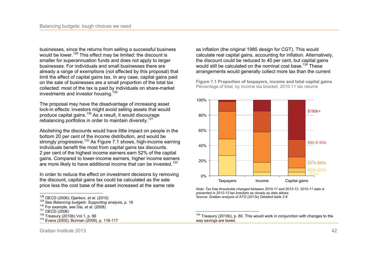businesses, since the returns from selling a successful business would be lower.<sup>128</sup> This effect may be limited: the discount is smaller for superannuation funds and does not apply to larger businesses. For individuals and small businesses there are already a range of exemptions (not affected by this proposal) that limit the effect of capital gains tax. In any case, capital gains paid on the sale of businesses are a small proportion of the total tax collected: most of the tax is paid by individuals on share-market investments and investor housing.<sup>129</sup>

The proposal may have the disadvantage of increasing asset lock-in effects: investors might avoid selling assets that would produce capital gains.<sup>130</sup> As a result, it would discourage rebalancing portfolios in order to maintain diversity.<sup>131</sup>

Abolishing the discounts would have little impact on people in the bottom 20 per cent of the income distribution, and would be strongly progressive.<sup>132</sup> As Figure 7.1 shows, high-income earning individuals benefit the most from capital gains tax discounts. 2 per cent of the highest income earners earn 52% of the capital gains. Compared to lower-income earners, higher income earners are more likely to have additional income that can be invested.<sup>133</sup>

In order to reduce the effect on investment decisions by removing the discount, capital gains tax could be calculated as the sale price less the cost base of the asset increased at the same rate

 $\frac{1}{2}$ 

as inflation (the original 1985 design for CGT). This would calculate real capital gains, accounting for inflation. Alternatively, the discount could be reduced to 40 per cent, but capital gains would still be calculated on the nominal cost base.<sup>134</sup> These arrangements would generally collect more tax than the current

**Figure 7.1 Proportion of taxpayers, income and total capital gains**  Percentage of total, by income tax bracket, 2010-11 tax returns



*Note: Tax free thresholds changed between 2010-11 and 2012-13. 2010-11 data is presented in 2012-13 tax brackets as closely as data allows. Source: Grattan analysis of ATO (2013c) Detailed table 2.8* 

 $\overline{\phantom{a}}$ 

<sup>128</sup> OECD (2006); Djankov*, et al.* (2010)

<sup>129</sup> See *Balancing budgets: Supporting analysis*, p. 16

<sup>130</sup> For example, see Dai*, et al.* (2008)

<sup>131</sup> OECD (2006)

<sup>132</sup> Treasury (2010b) Vol.1, p. 66

<sup>133</sup> Evans (2002); Burman (2009), p. 116-117

 $134$  Treasury (2010b), p. 80. This would work in conjunction with changes to the way savings are taxed.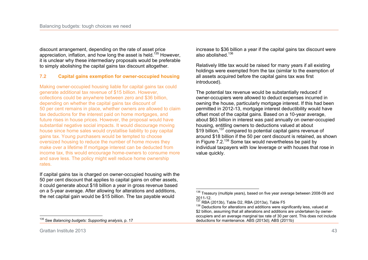discount arrangement, depending on the rate of asset price appreciation, inflation, and how long the asset is held.<sup>135</sup> However, it is unclear why these intermediary proposals would be preferable to simply abolishing the capital gains tax discount altogether.

# **7.2 Capital gains exemption for owner-occupied housing**

Making owner-occupied housing liable for capital gains tax could generate additional tax revenue of \$15 billion. However, collections could be anywhere between zero and \$36 billion, depending on whether the capital gains tax discount of 50 per cent remains in place, whether owners are allowed to claim tax deductions for the interest paid on home mortgages, and future rises in house prices. However, the proposal would have substantial negative social impacts. It would discourage moving house since home sales would crystallise liability to pay capital gains tax. Young purchasers would be tempted to choose oversized housing to reduce the number of home moves they make over a lifetime If mortgage interest can be deducted from income tax, this would encourage home-owners to consume more and save less. The policy might well reduce home ownership rates.

If capital gains tax is charged on owner-occupied housing with the 50 per cent discount that applies to capital gains on other assets, it could generate about \$18 billion a year in gross revenue based on a 5-year average. After allowing for alterations and additions, the net capital gain would be \$15 billion. The tax payable would

 $\frac{1}{2}$ <sup>135</sup> See *Balancing budgets: Supporting analysis,* p. 17 increase to \$36 billion a year if the capital gains tax discount were also abolished.<sup>136</sup>

Relatively little tax would be raised for many years if all existing holdings were exempted from the tax (similar to the exemption of all assets acquired before the capital gains tax was first introduced).

The potential tax revenue would be substantially reduced if owner-occupiers were allowed to deduct expenses incurred in owning the house, particularly mortgage interest. If this had been permitted in 2012-13, mortgage interest deductibility would have offset most of the capital gains. Based on a 10-year average, about \$63 billion in interest was paid annually on owner-occupied housing, entitling owners to deductions valued at about \$19 billion,<sup>137</sup> compared to potential capital gains revenue of around \$18 billion if the 50 per cent discount is retained, as shown in Figure 7.2.<sup>138</sup> Some tax would nevertheless be paid by individual taxpayers with low leverage or with houses that rose in value quickly.

 <sup>136</sup> Treasury (multiple years), based on five year average between 2008-09 and 2011-12.

 $137$  RBA (2013b), Table D2, RBA (2013a), Table F5

 $138$  Deductions for alterations and additions were significantly less, valued at \$2 billion, assuming that all alterations and additions are undertaken by owneroccupiers and an average marginal tax rate of 30 per cent. This does not include deductions for maintenance. ABS (2013d); ABS (2011b)

Grattan Institute 2013 43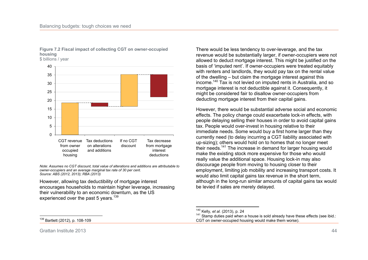

## **Figure 7.2 Fiscal impact of collecting CGT on owner-occupied housing**

*Note: Assumes no CGT discount, total value of alterations and additions are attributable to owner-occupiers and an average marginal tax rate of 30 per cent. Source: ABS (2012, 2013); RBA (2013)* 

However, allowing tax deductibility of mortgage interest encourages households to maintain higher leverage, increasing their vulnerability to an economic downturn, as the US experienced over the past 5 years.<sup>139</sup>

There would be less tendency to over-leverage, and the tax revenue would be substantially larger, if owner-occupiers were not allowed to deduct mortgage interest. This might be justified on the basis of 'imputed rent'. If owner-occupiers were treated equitably with renters and landlords, they would pay tax on the rental value of the dwelling – but claim the mortgage interest against this income.<sup>140</sup> Tax is not levied on imputed rents in Australia, and so mortgage interest is not deductible against it. Consequently, it might be considered fair to disallow owner-occupiers from deducting mortgage interest from their capital gains.

However, there would be substantial adverse social and economic effects. The policy change could exacerbate lock-in effects, with people delaying selling their houses in order to avoid capital gains tax. People would over-invest in housing relative to their immediate needs. Some would buy a first home larger than they currently need (to delay incurring a CGT liability associated with up-sizing); others would hold on to homes that no longer meet their needs.<sup>141</sup> The increase in demand for larger housing would make the existing stock more expensive for those who would really value the additional space. Housing lock-in may also discourage people from moving to housing closer to their employment, limiting job mobility and increasing transport costs. It would also limit capital gains tax revenue in the short term, although in the long-run similar amounts of capital gains tax would be levied if sales are merely delayed.

 $\frac{1}{2}$ Bartlett (2012), p. 108-109

Grattan Institute 2013 44

 $\overline{a}$ <sup>140</sup> Kelly*, et al.* (2013), p. 24

<sup>141</sup> Stamp duties paid when a house is sold already have these effects (see ibid.: CGT on owner-occupied housing would make them worse).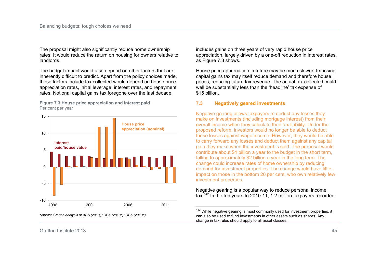The proposal might also significantly reduce home ownership rates. It would reduce the return on housing for owners relative to landlords.

The budget impact would also depend on other factors that are inherently difficult to predict. Apart from the policy choices made, these factors include tax collected would depend on house price appreciation rates, initial leverage, interest rates, and repayment rates. Notional capital gains tax foregone over the last decade

**Figure 7.3 House price appreciation and interest paid**  Per cent per year



*Source: Grattan analysis of ABS (2013j); RBA (2013c); RBA (2013a)* 

includes gains on three years of very rapid house price appreciation, largely driven by a one-off reduction in interest rates, as Figure 7.3 shows.

House price appreciation in future may be much slower. Imposing capital gains tax may itself reduce demand and therefore house prices, reducing future tax revenue. The actual tax collected could well be substantially less than the 'headline' tax expense of \$15 billion.

### **7.3 Negatively geared investments**

 $\overline{a}$ 

Negative gearing allows taxpayers to deduct any losses they make on investments (including mortgage interest) from their overall income when they calculate their tax liability. Under the proposed reform, investors would no longer be able to deduct these losses against wage income. However, they would be able to carry forward any losses and deduct them against any capital gain they make when the investment is sold. The proposal would contribute about \$4 billion a year to the budget in the short term, falling to approximately \$2 billion a year in the long term. The change could increase rates of home ownership by reducing demand for investment properties. The change would have little impact on those in the bottom 20 per cent, who own relatively few investment properties.

Negative gearing is a popular way to reduce personal income tax.<sup>142</sup> In the ten years to 2010-11, 1.2 million taxpayers recorded

 $142$  While negative gearing is most commonly used for investment properties, it can also be used to fund investments in other assets such as shares. Any change in tax rules should apply to all asset classes.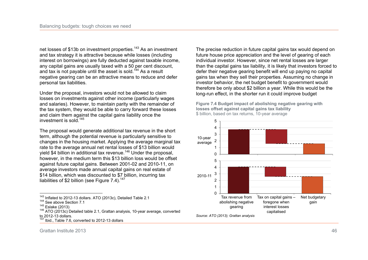net losses of \$13b on investment properties.<sup>143</sup> As an investment and tax strategy it is attractive because while losses (including interest on borrowings) are fully deducted against taxable income, any capital gains are usually taxed with a 50 per cent discount, and tax is not payable until the asset is sold.<sup>144</sup> As a result negative gearing can be an attractive means to reduce and defer personal tax liabilities.

Under the proposal, investors would not be allowed to claim losses on investments against other income (particularly wages and salaries). However, to maintain parity with the remainder of the tax system, they would be able to carry forward these losses and claim them against the capital gains liability once the investment is sold.<sup>145</sup>

The proposal would generate additional tax revenue in the short term, although the potential revenue is particularly sensitive to changes in the housing market. Applying the average marginal tax rate to the average annual net rental losses of \$13 billion would yield \$4 billion in additional tax revenue.<sup>146</sup> Under the proposal, however, in the medium term this \$13 billion loss would be offset against future capital gains. Between 2001-02 and 2010-11, on average investors made annual capital gains on real estate of \$14 billion, which was discounted to \$7 billion, incurring tax liabilities of \$2 billion (see Figure  $7.4$ ).<sup>147</sup>

 $\overline{1}$  Ibid., Table 7.6, converted to 2012-13 dollars

The precise reduction in future capital gains tax would depend on future house price appreciation and the level of gearing of each individual investor. However, since net rental losses are larger than the capital gains tax liability, it is likely that investors forced to defer their negative gearing benefit will end up paying no capital gains tax when they sell their properties. Assuming no change in investor behavior, the net budget benefit to government would therefore be only about \$2 billion a year. While this would be the long-run effect, in the shorter run it could improve budget

**Figure 7.4 Budget impact of abolishing negative gearing with losses offset against capital gains tax liability**  \$ billion, based on tax returns, 10-year average



*Source: ATO (2013); Grattan analysis* 

 $\frac{1}{2}$  $143$  Inflated to 2012-13 dollars. ATO (2013c), Detailed Table 2.1

<sup>&</sup>lt;sup>144</sup> See above Section 7.1

 $145$  Eslake (2013)

 $146$  ATO (2013c) Detailed table 2.1, Grattan analysis, 10-year average, converted to 2012-13 dollars.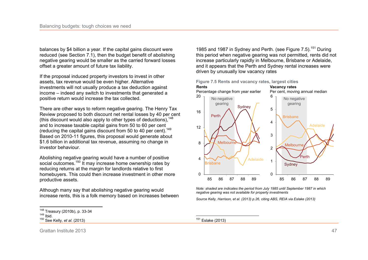balances by \$4 billion a year. If the capital gains discount were reduced (see Section 7.1), then the budget benefit of abolishing negative gearing would be smaller as the carried forward losses offset a greater amount of future tax liability.

If the proposal induced property investors to invest in other assets, tax revenue would be even higher. Alternative investments will not usually produce a tax deduction against income – indeed any switch to investments that generated a positive return would increase the tax collected.

There are other ways to reform negative gearing. The Henry Tax Review proposed to both discount net rental losses by 40 per cent (this discount would also apply to other types of deductions),  $148$ and to increase taxable capital gains from 50 to 60 per cent (reducing the capital gains discount from 50 to 40 per cent).<sup>149</sup> Based on 2010-11 figures, this proposal would generate about \$1.6 billion in additional tax revenue, assuming no change in investor behaviour.

Abolishing negative gearing would have a number of positive social outcomes.<sup>150</sup> It may increase home ownership rates by reducing returns at the margin for landlords relative to first homebuyers. This could then increase investment in other more productive assets.

Although many say that abolishing negative gearing would increase rents, this is a folk memory based on increases between

1985 and 1987 in Sydney and Perth. (see Figure 7.5).<sup>151</sup> During this period when negative gearing was not permitted, rents did not increase particularly rapidly in Melbourne, Brisbane or Adelaide, and it appears that the Perth and Sydney rental increases were driven by unusually low vacancy rates



*Note: shaded are indicates the period from July 1985 until September 1987 in which negative gearing was not available for property investments* 

*Source Kelly, Harrison, et al. (2013) p.26, citing ABS, REIA via Eslake (2013)* 

Grattan Institute 2013 47

 $\frac{1}{2}$  $^{148}_{112}$  Treasury (2010b), p. 33-34

<sup>149</sup> Ibid.

<sup>150</sup> See Kelly*, et al.* (2013)

<sup>151</sup> Eslake (2013)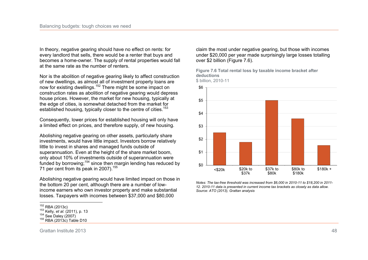In theory, negative gearing should have no effect on rents: for every landlord that sells, there would be a renter that buys and becomes a home-owner. The supply of rental properties would fall at the same rate as the number of renters.

Nor is the abolition of negative gearing likely to affect construction of new dwellings, as almost all of investment property loans are now for existing dwellings.<sup>152</sup> There might be some impact on construction rates as abolition of negative gearing would depress house prices. However, the market for new housing, typically at the edge of cities, is somewhat detached from the market for established housing, typically closer to the centre of cities.<sup>153</sup>

Consequently, lower prices for established housing will only have a limited effect on prices, and therefore supply, of new housing.

Abolishing negative gearing on other assets, particularly share investments, would have little impact. Investors borrow relatively little to invest in shares and managed funds outside of superannuation. Even at the height of the share market boom, only about 10% of investments outside of superannuation were funded by borrowing;<sup>154</sup> since then margin lending has reduced by 71 per cent from its peak in 2007).<sup>155</sup>

Abolishing negative gearing would have limited impact on those in the bottom 20 per cent, although there are a number of lowincome earners who own investor property and make substantial losses. Taxpayers with incomes between \$37,000 and \$80,000

claim the most under negative gearing, but those with incomes under \$20,000 per year made surprisingly large losses totalling over \$2 billion (Figure 7.6).

**Figure 7.6 Total rental loss by taxable income bracket after deductions** 



*Notes: The tax-free threshold was increased from \$6,000 in 2010-11 to \$18,200 in 2011- 12. 2010-11 data is presented in current income tax brackets as closely as data allow. Source: ATO (2013), Grattan analysis* 

 $\frac{1}{1}$  $152$  RBA (2013c)

<sup>153</sup> Kelly*, et al.* (2011), p. 13

 $154$  See Daley (2007)

<sup>155</sup> RBA (2013c) Table D10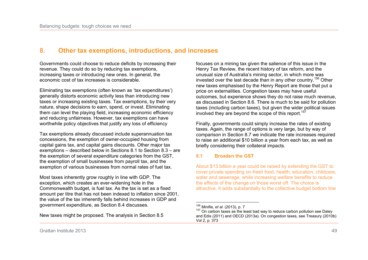# **8. Other tax exemptions, introductions, and increases**

Governments could choose to reduce deficits by increasing their revenue. They could do so by reducing tax exemptions, increasing taxes or introducing new ones. In general, the economic cost of tax increases is considerable.

Eliminating tax exemptions (often known as 'tax expenditures') generally distorts economic activity less than introducing new taxes or increasing existing taxes. Tax exemptions, by their very nature, shape decisions to earn, spend, or invest. Eliminating them can level the playing field, increasing economic efficiency and reducing unfairness. However, tax exemptions can have worthwhile policy objectives that justify any loss of efficiency

Tax exemptions already discussed include superannuation tax concessions, the exemption of owner-occupied housing from capital gains tax, and capital gains discounts. Other major tax exemptions – described below in Sections 8.1 to Section 8.3 – are the exemption of several expenditure categories from the GST, the exemption of small businesses from payroll tax, and the exemption of various businesses from normal rates of fuel tax.

Most taxes inherently grow roughly in line with GDP. The exception, which creates an ever-widening hole in the Commonwealth budget, is fuel tax. As the tax is set as a fixed amount per litre that has not been indexed to inflation since 2001, the value of the tax inherently falls behind increases in GDP and government expenditure, as Section 8.4 discusses.

New taxes might be proposed. The analysis in Section 8.5

focuses on a mining tax given the salience of this issue in the Henry Tax Review, the recent history of tax reform, and the unusual size of Australia's mining sector, in which more was invested over the last decade than in any other country.<sup>156</sup> Other new taxes emphasised by the Henry Report are those that put a price on externalities. Congestion taxes may have useful outcomes, but experience shows they do not raise much revenue, as discussed in Section 8.6. There is much to be said for pollution taxes (including carbon taxes), but given the wider political issues involved they are beyond the scope of this report.<sup>157</sup>

Finally, governments could simply increase the rates of existing taxes. Again, the range of options is very large, but by way of comparison in Section 8.7 we indicate the rate increases required to raise an additional \$10 billion a year from each tax, as well as briefly considering their collateral impacts.

## **8.1 Broaden the GST**

About \$13 billion a year could be raised by extending the GST to cover private spending on fresh food, health, education, childcare, water and sewerage, while increasing welfare benefits to reduce the effects of the change on those worst off. The choice is attractive. It adds substantially to the collective budget bottom line

 $\overline{\phantom{a}}$ <sup>156</sup> Minifie*, et al.* (2013), p. 7

 $157$  On carbon taxes as the least bad way to reduce carbon pollution see Daley and Edis (2011) and OECD (2013a). On congestion taxes, see Treasury (2010b) Vol 2, p. 373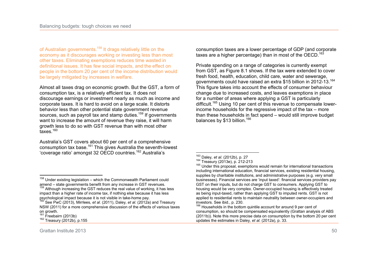of Australian governments.<sup>158</sup> It drags relatively little on the economy as it discourages working or investing less than most other taxes. Eliminating exemptions reduces time wasted in definitional issues. It has few social impacts, and the effect on people in the bottom 20 per cent of the income distribution would be largely mitigated by increases in welfare.

Almost all taxes drag on economic growth. But the GST, a form of consumption tax, is a relatively efficient tax. It does not discourage earnings or investment nearly as much as income and corporate taxes. It is hard to avoid on a large scale. It distorts behavior less than other potential state government revenue sources, such as payroll tax and stamp duties.<sup>159</sup> If governments want to increase the amount of revenue they raise, it will harm growth less to do so with GST revenue than with most other taxes $160$ 

Australia's GST covers about 60 per cent of a comprehensive consumption tax base.<sup>161</sup> This gives Australia the seventh-lowest 'coverage ratio' amongst 32 OECD countries.<sup>162</sup> Australia's

consumption taxes are a lower percentage of GDP (and corporate taxes are a higher percentage) than in most of the OECD.<sup>163</sup>

Private spending on a range of categories is currently exempt from GST, as Figure 8.1 shows. If the tax were extended to cover fresh food, health, education, child care, water and sewerage, governments could have raised an extra \$15 billion in 2012-13.<sup>164</sup> This figure takes into account the effects of consumer behaviour change due to increased costs, and leaves exemptions in place for a number of areas where applying a GST is particularly difficult.<sup>165</sup> Using 10 per cent of this revenue to compensate lowerincome households for the regressive impact of the tax – more than these households in fact spend – would still improve budget balances by \$13 billion.<sup>166</sup>

 $\frac{1}{2}$ <sup>158</sup> Under existing legislation – which the Commonwealth Parliament could amend – state governments benefit from any increase in GST revenues.

 $159$  Although increasing the GST reduces the real value of working, it has less impact than a higher rate of income tax, if nothing else because it has less psychological impact because it is not visible in take-home pay.

<sup>160</sup> See PwC (2013), Mirrlees*, et al.* (2011), Daley*, et al.* (2012a) and Treasury NSW (2011) for a more comprehensive discussion of the effects of various taxes on growth.

 $161$  Freebairn (2013b)

<sup>162</sup> Treasury (2012b), p.155

 $\overline{a}$ <sup>163</sup> Daley*, et al.* (2012b), p. 27

 $164$  Treasury (2013e), p. 212-213

<sup>&</sup>lt;sup>165</sup> Under this proposal, exemptions would remain for international transactions including international education, financial services, existing residential housing, supplies by charitable institutions, and administrative purposes (e.g. very small businesses). Financial services are 'input taxed': financial services providers pay GST on their inputs, but do not charge GST to consumers. Applying GST to housing would be very complex. Owner-occupied housing is effectively treated as being input-taxed, rather than applying GST to imputed rents. GST is not applied to residential rents to maintain neutrality between owner-occupiers and investors. See ibid., p. 230.

<sup>&</sup>lt;sup>166</sup> Households in the bottom quintile account for around 9 per cent of consumption, so should be compensated equivalently (Grattan analysis of ABS (2011b)). Note this more precise data on consumption by the bottom 20 per cent updates the estimates in Daley*, et al.* (2012a), p. 33.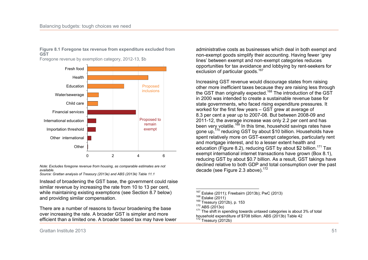#### **Figure 8.1 Foregone tax revenue from expenditure excluded from GST**

Foregone revenue by exemption category, 2012-13, \$b



*Note: Excludes foregone revenue from housing, as comparable estimates are not available.* 

*Source: Grattan analysis of Treasury (2013e) and ABS (2013k) Table 11.1* 

Instead of broadening the GST base, the government could raise similar revenue by increasing the rate from 10 to 13 per cent, while maintaining existing exemptions (see Section 8.7 below) and providing similar compensation.

There are a number of reasons to favour broadening the base over increasing the rate. A broader GST is simpler and more efficient than a limited one. A broader based tax may have lower administrative costs as businesses which deal in both exempt and non-exempt goods simplify their accounting. Having fewer 'grey lines' between exempt and non-exempt categories reduces opportunities for tax avoidance and lobbying by rent-seekers for exclusion of particular goods.<sup>167</sup>

Increasing GST revenue would discourage states from raising other more inefficient taxes because they are raising less through the GST than originally expected.<sup>168</sup> The introduction of the GST in 2000 was intended to create a sustainable revenue base for state governments, who faced rising expenditure pressures. It worked for the first few years – GST grew at average of 8.3 per cent a year up to 2007-08. But between 2008-09 and 2011-12, the average increase was only 2.2 per cent and has been very volatile.<sup>169</sup> In this time, household savings rates have gone up,<sup>170</sup> reducing GST by about \$10 billion. Households have spent relatively more on GST-exempt categories, particularly rent and mortgage interest, and to a lesser extent health and education (Figure 8.2), reducing GST by about \$2 billion.<sup>171</sup> Tax exempt international internet transactions have grown (Box 8.1), reducing GST by about \$0.7 billion. As a result, GST takings have declined relative to both GDP and total consumption over the past decade (see Figure 2.3 above).<sup>172</sup>

Grattan Institute 2013 51

<sup>167</sup> Eslake (2011); Freebairn (2013b); PwC (2013)

 $168$  Eslake (2011)

<sup>169</sup> Treasury (2012b), p. 153

 $170$  ABS (2013o)

<sup>&</sup>lt;sup>171</sup> The shift in spending towards untaxed categories is about 3% of total household expenditure of \$708 billion. ABS (2013b) Table 42  $172$  Treasury (2012b)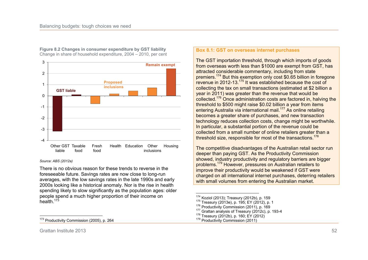

**Figure 8.2 Changes in consumer expenditure by GST liability**  Change in share of household expenditure, 2004 – 2010, per cent

#### *Source: ABS (2012a)*

There is no obvious reason for these trends to reverse in the foreseeable future. Savings rates are now close to long-run averages, with the low savings rates in the late 1990s and early 2000s looking like a historical anomaly. Nor is the rise in health spending likely to slow significantly as the population ages: older people spend a much higher proportion of their income on health.<sup>173</sup>

#### **Box 8.1: GST on overseas internet purchases**

The GST importation threshold, through which imports of goods from overseas worth less than \$1000 are exempt from GST, has attracted considerable commentary, including from state premiers.<sup>174</sup> But this exemption only cost \$0.65 billion in foregone revenue in 2012-13.<sup>175</sup> It was established because the cost of collecting the tax on small transactions (estimated at \$2 billion a year in 2011) was greater than the revenue that would be collected.<sup>176</sup> Once administration costs are factored in, halving the threshold to \$500 might raise \$0.02 billion a year from items entering Australia via international mail.<sup>177</sup> As online retailing becomes a greater share of purchases, and new transaction technology reduces collection costs, change might be worthwhile. In particular, a substantial portion of the revenue could be collected from a small number of online retailers greater than a threshold size, responsible for most of the transactions. $178$ 

The competitive disadvantages of the Australian retail sector run deeper than paying GST. As the Productivity Commission showed, industry productivity and regulatory barriers are bigger problems.<sup>179</sup> However, pressures on Australian retailers to improve their productivity would be weakened if GST were charged on all international internet purchases, deterring retailers with small volumes from entering the Australian market.

<sup>179</sup> Productivity Commission (2011)

 $\overline{a}$ 

<sup>&</sup>lt;sup>174</sup> Koziol (2013); Treasury (2012b), p. 159

<sup>175</sup> Treasury (2013e), p. 195; EY (2012), p. 1

<sup>&</sup>lt;sup>176</sup> Productivity Commission (2011), p. 169

<sup>177</sup> Grattan analysis of Treasury (2012c), p. 193-4

<sup>178</sup> Treasury (2012b), p. 160; EY (2012)

 $\frac{1}{2}$ <sup>173</sup> Productivity Commission (2005), p. 264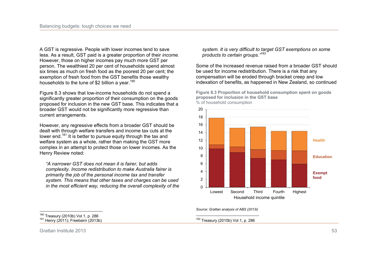A GST is regressive. People with lower incomes tend to save less. As a result, GST paid is a greater proportion of their *income*. However, those on higher incomes pay much more GST per person. The wealthiest 20 per cent of households spend almost six times as much on fresh food as the poorest 20 per cent; the exemption of fresh food from the GST benefits those wealthy households to the tune of \$2 billion a year.<sup>180</sup>

Figure 8.3 shows that low-income households do not spend a significantly greater proportion of their consumption on the goods proposed for inclusion in the new GST base. This indicates that a broader GST would not be significantly more regressive than current arrangements.

However, any regressive effects from a broader GST should be dealt with through welfare transfers and income tax cuts at the lower end.<sup>181</sup> It is better to pursue equity through the tax and welfare system as a whole, rather than making the GST more complex in an attempt to protect those on lower incomes. As the Henry Review noted:

*"A narrower GST does not mean it is fairer, but adds complexity. Income redistribution to make Australia fairer is primarily the job of the personal income tax and transfer system. This means that other taxes and charges can be used in the most efficient way, reducing the overall complexity of the*  *system. It is very difficult to target GST exemptions on some products to certain groups."<sup>182</sup>* 

Some of the increased revenue raised from a broader GST should be used for income redistribution. There is a risk that any compensation will be eroded through bracket creep and low indexation of benefits, as happened in New Zealand, so continued

**Figure 8.3 Proportion of household consumption spent on goods proposed for inclusion in the GST base**  % of household consumption



*Source: Grattan analysis of ABS (2013i)* 

 $\overline{a}$ <sup>182</sup> Treasury (2010b) Vol 1, p. 286

 $\frac{1}{1}$ <sup>180</sup> Treasury (2010b) Vol 1, p. 286 181 Henry (2011); Freebairn (2013b)

Grattan Institute 2013 53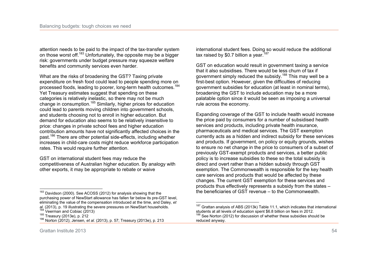attention needs to be paid to the impact of the tax-transfer system on those worst off.<sup>183</sup> Unfortunately, the opposite may be a bigger risk: governments under budget pressure may squeeze welfare benefits and community services even harder.

What are the risks of broadening the GST? Taxing private expenditure on fresh food could lead to people spending more on processed foods, leading to poorer, long-term health outcomes.<sup>184</sup> Yet Treasury estimates suggest that spending on these categories is relatively inelastic, so there may not be much change in consumption.<sup>185</sup> Similarly, higher prices for education could lead to parents moving children into government schools, and students choosing not to enroll in higher education. But demand for education also seems to be relatively insensitive to price: changes in private school fees and higher education contribution amounts have not significantly affected choices in the past.<sup>186</sup> There are other potential side-effects, including whether increases in child-care costs might reduce workforce participation rates. This would require further attention.

GST on international student fees may reduce the competitiveness of Australian higher education. By analogy with other exports, it may be appropriate to rebate or waive

international student fees. Doing so would reduce the additional tax raised by \$0.7 billion a year.<sup>187</sup>

GST on education would result in government taxing a service that it also subsidises. There would be less churn of tax if government simply reduced the subsidy.<sup>188</sup> This may well be a first-best option. However, given the difficulties of reducing government subsidies for education (at least in nominal terms), broadening the GST to include education may be a more palatable option since it would be seen as imposing a universal rule across the economy.

Expanding coverage of the GST to include health would increase the price paid by consumers for a number of subsidised health services and products, including private health insurance, pharmaceuticals and medical services. The GST exemption currently acts as a hidden and indirect subsidy for these services and products. If government, on policy or equity grounds, wishes to ensure no net change in the price to consumers of a subset of previously GST-exempt products and services, a better public policy is to increase subsidies to these so the total subsidy is direct and overt rather than a hidden subsidy through GST exemption. The Commonwealth is responsible for the key health care services and products that would be affected by these changes. The current GST exemption for these services and products thus effectively represents a subsidy from the states – the beneficiaries of GST revenue – to the Commonwealth.

 $\frac{1}{2}$ <sup>183</sup> Davidson (2000). See ACOSS (2012) for analysis showing that the purchasing power of NewStart allowance has fallen far below its pre-GST level, eliminating the value of the compensation introduced at the time, and Daley*, et al.* (2013), p. 19 illustrating the severe pressures on NewStart households.

 $184 \text{ V}$ eerman and Cobiac (2013)

<sup>185</sup> Treasury (2013e), p. 212

<sup>186</sup> Norton (2012); Jensen*, et al.* (2013), p. 57; Treasury (2013e), p. 213

 $\overline{\phantom{a}}$  $187$  Grattan analysis of ABS (2013k) Table 11.1, which indicates that international students at all levels of education spent \$6.8 billion on fees in 2012. <sup>188</sup> See Norton (2012) for discussion of whether these subsidies should be reduced anyway.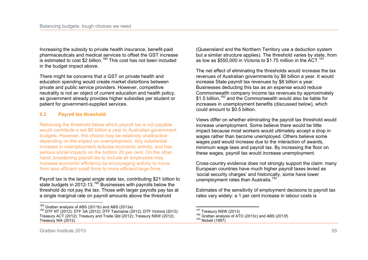Increasing the subsidy to private health insurance, benefit-paid pharmaceuticals and medical services to offset the GST increase is estimated to cost \$2 billion.<sup>189</sup> This cost has not been included in the budget impact above.

There might be concerns that a GST on private health and education spending would create market distortions between private and public service providers. However, competitive neutrality is not an object of current education and health policy, as government already provides higher subsidies per student or patient for government-supplied services.

# **8.2 Payroll tax threshold**

Removing the threshold below which payroll tax is not payable would contribute a net \$6 billion a year to Australian government budgets. However, this choice may be relatively unattractive depending on the impact on unemployment. Any substantial increase in unemployment reduces economic activity, and has serious social impacts on the bottom 20 per cent. On the other hand, broadening payroll tax to include all employees may increase economic efficiency by encouraging activity to move from less efficient small firms to more efficient large firms.

Payroll tax is the largest single state tax, contributing \$21 billion to state budgets in 2012-13.<sup>190</sup> Businesses with payrolls below the threshold do not pay the tax. Those with larger payrolls pay tax at a single marginal rate on payroll amounts above the threshold

 $\frac{1}{1}$  $^{189}$  Grattan analysis of ABS (2011b) and ABS (2013a)

(Queensland and the Northern Territory use a deduction system but a similar structure applies). The threshold varies by state, from as low as \$550,000 in Victoria to \$1.75 million in the  $\text{ACT.}^{191}$ 

The net effect of eliminating the thresholds would increase the tax revenues of Australian governments by \$6 billion a year. It would increase State payroll tax revenues by \$8 billion a year. Businesses deducting this tax as an expense would reduce Commonwealth company income tax revenues by approximately \$1.5 billion,<sup>192</sup> and the Commonwealth would also be liable for increases in unemployment benefits (discussed below), which could amount to \$0.5 billion.

Views differ on whether eliminating the payroll tax threshold would increase unemployment. Some believe there would be little impact because most workers would ultimately accept a drop in wages rather than become unemployed. Others believe some wages paid would increase due to the interaction of awards, minimum wage laws and payroll tax. By increasing the floor on these wages, payroll tax would increase unemployment.

Cross-country evidence does not strongly support the claim: many European countries have much higher payroll taxes levied as 'social security charges' and historically, some have lower unemployment rates than Australia.<sup>193</sup>

Estimates of the sensitivity of employment decisions to payroll tax rates vary widely: a 1 per cent increase in labour costs is

<sup>&</sup>lt;sup>190</sup> DTF NT (2012); DTF SA (2012); DTF Tasmania (2012); DTF Victoria (2012); Treasury ACT (2012); Treasury and Trade Qld (2012); Treasury NSW (2012); Treasury WA (2012)

 $\overline{a}$  $^{191}_{12}$  Treasury NSW (2013)

 $192$  Grattan analysis of ATO (2013c) and ABS (2013f)

<sup>193</sup> Nickell (1997)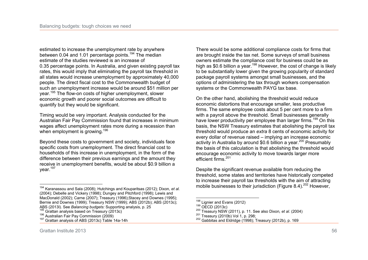estimated to increase the unemployment rate by anywhere between 0.04 and 1.01 percentage points.<sup>194</sup> The median estimate of the studies reviewed is an increase of 0.35 percentage points. In Australia, and given existing payroll tax rates, this would imply that eliminating the payroll tax threshold in all states would increase unemployment by approximately 40,000 people. The direct fiscal cost to the Commonwealth budget of such an unemployment increase would be around \$51 million per year.<sup>195</sup> The flow-on costs of higher unemployment, slower economic growth and poorer social outcomes are difficult to quantify but they would be significant.

Timing would be very important. Analysis conducted for the Australian Fair Pay Commission found that increases in minimum wages affect unemployment rates more during a recession than when employment is growing.<sup>196</sup>

Beyond these costs to government and society, individuals face specific costs from unemployment. The direct financial cost to households of this increase in unemployment, in the form of the difference between their previous earnings and the amount they receive in unemployment benefits, would be about \$0.9 billion a year.<sup>197</sup>

There would be some additional compliance costs for firms that are brought inside the tax net. Some surveys of small business owners estimate the compliance cost for business could be as high as \$0.6 billion a year.<sup>198</sup> However, the cost of change is likely to be substantially lower given the growing popularity of standard package payroll systems amongst small businesses, and the options of administering the tax through workers compensation systems or the Commonwealth PAYG tax base.

On the other hand, abolishing the threshold would reduce economic distortions that encourage smaller, less productive firms. The same employee costs about 5 per cent more to a firm with a payroll above the threshold. Small businesses generally have lower productivity per employee than larger firms.<sup>199</sup> On this basis, the NSW Treasury estimates that abolishing the payroll tax threshold would produce an *extra* 8 cents of economic activity for every dollar of revenue raised – implying an increase economic activity in Australia by around \$0.6 billion a vear.<sup>200</sup> Presumably the basis of this calculation is that abolishing the threshold would encourage economic activity to move towards larger more efficient firms.<sup>201</sup>

Despite the significant revenue available from reducing the threshold, some states and territories have historically competed to increase their payroll tax thresholds with the aim of attracting mobile businesses to their jurisdiction (Figure 8.4).<sup>202</sup> However,

 $\overline{a}$ 

 $\frac{1}{2}$ <sup>194</sup> Karanassou and Sala (2008); Hutchings and Kouparitsas (2012); Dixon*, et al.* (2004); Debelle and Vickery (1998); Dungey and Pitchford (1998); Lewis and MacDonald (2002); Carne (2007); Treasury (1996);Stacey and Downes (1995); Bernie and Downes (1999); Treasury NSW (1999); ABS (2012b); ABS (2013c); ABS (2013l). See *Balancing budgets:* Supporting analysis, p. 25

<sup>195</sup> Grattan analysis based on Treasury (2013c)

<sup>196</sup> Australian Fair Pay Commission (2009)

<sup>&</sup>lt;sup>197</sup> Grattan analysis of ABS (2013c) Table 14a-14h

 $^{198}_{12}$  Lignier and Evans (2012)

<sup>199</sup> OECD (2013c)

<sup>200</sup> Treasury NSW (2011), p. 11. See also Dixon*, et al.* (2004)

 $201$  Treasury (2010b) Vol 1, p. 298;

<sup>202</sup> Gabbitas and Eldridge (1998); Treasury (2012b), p. 169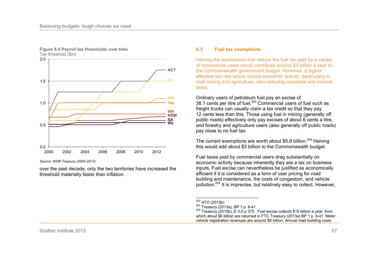

#### **Figure 8.4 Payroll tax thresholds over time**  Tax threshold (\$m)

*Source: NSW Treasury (2000-2013)* 

over the past decade, only the two territories have increased the threshold materially faster than inflation.

### **8.3 Fuel tax exemptions**

Halving the exemptions that reduce the fuel tax paid by a variety of commercial users would contribute around \$3 billion a year to the Commonwealth government budget. However, a higher effective tax rate would reduce economic activity, particularly in coal mining and agriculture, also reducing corporate and income taxes.

Ordinary users of petroleum fuel pay an excise of 38.1 cents per litre of fuel.<sup>203</sup> Commercial users of fuel such as freight trucks can usually claim a tax credit so that they pay 12 cents less than this. Those using fuel in mining (generally off public roads) effectively only pay excises of about 6 cents a litre, and forestry and agriculture users (also generally off public roads) pay close to no fuel tax.

The current exemptions are worth about \$5.8 billion.<sup>204</sup> Halving this would add about \$3 billion to the Commonwealth budget.

Fuel taxes paid by commercial users drag substantially on economic activity because inherently they are a tax on business inputs. Fuel excise can nevertheless be justified as economically efficient if it is considered as a form of user pricing for road building and maintenance, the costs of congestion, and vehicle pollution.<sup>205</sup> It is imprecise, but relatively easy to collect. However,

 $\overline{a}$  $^{203}_{\ldots}$  ATO (2013b)

<sup>204</sup> Treasury (2013a), BP 1 p. 6-41

 $205$  Treasury (2010b), E 3-2 p 375. Fuel excise collects \$15 billion a year, from which about \$6 billion are returned in FTC Treasury (2013a) BP 1 p. 6-41. Motor vehicle registration revenues are around \$8 billion. Annual road building costs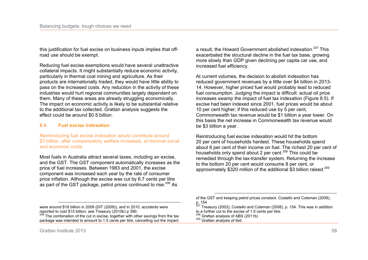this justification for fuel excise on business inputs implies that offroad use should be exempt.

Reducing fuel excise exemptions would have several unattractive collateral impacts. It might substantially reduce economic activity, particularly in thermal coal mining and agriculture. As their products are internationally traded, they would have little ability to pass on the increased costs. Any reduction in the activity of these industries would hurt regional communities largely dependent on them. Many of these areas are already struggling economically. The impact on economic activity is likely to be substantial relative to the additional tax collected. Grattan analysis suggests the effect could be around \$0.5 billion.

## **8.4 Fuel excise indexation**

Reintroducing fuel excise indexation would contribute around \$3 billion, after compensatory welfare increases, at minimal social and economic costs.

Most fuels in Australia attract several taxes, including an excise, and the GST. The GST component automatically increases as the price of fuel increases. Between 1983 and 2001, the excise component was increased each year by the rate of consumer price inflation. Although the excise was cut by 6.7 cents per litre as part of the GST package, petrol prices continued to rise.<sup>206</sup> As

a result, the Howard Government abolished indexation.<sup>207</sup> This exacerbated the structural decline in the fuel tax base, growing more slowly than GDP given declining per capita car use, and increased fuel efficiency.

At current volumes, the decision to abolish indexation has reduced government revenues by a little over \$4 billion in 2013- 14. However, higher priced fuel would probably lead to reduced fuel consumption. Judging the impact is difficult: actual oil price increases swamp the impact of fuel tax indexation (Figure 8.5). If excise had been indexed since 2001, fuel prices would be about 10 per cent higher; if this reduced use by 5 per cent, Commonwealth tax revenue would be \$1 billion a year lower. On this basis the net increase in Commonwealth tax revenue would be \$3 billion a year.

Reintroducing fuel excise indexation would hit the bottom 20 per cent of households hardest. These households spend about 6 per cent of their income on fuel. The richest 20 per cent of households only spend about 2 per cent.<sup>208</sup> This could be remedied through the tax-transfer system. Returning the increase to the bottom 20 per cent would consume 8 per cent, or approximately \$320 million of the additional \$3 billion raised.<sup>209</sup>

 $\overline{a}$ were around \$16 billion in 2009 (DIT (2009)), and in 2010, accidents were reported to cost \$15 billion; see Treasury (2010b) p 390.

<sup>&</sup>lt;sup>206</sup> The combination of the cut in excise, together with other savings from the tax package was intended to amount to 1.5 cents per litre, cancelling out the impact

<sup>&</sup>lt;u>.</u> of the GST and keeping petrol prices constant. Costello and Coleman (2008), p. 154

Treasury (2002); Costello and Coleman (2008), p. 154. This was in addition to a further cut to the excise of 1.5 cents per litre.

<sup>&</sup>lt;sup>208</sup> Grattan analysis of ABS (2011b)

<sup>209</sup> Grattan analysis of ibid.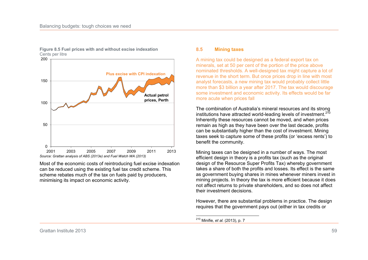

**Figure 8.5 Fuel prices with and without excise indexation**  Cents per litre

Most of the economic costs of reintroducing fuel excise indexation can be reduced using the existing fuel tax credit scheme. This scheme rebates much of the tax on fuels paid by producers, minimising its impact on economic activity.

### **8.5 Mining taxes**

A mining tax could be designed as a federal export tax on minerals, set at 50 per cent of the portion of the price above nominated thresholds. A well-designed tax might capture a lot of revenue in the short term. But once prices drop in line with most analyst forecasts, a new mining tax would probably collect little more than \$3 billion a year after 2017. The tax would discourage some investment and economic activity. Its effects would be far more acute when prices fall

The combination of Australia's mineral resources and its strong institutions have attracted world-leading levels of investment.  $2^{10}$ Inherently these resources cannot be moved, and when prices remain as high as they have been over the last decade, profits can be substantially higher than the cost of investment. Mining taxes seek to capture some of these profits (or 'excess rents') to benefit the community.

Mining taxes can be designed in a number of ways. The most efficient design in theory is a profits tax (such as the original design of the Resource Super Profits Tax) whereby government takes a share of both the profits and losses. Its effect is the same as government buying shares in mines whenever miners invest in mining projects. In theory the tax is more efficient because it does not affect returns to private shareholders, and so does not affect their investment decisions.

However, there are substantial problems in practice. The design requires that the government pays out (either in tax credits or

 $\overline{a}$ <sup>210</sup> Minifie*, et al.* (2013), p. 7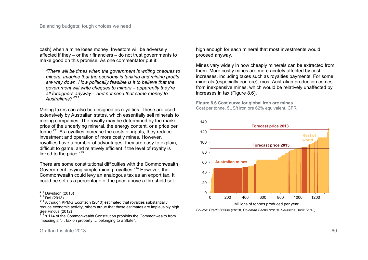cash) when a mine loses money. Investors will be adversely affected if they – or their financiers – do not trust governments to make good on this promise. As one commentator put it:

*"There will be times when the government is writing cheques to miners. Imagine that the economy is tanking and mining profits are way down. How politically feasible is it to believe that the government will write cheques to miners – apparently they're all foreigners anyway – and not send that same money to Australians?"<sup>211</sup>*

Mining taxes can also be designed as royalties. These are used extensively by Australian states, which essentially sell minerals to mining companies. The royalty may be determined by the market price of the underlying mineral, the energy content, or a price per tonne.<sup>212</sup> As royalties increase the costs of inputs, they reduce investment and operation of more costly mines. However, royalties have a number of advantages: they are easy to explain, difficult to game, and relatively efficient if the level of royalty is linked to the price. $213$ 

There are some constitutional difficulties with the Commonwealth Government levying simple mining royalties.<sup>214</sup> However, the Commonwealth could levy an analogous tax as an export tax. It could be set as a percentage of the price above a threshold set

high enough for each mineral that most investments would proceed anyway.

Mines vary widely in how cheaply minerals can be extracted from them. More costly mines are more acutely affected by cost increases, including taxes such as royalties payments. For some minerals (especially iron ore), most Australian production comes from inexpensive mines, which would be relatively unaffected by increases in tax (Figure 8.6).

**Figure 8.6 Cost curve for global iron ore mines**  Cost per tonne, \$US/t iron ore 62% equivalent, CFR



*Source: Credit Suisse (2013), Goldman Sachs (2013), Deutsche Bank (2013)* 

 $\frac{1}{2}$  $\frac{211}{10}$  Davidson (2010)

 $^{212}$  Dol (2013)

<sup>&</sup>lt;sup>213</sup> Although KPMG Econtech (2010) estimated that royalties substantially reduce economic activity, others argue that these estimates are implausibly high. See Pincus (2012)

 $214$  s.114 of the Commonwealth Constitution prohibits the Commonwealth from imposing a "… tax on property … belonging to a State".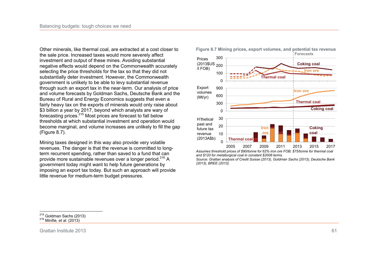Other minerals, like thermal coal, are extracted at a cost closer to the sale price. Increased taxes would more severely affect investment and output of these mines. Avoiding substantial negative effects would depend on the Commonwealth accurately selecting the price thresholds for the tax so that they did not substantially deter investment. However, the Commonwealth government is unlikely to be able to levy substantial revenue through such an export tax in the near-term. Our analysis of price and volume forecasts by Goldman Sachs, Deutsche Bank and the Bureau of Rural and Energy Economics suggests that even a fairly heavy tax on the exports of minerals would only raise about \$3 billion a year by 2017, beyond which analysts are wary of forecasting prices.<sup>215</sup> Most prices are forecast to fall below thresholds at which substantial investment and operation would become marginal, and volume increases are unlikely to fill the gap (Figure 8.7).

Mining taxes designed in this way also provide very volatile revenues. The danger is that the revenue is committed to longterm recurrent spending, rather than saved to a fund that can provide more sustainable revenues over a longer period.<sup>216</sup> A government today might want to help future generations by imposing an export tax today. But such an approach will provide little revenue for medium-term budget pressures.



**Figure 8.7 Mining prices, export volumes, and potential tax revenue** 

*Assumes threshold prices of \$90/tonne for 62% iron ore FOB; \$75/tonne for thermal coal and \$120 for metallurgical coal in constant \$2008 terms.* 

*Source: Grattan analysis of Credit Suisse (2013), Goldman Sachs (2013), Deutsche Bank (2013), BREE (2013).* 

 $\overline{a}$  $^{215}$  Goldman Sachs (2013)

<sup>216</sup> Minifie*, et al.* (2013)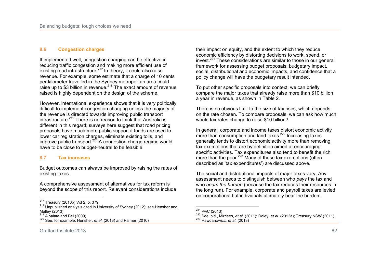# **8.6 Congestion charges**

If implemented well, congestion charging can be effective in reducing traffic congestion and making more efficient use of existing road infrastructure.<sup>217</sup> In theory, it could also raise revenue. For example, some estimate that a charge of 10 cents per kilometer travelled in the Sydney metropolitan area could raise up to \$3 billion in revenue.<sup>218</sup> The exact amount of revenue raised is highly dependent on the design of the scheme.

However, international experience shows that it is very politically difficult to implement congestion charging unless the majority of the revenue is directed towards improving public transport infrastructure.<sup>219</sup> There is no reason to think that Australia is different in this regard; surveys here suggest that road pricing proposals have much more public support if funds are used to lower car registration charges, eliminate existing tolls, and improve public transport. $220$  A congestion charge regime would have to be close to budget-neutral to be feasible.

## **8.7 Tax increases**

Budget outcomes can always be improved by raising the rates of existing taxes.

A comprehensive assessment of alternatives for tax reform is beyond the scope of this report. Relevant considerations include their impact on equity, and the extent to which they reduce economic efficiency by distorting decisions to work, spend, or invest.<sup>221</sup> These considerations are similar to those in our general framework for assessing budget proposals: budgetary impact, social, distributional and economic impacts, and confidence that a policy change will have the budgetary result intended.

To put other specific proposals into context, we can briefly compare the major taxes that already raise more than \$10 billion a year in revenue, as shown in Table 2.

There is no obvious limit to the size of tax rises, which depends on the rate chosen. To compare proposals, we can ask how much would tax rates change to raise \$10 billion?

In general, corporate and income taxes distort economic activity more than consumption and land taxes.<sup>222</sup> Increasing taxes generally tends to distort economic activity more than removing tax exemptions that are by definition aimed at encouraging specific activities. Tax expenditures also tend to benefit the rich more than the poor.<sup>223</sup> Many of these tax exemptions (often described as 'tax expenditures') are discussed above.

The social and distributional impacts of major taxes vary. Any assessment needs to distinguish between who *pays* the tax and who *bears the burden* (because the tax reduces their resources in the long run). For example, corporate and payroll taxes are levied on corporations, but individuals ultimately bear the burden.

 $\frac{1}{2}$  $^{217}_{21}$  Treasury (2010b) Vol 2, p. 379

<sup>218</sup> Unpublished analysis cited in University of Sydney (2012); see Hensher and Mulley (2013)

 $219$  Albalate and Bel (2009)

<sup>220</sup> See, for example, Hensher*, et al.* (2013) and Palmer (2010)

 $\overline{a}$  $\frac{221}{10}$  PwC (2013)

<sup>222</sup> See ibid., Mirrlees*, et al.* (2011); Daley*, et al.* (2012a); Treasury NSW (2011). <sup>223</sup> Rawdanowicz*, et al.* (2013)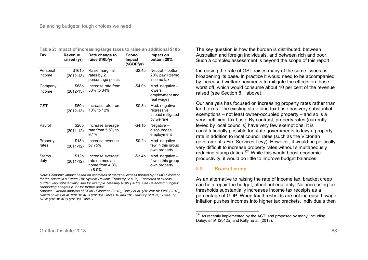| Tax                | <b>Revenue</b><br>raised (yr)    | Rate change to<br>raise \$10b/yr                                | Econo.<br><b>Impact</b><br>(\$GDP/yr) | Impact on<br>bottom 20%                                         |
|--------------------|----------------------------------|-----------------------------------------------------------------|---------------------------------------|-----------------------------------------------------------------|
| Personal<br>income | \$161b<br>$(2012-13)$            | Raise marginal<br>rates by 2<br>percentage points               | $- $2.4b$                             | Neutral - bottom<br>20% pay little/no<br>income tax             |
| Company<br>income  | \$68b<br>$(2012-13)$             | Increase rate from<br>30% to 34%                                | -\$4.0b                               | Mod. negative -<br>lowers<br>employment and<br>real wages       |
| GST                | \$50b<br>$(2012-13)$             | Increase rate from<br>10% to 12%                                | $-$0.8b$                              | Mod. negative -<br>regressive<br>impact mitigated<br>by welfare |
| Payroll            | \$20b<br>$(2011-12)$             | Increase average<br>rate from 5.5% to<br>9.1%                   | -\$4.1b                               | Negative $-$<br>discourages<br>employment                       |
| Property<br>rates  | \$13b<br>$(2011-12)$             | Increase revenue<br>by 75%                                      | $-$0.2b$                              | Mod. negative -<br>few in this group<br>own property            |
| Stamp<br>duty      | \$12 <sub>b</sub><br>$(2011-12)$ | Increase average<br>rate on median<br>home from 4.8%<br>to 8.9% | $-$3.4b$                              | Mod. negative -<br>few in this group<br>own property            |

**Table 2: Impact of increasing large taxes to raise an additional \$10b** 

*Note: Economic impact based on estimates of marginal excess burden by KPMG Econtech for the Australia's Future Tax System Review (Treasury (2010b). Estimates of excess burden vary substantially: see for example Treasury NSW (2011). See Balancing budgets: Supporting analysis p. 27 for further detail.* 

*Sources: Grattan analysis of KPMG Econtech (2010); Daley et al. (2012a); b); PwC (2013); Rawdanowicz et al. (2013); ABS (2013o) Tables 10 and 18; Treasury (2013a); Treasury NSW (2013); ABS (2013h) Table 7* 

The key question is how the burden is distributed: between Australian and foreign individuals, and between rich and poor. Such a complex assessment is beyond the scope of this report.

Increasing the rate of GST raises many of the same issues as broadening its base. In practice it would need to be accompanied by increased welfare payments to mitigate the effects on those worst off, which would consume about 10 per cent of the revenue raised (see Section 8.1 above).

Our analysis has focused on increasing property rates rather than land taxes. The existing state land tax base has very substantial exemptions – not least owner-occupied property – and so is a very inefficient tax base. By contrast, property rates (currently levied by local councils) have very few exemptions. It is constitutionally possible for state governments to levy a property rate in addition to local council rates (such as the Victorian government's Fire Services Levy). However, it would be politically very difficult to increase property rates without simultaneously reducing stamp duties.<sup>224</sup> While this would boost economic productivity, it would do little to improve budget balances.

## **8.8 Bracket creep**

As an alternative to raising the rate of income tax, bracket creep can help repair the budget, albeit not equitably. Not increasing tax thresholds substantially increases income tax receipts as a percentage of GDP. When tax thresholds are not increased, wage inflation pushes incomes into higher tax brackets. Individuals then

 $\overline{a}$  $224$  As recently implemented by the ACT, and proposed by many, including Daley*, et al.* (2012a) and Kelly*, et al.* (2013).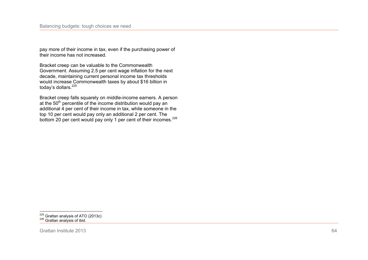pay more of their income in tax, even if the purchasing power of their income has not increased.

Bracket creep can be valuable to the Commonwealth Government. Assuming 2.5 per cent wage inflation for the next decade, maintaining current personal income tax thresholds would increase Commonwealth taxes by about \$16 billion in today's dollars.<sup>225</sup>

Bracket creep falls squarely on middle-income earners. A person at the 50<sup>th</sup> percentile of the income distribution would pay an additional 4 per cent of their income in tax, while someone in the top 10 per cent would pay only an additional 2 per cent. The bottom 20 per cent would pay only 1 per cent of their incomes.<sup>226</sup>

 $\overline{a}$  $225$  Grattan analysis of ATO (2013c) <sup>226</sup> Grattan analysis of ibid.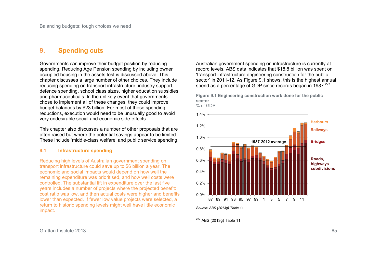# **9. Spending cuts**

Governments can improve their budget position by reducing spending. Reducing Age Pension spending by including owner occupied housing in the assets test is discussed above. This chapter discusses a large number of other choices. They include reducing spending on transport infrastructure, industry support, defence spending, school class sizes, higher education subsidies and pharmaceuticals. In the unlikely event that governments chose to implement all of these changes, they could improve budget balances by \$23 billion. For most of these spending reductions, execution would need to be unusually good to avoid very undesirable social and economic side-effects

This chapter also discusses a number of other proposals that are often raised but where the potential savings appear to be limited. These include 'middle-class welfare' and public service spending,

## **9.1 Infrastructure spending**

Reducing high levels of Australian government spending on transport infrastructure could save up to \$6 billion a year. The economic and social impacts would depend on how well the remaining expenditure was prioritised, and how well costs were controlled. The substantial lift in expenditure over the last five years includes a number of projects where the projected benefit: cost ratio was low, and then actual costs were higher and benefits lower than expected. If fewer low value projects were selected, a return to historic spending levels might well have little economic impact.

Australian government spending on infrastructure is currently at record levels. ABS data indicates that \$18.8 billion was spent on 'transport infrastructure engineering construction for the public sector' in 2011-12. As Figure 9.1 shows, this is the highest annual spend as a percentage of GDP since records began in  $1987.<sup>227</sup>$ 



**Figure 9.1 Engineering construction work done for the public sector**  % of GDP

## <sup>227</sup> ABS (2013g) Table 11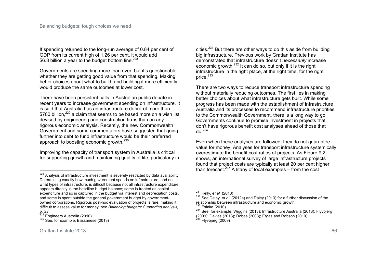If spending returned to the long-run average of 0.84 per cent of GDP from its current high of 1.26 per cent, it would add \$6.3 billion a year to the budget bottom line. $228$ 

Governments are spending more than ever, but it's questionable whether they are getting good value from that spending. Making better choices about what to build, and building it more efficiently, would produce the same outcomes at lower cost.

There have been persistent calls in Australian public debate in recent years to increase government spending on infrastructure. It is said that Australia has an infrastructure deficit of more than \$700 billion.<sup>229</sup> a claim that seems to be based more on a wish list devised by engineering and construction firms than on any rigorous economic analysis. Recently, the new Commonwealth Government and some commentators have suggested that going further into debt to fund infrastructure would be their preferred approach to boosting economic growth.<sup>230</sup>

Improving the capacity of transport system in Australia is critical for supporting growth and maintaining quality of life, particularly in cities. $^{231}$  But there are other ways to do this aside from building big infrastructure. Previous work by Grattan Institute has demonstrated that infrastructure doesn't *necessarily* increase economic growth.<sup>232</sup> It can do so, but only if it is the right infrastructure in the right place, at the right time, for the right price. $^{233}$ 

There are two ways to reduce transport infrastructure spending without materially reducing outcomes. The first lies in making better choices about what infrastructure gets built. While some progress has been made with the establishment of Infrastructure Australia and its processes to recommend infrastructure priorities to the Commonwealth Government, there is a long way to go. Governments continue to promise investment in projects that don't have rigorous benefit cost analyses ahead of those that do. $^{234}$ 

Even when these analyses are followed, they do not guarantee value for money. Analyses for transport infrastructure systemically overestimate the benefit cost ratios of projects. As Figure 9.2 shows, an international survey of large infrastructure projects found that project costs are typically at least 20 per cent higher than forecast.<sup>235</sup> A litany of local examples – from the cost

 $\overline{a}$ <sup>228</sup> Analysis of infrastructure investment is severely restricted by data availability. Determining exactly how much government spends on infrastructure, and on what types of infrastructure, is difficult because not all infrastructure expenditure appears directly in the headline budget balance; some is treated as capital expenditure and so is captured in the budget via interest and depreciation costs, and some is spent outside the general government budget by governmentowned corporations. Rigorous post-hoc evaluation of projects is rare, making it difficult to assess value for money: see *Balancing budgets: Supporting analysis, p. 33* 

<sup>&</sup>lt;sup>229</sup> Engineers Australia (2010)

<sup>&</sup>lt;sup>230</sup> See, for example, Bassanese (2013)

 $\overline{a}$ <sup>231</sup> Kelly*, et al.* (2013)

<sup>&</sup>lt;sup>232</sup> See Daley, et al. (2012a) and Daley (2013) for a further discussion of the relationship between infrastructure and economic growth.

 $233$  Eslake (2010)

<sup>&</sup>lt;sup>234</sup> See, for example, Wiggins (2013); Infrastructure Australia (2013); Flyvbjerg (2009); Davies (2013); Dobes (2008); Ergas and Robson (2010)  $235$  Flyvbjerg (2009)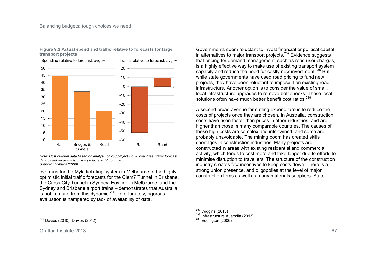

**Figure 9.2 Actual spend and traffic relative to forecasts for large transport projects** 

*Note: Cost overrun data based on analysis of 258 projects in 20 countries; traffic forecast data based on analysis of 208 projects in 14 countries. Source: Flyvbjerg (2009)* 

overruns for the Myki ticketing system in Melbourne to the highly optimistic initial traffic forecasts for the Clem7 Tunnel in Brisbane, the Cross City Tunnel in Sydney, Eastlink in Melbourne, and the Sydney and Brisbane airport trains – demonstrates that Australia is not immune from this dynamic.<sup>236</sup> Unfortunately, rigorous evaluation is hampered by lack of availability of data.

Governments seem reluctant to invest financial or political capital in alternatives to major transport projects. $237$  Evidence suggests that pricing for demand management, such as road user charges, is a highly effective way to make use of existing transport system capacity and reduce the need for costly new investment.<sup>238</sup> But while state governments have used road pricing to fund new projects, they have been reluctant to impose it on existing road infrastructure. Another option is to consider the value of small, local infrastructure upgrades to remove bottlenecks. These local solutions often have much better benefit cost ratios. $239$ 

A second broad avenue for cutting expenditure is to reduce the costs of projects once they are chosen. In Australia, construction costs have risen faster than prices in other industries, and are higher than those in many comparable countries. The causes of these high costs are complex and intertwined, and some are probably unavoidable. The mining boom has created skills shortages in construction industries. Many projects are constructed in areas with existing residential and commercial activity, which tends to cost more and take longer due to efforts to minimise disruption to travellers. The structure of the construction industry creates few incentives to keep costs down. There is a strong union presence, and oligopolies at the level of major construction firms as well as many materials suppliers. State

Grattan Institute 2013 67

 $\frac{1}{2}$ 

 $\overline{a}$ 

<sup>238</sup> Infrastructure Australia (2013)

Davies (2010); Davies (2012)

 $\frac{237}{100}$  Wiggins (2013)

 $239$  Eddington (2006)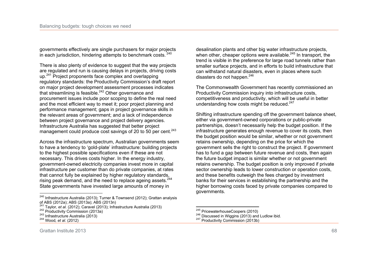governments effectively are single purchasers for major projects in each jurisdiction, hindering attempts to benchmark costs.  $240$ 

There is also plenty of evidence to suggest that the way projects are regulated and run is causing delays in projects, driving costs up.<sup>241</sup> Project proponents face complex and overlapping regulatory standards: the Productivity Commission's draft report on major project development assessment processes indicates that streamlining is feasible.<sup>242</sup> Other governance and procurement issues include poor scoping to define the real need and the most efficient way to meet it; poor project planning and performance management; gaps in project governance skills in the relevant areas of government; and a lack of independence between project governance and project delivery agencies. Infrastructure Australia has suggested that better project management could produce cost savings of 20 to 50 per cent.<sup>243</sup>

Across the infrastructure spectrum, Australian governments seem to have a tendency to 'gold-plate' infrastructure: building projects to the highest possible specifications even if these are not necessary. This drives costs higher. In the energy industry, government-owned electricity companies invest more in capital infrastructure per customer than do private companies, at rates that cannot fully be explained by higher regulatory standards, rising peak demand, and the need to replace ageing assets.<sup>244</sup> State governments have invested large amounts of money in

desalination plants and other big water infrastructure projects, when other, cheaper options were available.<sup>245</sup> In transport, the trend is visible in the preference for large road tunnels rather than smaller surface projects, and in efforts to build infrastructure that can withstand natural disasters, even in places where such disasters do not happen. $246$ 

The Commonwealth Government has recently commissioned an Productivity Commission inquiry into infrastructure costs, competitiveness and productivity, which will be useful in better understanding how costs might be reduced. $247$ 

Shifting infrastructure spending off the government balance sheet, either via government-owned corporations or public-private partnerships, doesn't necessarily help the budget position. If the infrastructure generates enough revenue to cover its costs, then the budget position would be similar, whether or not government retains ownership, depending on the price for which the government sells the right to construct the project. If government has to fund a gap between future revenue and costs, then again the future budget impact is similar whether or not government retains ownership. The budget position is only improved if private sector ownership leads to lower construction or operation costs, and these benefits outweigh the fees charged by investment banks for their services in establishing the partnership and the higher borrowing costs faced by private companies compared to governments.

 $\frac{1}{2}$ <sup>240</sup> Infrastructure Australia (2013); Turner & Townsend (2012); Grattan analysis of ABS (2012a); ABS (2013a); ABS (2013n)

<sup>241</sup> Taylor*, et al.* (2012); Caravel (2013); Infrastructure Australia (2013)

 $242$  Productivity Commission (2013a)

<sup>243</sup> Infrastructure Australia (2013)

<sup>244</sup> Wood*, et al.* (2012)

 $\overline{a}$  $\frac{^{245}}{^{245}}$  PricewaterhouseCoopers (2010)

<sup>&</sup>lt;sup>246</sup> Discussed in Wiggins (2013) and Ludlow ibid.

<sup>&</sup>lt;sup>247</sup> Productivity Commission (2013b)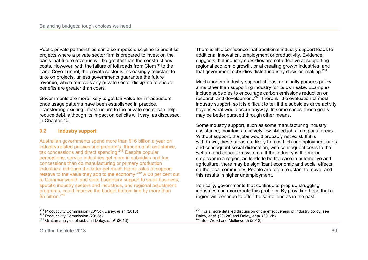Public-private partnerships can also impose discipline to prioritise projects where a private sector firm is prepared to invest on the basis that future revenue will be greater than the constructions costs. However, with the failure of toll roads from Clem 7 to the Lane Cove Tunnel, the private sector is increasingly reluctant to take on projects, unless governments guarantee the future revenue, which removes any private sector discipline to ensure benefits are greater than costs.

Governments are more likely to get fair value for infrastructure once usage patterns have been established in practice. Transferring existing infrastructure to the private sector can help reduce debt, although its impact on deficits will vary, as discussed in Chapter 10.

# **9.2 Industry support**

Australian governments spend more than \$16 billion a year on industry-related policies and programs, through tariff assistance, tax concessions and direct spending.<sup>248</sup> Despite popular perceptions, service industries get more in subsidies and tax concessions than do manufacturing or primary production industries, although the latter get much higher rates of support relative to the value they add to the economy.<sup>249</sup> A 50 per cent cut to Commonwealth and state budgetary support to small business, specific industry sectors and industries, and regional adjustment programs, could improve the budget bottom line by more than  $$5$  billion.<sup>250</sup>

 $\frac{1}{2}$ <sup>248</sup> Productivity Commission (2013c); Daley*, et al.* (2013) There is little confidence that traditional industry support leads to additional innovation, employment or productivity. Evidence suggests that industry subsidies are not effective at supporting regional economic growth, or at creating growth industries, and that government subsidies distort industry decision-making.<sup>251</sup>

Much modern industry support at least nominally pursues policy aims other than supporting industry for its own sake. Examples include subsidies to encourage carbon emissions reduction or research and development.<sup>252</sup> There is little evaluation of most industry support, so it is difficult to tell if the subsidies drive activity beyond what would occur anyway. In some cases, these goals may be better pursued through other means.

Some industry support, such as some manufacturing industry assistance, maintains relatively low-skilled jobs in regional areas. Without support, the jobs would probably not exist. If it is withdrawn, these areas are likely to face high unemployment rates and consequent social dislocation, with consequent costs to the welfare and education systems. If the industry is the major employer in a region, as tends to be the case in automotive and agriculture, there may be significant economic and social effects on the local community. People are often reluctant to move, and this results in higher unemployment.

Ironically, governments that continue to prop up struggling industries can exacerbate this problem. By providing hope that a region will continue to offer the same jobs as in the past,

<sup>&</sup>lt;sup>249</sup> Productivity Commission (2013c)

<sup>250</sup> Grattan analysis of ibid. and Daley*, et al.* (2013)

 $\overline{a}$ <sup>251</sup> For a more detailed discussion of the effectiveness of industry policy, see Daley*, et al.* (2012a) and Daley*, et al.* (2012b)  $252$  See Wood and Mullerworth (2012)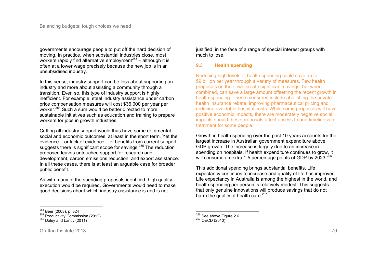governments encourage people to put off the hard decision of moving. In practice, when substantial industries close, most workers rapidly find alternative employment<sup> $253$ </sup> – although it is often at a lower wage precisely because the new job is in an unsubsidised industry.

In this sense, industry support can be less about supporting an industry and more about assisting a community through a transition. Even so, this type of industry support is highly inefficient. For example, steel industry assistance under carbon price compensation measures will cost \$36,000 per year per worker.<sup>254</sup> Such a sum would be better directed to more sustainable initiatives such as education and training to prepare workers for jobs in growth industries.

Cutting all industry support would thus have some detrimental social and economic outcomes, at least in the short term. Yet the evidence – or lack of evidence – of benefits from current support suggests there is significant scope for savings.<sup>255</sup> The reduction proposed leaves untouched support for research and development, carbon emissions reduction, and export assistance. In all these cases, there is at least an arguable case for broader public benefit.

As with many of the spending proposals identified, high quality execution would be required. Governments would need to make good decisions about which industry assistance is and is not

justified, in the face of a range of special interest groups with much to lose.

# **9.3 Health spending**

Reducing high levels of health spending could save up to \$9 billion per year through a variety of measures. Few health proposals on their own create significant savings, but when combined, can save a large amount offsetting the recent growth in health spending. These measures include abolishing the private health insurance rebate, improving pharmaceutical pricing and reducing avoidable hospital costs. While some proposals will have positive economic impacts, there are moderately negative social impacts should these proposals affect access to and timeliness of treatment for some people.

Growth in health spending over the past 10 years accounts for the largest increase in Australian government expenditure above GDP growth. The increase is largely due to an increase in spending on hospitals. If health expenditure continues to grow, it will consume an extra 1.5 percentage points of GDP by  $2023^{256}$ 

This additional spending brings substantial benefits. Life expectancy continues to increase and quality of life has improved. Life expectancy in Australia is among the highest in the world, and health spending per person is relatively modest. This suggests that only genuine innovations will produce savings that do not harm the quality of health care.<sup>257</sup>

 $\frac{1}{2}$  $^{253}_{\sim}$  Beer (2008), p. 324

 $254$  Productivity Commission (2012)

 $^{255}$  Daley and Lancy (2011)

 $\overline{a}$  $^{256}_{\sim}$  See above Figure 2.6

 $257$  OECD (2010)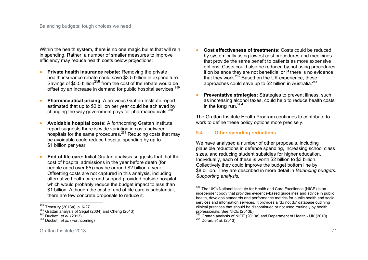Within the health system, there is no one magic bullet that will rein in spending. Rather, a number of smaller measures to improve efficiency may reduce health costs below projections:

- **Private health insurance rebate:** Removing the private health insurance rebate could save \$3.5 billion in expenditure. Savings of \$5.5 billion<sup>258</sup> from the cost of the rebate would be offset by an increase in demand for public hospital services.<sup>259</sup>
- **Pharmaceutical pricing:** A previous Grattan Institute report estimated that up to \$2 billion per year could be achieved by changing the way government pays for pharmaceuticals.<sup>260</sup>
- x **Avoidable hospital costs:** A forthcoming Grattan Institute report suggests there is wide variation in costs between hospitals for the same procedures.<sup>261</sup> Reducing costs that may be avoidable could reduce hospital spending by up to \$1 billion per year.
- **End of life care:** Initial Grattan analysis suggests that that the cost of hospital admissions in the year before death (for people aged over 65) may be around \$2 billion a year. Offsetting costs are not captured in this analysis, including alternative health care and support provided outside hospital, which would probably reduce the budget impact to less than \$1 billion. Although the cost of end of life care is substantial, there are few concrete proposals to reduce it.
- **Cost effectiveness of treatments: Costs could be reduced** by systemically using lowest cost procedures and medicines that provide the same benefit to patients as more expensive options. Costs could also be reduced by not using procedures if on balance they are not beneficial or if there is no evidence that they work. $262$  Based on the UK experience, these approaches could save up to \$2 billion in Australia.<sup>263</sup>
- **Preventative strategies:** Strategies to prevent illness, such as increasing alcohol taxes, could help to reduce health costs in the long run.  $264$

The Grattan Institute Health Program continues to contribute to work to define these policy options more precisely.

### **9.4 Other spending reductions**

We have analysed a number of other proposals, including plausible reductions in defence spending, increasing school class sizes, and reducing student subsidies for higher education. Individually, each of these is worth \$2 billion to \$3 billion. Collectively they could improve the budget bottom line by \$8 billion. They are described in more detail in *Balancing budgets: Supporting analysis.*

 $\overline{a}$ <sup>258</sup> Treasury (2013a), p. 6-27

 $^{259}$  Grattan analysis of Segal (2004) and Cheng (2013)

<sup>260</sup> Duckett*, et al.* (2013)

<sup>261</sup> Duckett*, et al.* (Forthcoming)

 $\overline{a}$ <sup>262</sup> The UK's National Institute for Health and Care Excellence (NICE) is an independent body that provides evidence-based guidelines and advice in public health, develops standards and performance metrics for public health and social services and information services. It provides a 'do not do' database outlining clinical practices that should be discontinued or not used routinely by health professionals. See NICE (2013b)

 $263$  Grattan analysis of NICE (2013a) and Department of Health - UK (2010) <sup>264</sup> Doran*, et al.* (2013)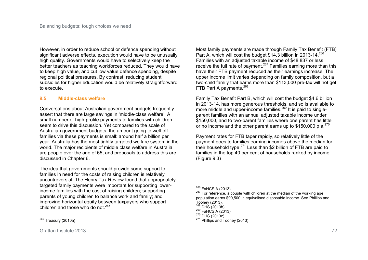However, in order to reduce school or defence spending without significant adverse effects, execution would have to be unusually high quality. Governments would have to selectively keep the better teachers as teaching workforces reduced. They would have to keep high value, and cut low value defence spending, despite regional political pressures. By contrast, reducing student subsidies for higher education would be relatively straightforward to execute.

### **9.5 Middle-class welfare**

Conversations about Australian government budgets frequently assert that there are large savings in 'middle-class welfare'. A small number of high-profile payments to families with children seem to drive this discussion. Yet compared to the scale of Australian government budgets, the amount going to well-off families via these payments is small: around half a billion per year. Australia has the most tightly targeted welfare system in the world. The major recipients of middle class welfare in Australia are people over the age of 65, and proposals to address this are discussed in Chapter 6.

The idea that governments should provide some support to families in need for the costs of raising children is relatively uncontroversial. The Henry Tax Review found that appropriately targeted family payments were important for supporting lowerincome families with the cost of raising children; supporting parents of young children to balance work and family; and improving horizontal equity between taxpayers who support children and those who do not  $265$ 

 $\frac{1}{2}$ <sup>265</sup> Treasury (2010a)

Most family payments are made through Family Tax Benefit (FTB) Part A, which will cost the budget \$14.3 billion in 2013-14.<sup>266</sup> Families with an adjusted taxable income of \$48,837 or less receive the full rate of payment.<sup>267</sup> Families earning more than this have their FTB payment reduced as their earnings increase. The upper income limit varies depending on family composition, but a two-child family that earns more than \$113,000 pre-tax will not get FTB Part A payments.<sup>268</sup>

Family Tax Benefit Part B, which will cost the budget \$4.6 billion in 2013-14, has more generous thresholds, and so is available to more middle and upper-income families.<sup>269</sup> It is paid to singleparent families with an annual adjusted taxable income under \$150,000, and to two-parent families where one parent has little or no income and the other parent earns up to  $$150,000$  p.a.<sup>270</sup>

Payment rates for FTB taper rapidly, so relatively little of the payment goes to families earning incomes above the median for their household type.<sup>271</sup> Less than \$2 billion of FTB are paid to families in the top 40 per cent of households ranked by income (Figure 9.3)

 $\overline{a}$  $^{266}_{\sim}$  FaHCSIA (2013)

 $267$  For reference, a couple with children at the median of the working age population earns \$90,500 in equivalised disposable income. See Phillips and Toohey (2013).

<sup>268</sup> DHS (2013b)

 $269$  FaHCSIA (2013)

 $270$  DHS (2013c)

 $271$  Phillips and Toohey (2013)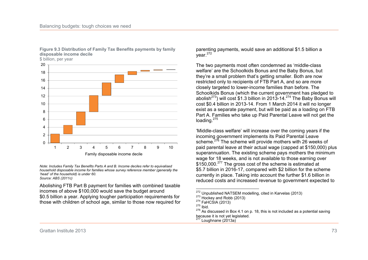

#### **Figure 9.3 Distribution of Family Tax Benefits payments by family disposable income decile**

\$ billion, per year

*Note: Includes Family Tax Benefits Parts A and B. Income deciles refer to equivalised household disposable income for families whose survey reference member (generally the 'head' of the household) is under 60. Source: ABS (2011c)* 

Abolishing FTB Part B payment for families with combined taxable incomes of above \$100,000 would save the budget around \$0.5 billion a year. Applying tougher participation requirements for those with children of school age, similar to those now required for

parenting payments, would save an additional \$1.5 billion a  $vear.<sup>272</sup>$ 

The two payments most often condemned as 'middle-class welfare' are the Schoolkids Bonus and the Baby Bonus, but they're a small problem that's getting smaller. Both are now restricted only to recipients of FTB Part A, and so are more closely targeted to lower-income families than before. The Schoolkids Bonus (which the current government has pledged to abolish<sup>273</sup>) will cost \$1.3 billion in 2013-14.<sup>274</sup> The Baby Bonus will cost \$0.4 billion in 2013-14. From 1 March 2014 it will no longer exist as a separate payment, but will be paid as a loading on FTB Part A. Families who take up Paid Parental Leave will not get the loading.<sup>275</sup>

'Middle-class welfare' will increase over the coming years if the incoming government implements its Paid Parental Leave scheme.<sup>276</sup> The scheme will provide mothers with 26 weeks of paid parental leave at their actual wage (capped at \$150,000) plus superannuation. The existing scheme pays mothers the minimum wage for 18 weeks, and is not available to those earning over \$150,000.<sup>277</sup> The gross cost of the scheme is estimated at \$5.7 billion in 2016-17, compared with \$2 billion for the scheme currently in place. Taking into account the further \$1.6 billion in reduced costs and increased revenue to government expected to

 $\overline{a}$  $^{272}_{22}$  Unpublished NATSEM modelling, cited in Karvelas (2013)

 $273$  Hockey and Robb (2013)

<sup>274</sup> FaHCSIA (2013)

<sup>275</sup> Ibid.

 $276$  As discussed in Box 4.1 on p. 18, this is not included as a potential saving because it is not yet legislated.

 $277$  Loughnane (2013a)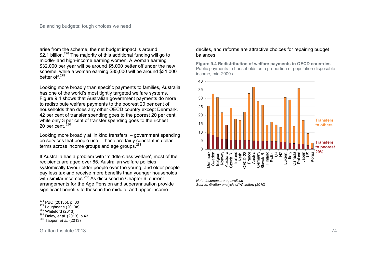arise from the scheme, the net budget impact is around \$2.1 billion.<sup>278</sup> The majority of this additional funding will go to middle- and high-income earning women. A woman earning \$32,000 per year will be around \$5,000 better off under the new scheme, while a woman earning \$85,000 will be around \$31,000 better off<sup>279</sup>

Looking more broadly than specific payments to families, Australia has one of the world's most tightly targeted welfare systems. Figure 9.4 shows that Australian government payments do more to redistribute welfare payments to the poorest 20 per cent of households than does any other OECD country except Denmark. 42 per cent of transfer spending goes to the poorest 20 per cent, while only 3 per cent of transfer spending goes to the richest 20 per cent.  $280$ 

Looking more broadly at 'in kind transfers' – government spending on services that people use – these are fairly constant in dollar terms across income groups and age groups.<sup>281</sup>

If Australia has a problem with 'middle-class welfare', most of the recipients are aged over 65. Australian welfare policies systemically favour older people over the young, and older people pay less tax and receive more benefits than younger households with similar incomes.<sup>282</sup> As discussed in Chapter 6, current arrangements for the Age Pension and superannuation provide significant benefits to those in the middle- and upper-income

# 25

deciles, and reforms are attractive choices for repairing budget balances.

**Figure 9.4 Redistribution of welfare payments in OECD countries**  Public payments to households as a proportion of population disposable income, mid-2000s



*Note: Incomes are equivalised Source: Grattan analysis of Whiteford (2010)* 

 $\frac{1}{2}$  $^{278}_{\phantom{1}-\phantom{1}-\phantom{1}}$  PBO (2013b), p. 30

 $279$  Loughnane (2013a)

 $280$  Whiteford (2013)

<sup>281</sup> Daley*, et al.* (2013), p.43

<sup>282</sup> Tapper*, et al.* (2013)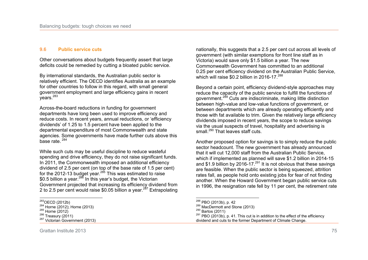#### **9.6 Public service cuts**

Other conversations about budgets frequently assert that large deficits could be remedied by cutting a bloated public service.

By international standards, the Australian public sector is relatively efficient. The OECD identifies Australia as an example for other countries to follow in this regard, with small general government employment and large efficiency gains in recent years.<sup>283</sup>

Across-the-board reductions in funding for government departments have long been used to improve efficiency and reduce costs. In recent years, annual reductions, or 'efficiency dividends' of 1.25 to 1.5 percent have been applied to the departmental expenditure of most Commonwealth and state agencies. Some governments have made further cuts above this base rate. $284$ 

While such cuts may be useful discipline to reduce wasteful spending and drive efficiency, they do not raise significant funds. In 2011, the Commonwealth imposed an additional efficiency dividend of 2.5 per cent (on top of the base rate of 1.5 per cent) for the 2012-13 budget year.<sup>285</sup> This was estimated to raise \$0.5 billion a year.<sup>286</sup> In this year's budget, the Victorian Government projected that increasing its efficiency dividend from 2 to 2.5 per cent would raise \$0.05 billion a year.<sup>287</sup> Extrapolating nationally, this suggests that a 2.5 per cent cut across all levels of government (with similar exemptions for front line staff as in Victoria) would save only \$1.5 billion a year. The new Commonwealth Government has committed to an additional 0.25 per cent efficiency dividend on the Australian Public Service, which will raise \$0.2 billion in 2016-17.<sup>288</sup>

Beyond a certain point, efficiency dividend-style approaches may reduce the capacity of the public service to fulfill the functions of government.<sup>289</sup> Cuts are indiscriminate, making little distinction between high-value and low-value functions of government, or between departments which are already operating efficiently and those with fat available to trim. Given the relatively large efficiency dividends imposed in recent years, the scope to reduce savings via the usual suspects of travel, hospitality and advertising is small.<sup>290</sup> That leaves staff cuts.

Another proposed option for savings is to simply reduce the public sector headcount. The new government has already announced that it will cut 12,000 staff from the Australian Public Service, which if implemented as planned will save \$1.2 billion in 2014-15 and \$1.9 billion by 2016-17. $^{291}$  It is not obvious that these savings are feasible. When the public sector is being squeezed, attrition rates fall, as people hold onto existing jobs for fear of not finding another. When the Howard Government began public service cuts in 1996, the resignation rate fell by 11 per cent, the retirement rate

 $\overline{a}$ 

 $\frac{1}{2}$  $^{283}_{\ldots}$ OECD (2012b)

 $284$  Horne (2012); Horne (2013)

 $285$  Horne (2012)

 $286$  Treasury (2011)

<sup>&</sup>lt;sup>287</sup> Victorian Government (2013)

 $^{288}_{\ldots}$  PBO (2013b), p. 42

<sup>289</sup> MacDermott and Stone (2013)

<sup>290</sup> Bartos (2011)

 $291$  PBO (2013b), p. 41. This cut is in addition to the effect of the efficiency dividend and cuts to the former Department of Climate Change.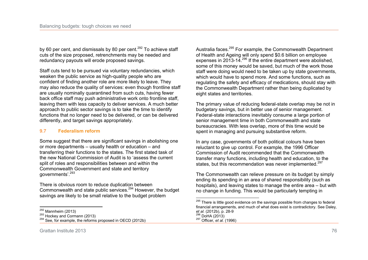by 60 per cent, and dismissals by 80 per cent.<sup>292</sup> To achieve staff cuts of the size proposed, retrenchments may be needed and redundancy payouts will erode proposed savings.

Staff cuts tend to be pursued via voluntary redundancies, which weaken the public service as high-quality people who are confident of finding another role are more likely to leave. They may also reduce the quality of services: even though frontline staff are usually nominally quarantined from such cuts, having fewer back office staff may push administrative work onto frontline staff, leaving them with less capacity to deliver services. A much better approach to public sector savings is to take the time to identify functions that no longer need to be delivered, or can be delivered differently, and target savings appropriately.

### **9.7 Federalism reform**

Some suggest that there are significant savings in abolishing one or more departments – usually health or education – and transferring their functions to the states. The first stated task of the new National Commission of Audit is to 'assess the current split of roles and responsibilities between and within the Commonwealth Government and state and territory governments'.<sup>293</sup>

There is obvious room to reduce duplication between Commonwealth and state public services.<sup>294</sup> However, the budget savings are likely to be small relative to the budget problem

Australia faces.<sup>295</sup> For example, the Commonwealth Department of Health and Ageing will only spend \$0.6 billion on employee expenses in 2013-14.<sup>296</sup> If the entire department were abolished, some of this money would be saved, but much of the work those staff were doing would need to be taken up by state governments, which would have to spend more. And some functions, such as regulating the safety and efficacy of medications, should stay with the Commonwealth Department rather than being duplicated by eight states and territories.

The primary value of reducing federal-state overlap may be not in budgetary savings, but in better use of senior management. Federal-state interactions inevitably consume a large portion of senior management time in both Commonwealth and state bureaucracies. With less overlap, more of this time would be spent in managing and pursuing substantive reform.

In any case, governments of both political colours have been reluctant to give up control. For example, the 1996 Officer Commission of Audit recommended that the Commonwealth transfer many functions, including health and education, to the states, but this recommendation was never implemented.<sup>297</sup>

The Commonwealth can relieve pressure on its budget by simply ending its spending in an area of shared responsibility (such as hospitals), and leaving states to manage the entire area – but with no change in funding. This would be particularly tempting in

 $\frac{1}{2}$  $\frac{292}{100}$  Mannheim (2013)

 $293$  Hockey and Cormann (2013)

 $294$  See, for example, the reforms proposed in OECD (2012b)

 $\overline{a}$ <sup>295</sup> There is little good evidence on the savings possible from changes to federal financial arrangements, and much of what does exist is contradictory. See Daley*, et al.* (2012b), p. 28-9  $^{296}$  DoHA (2013) <sup>297</sup> Officer*, et al.* (1996)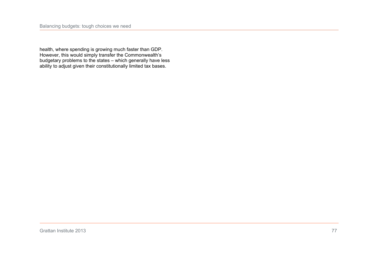health, where spending is growing much faster than GDP. However, this would simply transfer the Commonwealth's budgetary problems to the states – which generally have less ability to adjust given their constitutionally limited tax bases.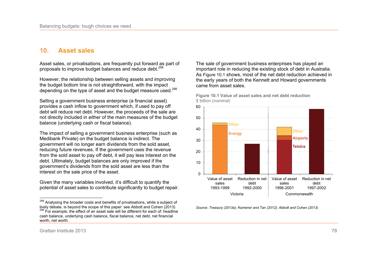### **10. Asset sales**

Asset sales, or privatisations, are frequently put forward as part of proposals to improve budget balances and reduce debt.<sup>298</sup>

However, the relationship between selling assets and improving the budget bottom line is not straightforward, with the impact depending on the type of asset and the budget measure used.<sup>299</sup>

Selling a government business enterprise (a financial asset) provides a cash inflow to government which, if used to pay off debt will reduce net debt. However, the proceeds of the sale are not directly included in either of the main measures of the budget balance (underlying cash or fiscal balance).

The impact of selling a government business enterprise (such as Medibank Private) on the budget balance is indirect. The government will no longer earn dividends from the sold asset, reducing future revenues. If the government uses the revenue from the sold asset to pay off debt, it will pay less interest on the debt. Ultimately, budget balances are only improved if the government's dividends from the sold asset are less than the interest on the sale price of the asset.

Given the many variables involved, it's difficult to quantify the potential of asset sales to contribute significantly to budget repair.

The sale of government business enterprises has played an important role in reducing the existing stock of debt in Australia. As Figure 10.1 shows, most of the net debt reduction achieved in the early years of both the Kennett and Howard governments came from asset sales.



**Figure 10.1 Value of asset sales and net debt reduction**  \$ billion (nominal)

*Source: Treasury (2013a); Kamener and Tan (2012); Abbott and Cohen (2013)* 

 $\frac{1}{2}$ <sup>298</sup> Analysing the broader costs and benefits of privatisations, while a subject of lively debate, is beyond the scope of this paper: see Abbott and Cohen (2013)  $299$  For example, the effect of an asset sale will be different for each of: headline cash balance, underlying cash balance, fiscal balance, net debt, net financial worth, net worth.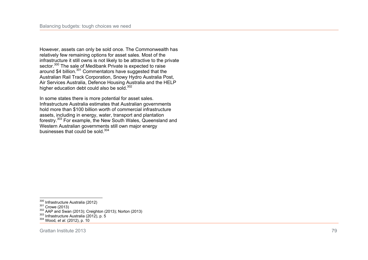However, assets can only be sold once. The Commonwealth has relatively few remaining options for asset sales. Most of the infrastructure it still owns is not likely to be attractive to the private sector.<sup>300</sup> The sale of Medibank Private is expected to raise around \$4 billion.<sup>301</sup> Commentators have suggested that the Australian Rail Track Corporation, Snowy Hydro Australia Post, Air Services Australia, Defence Housing Australia and the HELP higher education debt could also be sold.<sup>302</sup>

In some states there is more potential for asset sales. Infrastructure Australia estimates that Australian governments hold more than \$100 billion worth of commercial infrastructure assets, including in energy, water, transport and plantation forestry.<sup>303</sup> For example, the New South Wales, Queensland and Western Australian governments still own major energy businesses that could be sold.<sup>304</sup>

 $\frac{1}{2}$ 

 $\frac{300}{20}$  Infrastructure Australia (2012)

<sup>301</sup> Crowe (2013)

<sup>302</sup> AAP and Swan (2013); Creighton (2013); Norton (2013)

 $303$  Infrastructure Australia (2012), p. 5

<sup>304</sup> Wood*, et al.* (2012), p. 10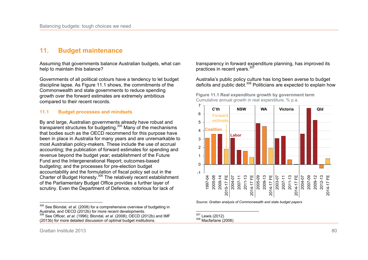# **11. Budget maintenance**

Assuming that governments balance Australian budgets, what can help to maintain this balance?

Governments of all political colours have a tendency to let budget discipline lapse. As Figure 11.1 shows, the commitments of the Commonwealth and state governments to reduce spending growth over the forward estimates are extremely ambitious compared to their recent records.

### **11.1 Budget processes and mindsets**

By and large, Australian governments already have robust and transparent structures for budgeting.<sup>305</sup> Many of the mechanisms that bodies such as the OECD recommend for this purpose have been in place in Australia for many years and are unremarkable to most Australian policy-makers. These include the use of accrual accounting; the publication of forward estimates for spending and revenue beyond the budget year; establishment of the Future Fund and the Intergenerational Report; outcomes-based budgeting; and the processes for pre-election budget accountability and the formulation of fiscal policy set out in the Charter of Budget Honesty.<sup>306</sup> The relatively recent establishment of the Parliamentary Budget Office provides a further layer of scrutiny. Even the Department of Defence, notorious for lack of

transparency in forward expenditure planning, has improved its practices in recent years.<sup>307</sup>

Australia's public policy culture has long been averse to budget deficits and public debt.<sup>308</sup> Politicians are expected to explain how

**Figure 11.1 Real expenditure growth by government term** 



*Source: Grattan analysis of Commonwealth and state budget papers* 

<sup>308</sup> Macfarlane (2006)

 $\overline{a}$ <sup>305</sup> See Blondal*, et al.* (2008) for a comprehensive overview of budgeting in Australia, and OECD (2012b) for more recent developments. <sup>306</sup> See Officer*, et al.* (1996); Blondal*, et al.* (2008); OECD (2012b) and IMF (2013b) for more detailed discussion of optimal budget institutions.

 $\overline{a}$  $L$  Lewis (2012)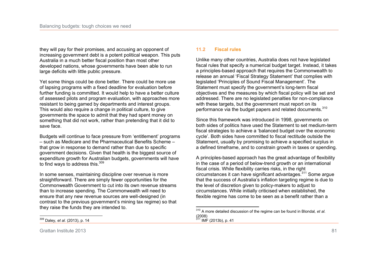they will pay for their promises, and accusing an opponent of increasing government debt is a potent political weapon. This puts Australia in a much better fiscal position than most other developed nations, whose governments have been able to run large deficits with little public pressure.

Yet some things could be done better. There could be more use of lapsing programs with a fixed deadline for evaluation before further funding is committed. It would help to have a better culture of assessed pilots and program evaluation, with approaches more resistant to being gamed by departments and interest groups. This would also require a change in political culture, to give governments the space to admit that they had spent money on something that did not work, rather than pretending that it did to save face.

Budgets will continue to face pressure from 'entitlement' programs – such as Medicare and the Pharmaceutical Benefits Scheme – that grow in response to demand rather than due to specific government decisions. Given that health is the biggest source of expenditure growth for Australian budgets, governments will have to find ways to address this.<sup>309</sup>

In some senses, maintaining discipline over revenue is more straightforward. There are simply fewer opportunities for the Commonwealth Government to cut into its own revenue streams than to increase spending. The Commonwealth will need to ensure that any new revenue sources are well-designed (in contrast to the previous government's mining tax regime) so that they raise the funds they are intended to.

### **11.2 Fiscal rules**

Unlike many other countries, Australia does not have legislated fiscal rules that specify a numerical budget target. Instead, it takes a principles-based approach that requires the Commonwealth to release an annual 'Fiscal Strategy Statement' that complies with legislated 'Principles of Sound Fiscal Management'. The Statement must specify the government's long-term fiscal objectives and the measures by which fiscal policy will be set and addressed. There are no legislated penalties for non-compliance with these targets, but the government must report on its performance via the budget papers and related documents.<sup>310</sup>

Since this framework was introduced in 1998, governments on both sides of politics have used the Statement to set medium-term fiscal strategies to achieve a 'balanced budget over the economic cycle'. Both sides have committed to fiscal rectitude outside the Statement, usually by promising to achieve a specified surplus in a defined timeframe, and to constrain growth in taxes or spending.

A principles-based approach has the great advantage of flexibility in the case of a period of below-trend growth or an international fiscal crisis. While flexibility carries risks, in the right circumstances it can have significant advantages.<sup>311</sup> Some argue that the success of Australia's inflation targeting regime is due to the level of discretion given to policy-makers to adjust to circumstances. While initially criticised when established, the flexible regime has come to be seen as a benefit rather than a

 $\overline{a}$ <sup>310</sup> A more detailed discussion of the regime can be found in Blondal*, et al.* (2008)  $311$  IMF (2013b), p. 41

 $\frac{1}{2}$ <sup>309</sup> Daley*, et al.* (2013), p. 14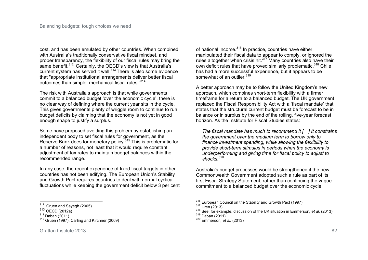cost, and has been emulated by other countries. When combined with Australia's traditionally conservative fiscal mindset, and proper transparency, the flexibility of our fiscal rules may bring the same benefit.<sup>312</sup> Certainly, the OECD's view is that Australia's current system has served it well.<sup>313</sup> There is also some evidence that "appropriate institutional arrangements deliver better fiscal outcomes than simple, mechanical fiscal rules."<sup>314</sup>

The risk with Australia's approach is that while governments commit to a balanced budget 'over the economic cycle', there is no clear way of defining where the current year sits in the cycle. This gives governments plenty of wriggle room to continue to run budget deficits by claiming that the economy is not yet in good enough shape to justify a surplus.

Some have proposed avoiding this problem by establishing an independent body to set fiscal rules for government, as the Reserve Bank does for monetary policy.<sup>315</sup> This is problematic for a number of reasons, not least that it would require constant adjustment of tax rates to maintain budget balances within the recommended range.

In any case, the recent experience of fixed fiscal targets in other countries has not been edifying. The European Union's Stability and Growth Pact requires countries to deal with normal cyclical fluctuations while keeping the government deficit below 3 per cent

 $\frac{1}{2}$ 

of national income.<sup>316</sup> In practice, countries have either manipulated their fiscal data to appear to comply, or ignored the rules altogether when crisis hit. $317$  Many countries also have their own deficit rules that have proved similarly problematic.<sup>318</sup> Chile has had a more successful experience, but it appears to be somewhat of an outlier.<sup>319</sup>

A better approach may be to follow the United Kingdom's new approach, which combines short-term flexibility with a firmer timeframe for a return to a balanced budget. The UK government replaced the Fiscal Responsibility Act with a 'fiscal mandate' that states that the structural current budget must be forecast to be in balance or in surplus by the end of the rolling, five-year forecast horizon. As the Institute for Fiscal Studies states:

*The fiscal mandate has much to recommend it [ ] It constrains the government over the medium term to borrow only to finance investment spending, while allowing the flexibility to provide short-term stimulus in periods when the economy is underperforming and giving time for fiscal policy to adjust to shocks.<sup>320</sup>* 

Australia's budget processes would be strengthened if the new Commonwealth Government adopted such a rule as part of its first Fiscal Strategy Statement, rather than continuing the vague commitment to a balanced budget over the economic cycle.

 $312$  Gruen and Sayegh (2005)

 $313$  OECD (2012a)

 $314$  Daban (2011)

<sup>315</sup> Gruen (1997); Carling and Kirchner (2009)

 $\overline{a}$  $\frac{316}{12}$  European Council on the Stability and Growth Pact (1997)

 $317$  Uren (2013)

<sup>318</sup> See, for example, discussion of the UK situation in Emmerson*, et al.* (2013) <sup>319</sup> Daban (2011)

<sup>320</sup> Emmerson*, et al.* (2013)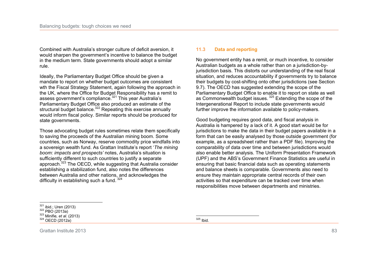Combined with Australia's stronger culture of deficit aversion, it would sharpen the government's incentive to balance the budget in the medium term. State governments should adopt a similar rule.

Ideally, the Parliamentary Budget Office should be given a mandate to report on whether budget outcomes are consistent wth the Fiscal Strategy Statement, again following the approach in the UK, where the Office for Budget Responsibility has a remit to assess government's compliance.<sup>321</sup> This year Australia's Parliamentary Budget Office also produced an estimate of the structural budget balance.<sup>322</sup> Repeating this exercise annually would inform fiscal policy. Similar reports should be produced for state governments.

Those advocating budget rules sometimes relate them specifically to saving the proceeds of the Australian mining boom. Some countries, such as Norway, reserve commodity price windfalls into a sovereign wealth fund. As Grattan Institute's report '*The mining boom: impacts and prospects'* notes, Australia's situation is sufficiently different to such countries to justify a separate approach.<sup>323</sup> The OECD, while suggesting that Australia consider establishing a stabilization fund, also notes the differences between Australia and other nations, and acknowledges the difficulty in establishing such a fund.  $324$ 

#### **11.3 Data and reporting**

No government entity has a remit, or much incentive, to consider Australian budgets as a whole rather than on a jurisdiction-byjurisdiction basis. This distorts our understanding of the real fiscal situation, and reduces accountability if governments try to balance their budgets by cost-shifting onto other jurisdictions (see Section 9.7). The OECD has suggested extending the scope of the Parliamentary Budget Office to enable it to report on state as well as Commonwealth budget issues.<sup>325</sup> Extending the scope of the Intergenerational Report to include state governments would further improve the information available to policy-makers.

Good budgeting requires good data, and fiscal analysis in Australia is hampered by a lack of it. A good start would be for jurisdictions to make the data in their budget papers available in a form that can be easily analysed by those outside government (for example, as a spreadsheet rather than a PDF file). Improving the comparability of data over time and between jurisdictions would also enable better analysis. The Uniform Presentation Framework (UPF) and the ABS's Government Finance Statistics are useful in ensuring that basic financial data such as operating statements and balance sheets is comparable. Governments also need to ensure they maintain appropriate central records of their own activities so that expenditure can be tracked over time when responsibilities move between departments and ministries.

 $\overline{a}$  $321$  ibid.; Uren (2013)

 $322$  PBO (2013a)

<sup>323</sup> Minifie*, et al.* (2013)

<sup>324</sup> OECD (2012a)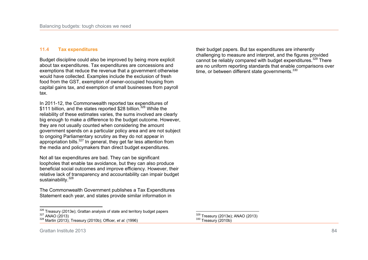#### **11.4 Tax expenditures**

Budget discipline could also be improved by being more explicit about tax expenditures. Tax expenditures are concessions and exemptions that reduce the revenue that a government otherwise would have collected. Examples include the exclusion of fresh food from the GST, exemption of owner-occupied housing from capital gains tax, and exemption of small businesses from payroll tax.

In 2011-12, the Commonwealth reported tax expenditures of \$111 billion, and the states reported \$28 billion.<sup>326</sup> While the reliability of these estimates varies, the sums involved are clearly big enough to make a difference to the budget outcome. However, they are not usually counted when considering the amount government spends on a particular policy area and are not subject to ongoing Parliamentary scrutiny as they do not appear in appropriation bills. $327$  In general, they get far less attention from the media and policymakers than direct budget expenditures.

Not all tax expenditures are bad. They can be significant loopholes that enable tax avoidance, but they can also produce beneficial social outcomes and improve efficiency. However, their relative lack of transparency and accountability can impair budget sustainability.<sup>328</sup>

The Commonwealth Government publishes a Tax Expenditures Statement each year, and states provide similar information in

 $\frac{1}{2}$  $\frac{326}{122}$  Treasury (2013e); Grattan analysis of state and territory budget papers <sup>327</sup> ANAO (2013)

their budget papers. But tax expenditures are inherently challenging to measure and interpret, and the figures provided cannot be reliably compared with budget expenditures.<sup>329</sup> There are no uniform reporting standards that enable comparisons over time, or between different state governments.<sup>330</sup>

 $\overline{a}$  $\frac{329}{10}$  Treasury (2013e); ANAO (2013) <sup>330</sup> Treasury (2010b)

<sup>328</sup> Martin (2013); Treasury (2010b); Officer*, et al.* (1996)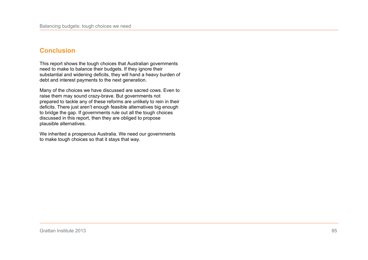# **Conclusion**

This report shows the tough choices that Australian governments need to make to balance their budgets. If they ignore their substantial and widening deficits, they will hand a heavy burden of debt and interest payments to the next generation.

Many of the choices we have discussed are sacred cows. Even to raise them may sound crazy-brave. But governments not prepared to tackle any of these reforms are unlikely to rein in their deficits. There just aren't enough feasible alternatives big enough to bridge the gap. If governments rule out all the tough choices discussed in this report, then they are obliged to propose plausible alternatives.

We inherited a prosperous Australia. We need our governments to make tough choices so that it stays that way.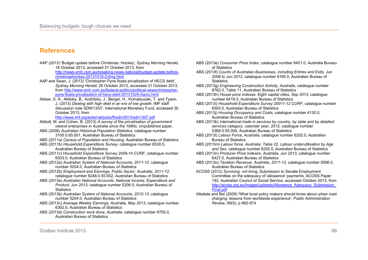## **References**

- AAP (2013) 'Budget update before Christmas: Hockey', *Sydney Morning Herald,*  16 October 2013, accessed 31 October 2013, from http://news.smh.com.au/breaking-news-national/budget-update-beforechristmashockey-20131016-2vlmg.html
- AAP and Swan, J. (2013) 'Christopher Pyne floats privatisation of HECS debt', *Sydney Morning Herald,* 29 October 2013, accessed 31 October 2013, from http://www.smh.com.au/federal-politics/political-news/christopherpyne-floats-privatisation-of-hecs-debt-20131029-2wcic.html
- Abbas, S. A., Akitoby, B., Andritzky, J., Berger, H., Komatsuzaki, T. and Tyson, J. (2013) *Dealing with high debt in an era of low growth*, IMF staff discussion note SDN/13/07, International Monetary Fund, accessed 30 October 2013, from

http://www.imf.org/external/pubs/ft/sdn/2013/sdn1307.pdf

- Abbott, M. and Cohen, B. (2013) *A survey of the privatisation of government owend enterprises in Australia since the 1980s*, Unpublished paper,
- ABS (2008) *Australian Historical Population Statistics,* catalogue number 3105.0.65.001, Australian Bureau of Statistics
- ABS (2011a) *Census of Population and Housing*, Australian Bureau of Statistics
- ABS (2011b) *Household Expenditure Survey,* catalogue number 6530.0, Australian Bureau of Statistics
- ABS (2011c) *Household Expenditure Survey 2009-10 CURF,* catalogue number 6503.0, Australian Bureau of Statistics
- ABS (2012a) *Australian System of National Accounts, 2011-12,* catalogue number 5204.0, Australian Bureau of Statistics
- ABS (2012b) *Employment and Earnings, Public Sector, Australia, 2011-12,* catalogue number 6248.0.55.002, Australian Bureau of Statistics
- ABS (2013a) *Australian National Accounts: National Income, Expenditure and Product, Jun 2013,* catalogue number 5206.0, Australian Bureau of **Statistics**
- ABS (2013b) *Australian System of National Accounts, 2012-13,* catalogue number 5204.0, Australian Bureau of Statistics
- ABS (2013c) *Average Weekly Earnings, Australia, May 2013,* catalogue number 6302.0, Australian Bureau of Statistics
- ABS (2013d) *Construction work done, Australia,* catalogue number 8755.0, Australian Bureau of Statistics
- ABS (2013e) *Consumer Price Index,* catalogue number 6401.0, Australia Bureau of Statistics
- ABS (2013f) *Counts of Australian Businesses, including Entries and Exits, Jun 2008 to Jun 2012,* catalogue number 8165.0, Australian Bureau of **Statistics**
- ABS (2013g) *Engineering Construction Activity, Australia,* catalogue number 8762.0, Table 11, Australian Bureau of Statistics
- ABS (2013h) *House price indexes: Eight capital cities, Sep 2013,* catalogue number 6416.0, Australian Bureau of Statistics
- ABS (2013i) *Household Expenditure Survey 20011-12 CURF,* catalogue number 6503.0, Australian Bureau of Statistics
- ABS (2013j) *Housing Occupancy and Costs,* catalogue number 4130.0, Australian Bureau of Statistics
- ABS (2013k) *International trade in services by country, by state and by detailed services category, calendar year, 2012,* catalogue number 5368.0.55.004, Australian Bureau of Statistics
- ABS (2013l) *Labour Force, Australia,* catalogue number 6202.0, Australian Bureau of Statistics
- ABS (2013m) *Labour force, Australia: Table 22. Labour underutilisation by Age and Sex,* catalogue number 6202.0, Australian Bureau of Statistics
- ABS (2013n) *Producer Price Indexes, Australia, Jun 2013,* catalogue number 6427.0, Australian Bureau of Statistics
- ABS (2013o) *Taxation Revenue, Australia, 2011-12,* catalogue number 5506.0, Australian Bureau of Statistics
- ACOSS (2012) *Surviving, not living*, Submission to Senate Employment Committee on the adequacy of 'allowance' payments. ACOSS Paper 192, Australian Council of Social Service, accessed October 2013, from http://acoss.org.au/images/uploads/Allowance\_Adequacy\_Submission Final.ndf
- Albalate and Bel (2009) 'What local policy makers should know about urban road charging: lessons from worldwide experience', *Public Administration Review*, 69(5), p 962-974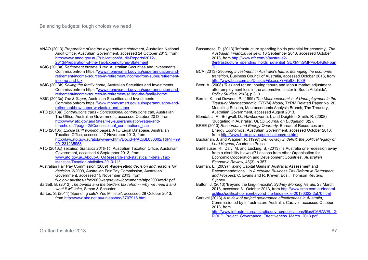- ANAO (2013) *Preparation of the tax expenditures statement,* Australian National Audit Office, Australian Government, accessed 24 October 2013, from http://www.anao.gov.au/Publications/Audit-Reports/2012- 2013/Preparation-of-the-Tax-Expenditures-Statement
- ASIC (2013a) *Retirement income & tax,* Australian Securities and Investments Commissionfrom https://www.moneysmart.gov.au/superannuation-andretirement/income-sources-in-retirement/income-from-super/retirementincome-and-tax
- ASIC (2013b) *Selling the family home,* Australian Securities and Investments Commissionfrom https://www.moneysmart.gov.au/superannuation-andretirement/income-sources-in-retirement/selling-the-family-home
- ASIC (2013c) *Tax & Super,* Australian Securities and Investments Commissionfrom https://www.moneysmart.gov.au/superannuation-andretirement/how-super-works/tax-and-super
- ATO (2013a) *Contributions caps Concessional contributions cap,* Australian Tax Office, Australian Government, accessed October 2013, from http://www.ato.gov.au/Rates/Key-superannuation-rates-andthresholds/?page=2#Concessional\_contributions\_cap
- ATO (2013b) *Excise tariff working pages,* ATO Legal Database, Australian Taxation Office, accessed 17 November 2013, from http://law.ato.gov.au/atolaw/view.htm?Docid=PAC/BL030002/1&PiT=99 991231235958
- ATO (2013c) *Taxation Statistics 2010-11*, Australian Taxation Office, Australian Government, accessed 4 September 2013, from www.ato.gov.au/About-ATO/Research-and-statistics/In-detail/Taxstatistics/Taxation-statistics-2010-11/
- Australian Fair Pay Commission (2009) *Wage-setting decision and reasons for decision,* 2/2009, Australian Fair Pay Commission, Australian Government, accessed 15 November 2013, from
	- fwc.gov.au/sites/afpc2009wagereview/documents/afpc2009wsd2.pdf
- Bartlett, B. (2012) *The benefit and the burden: tax reform why we need it and what it will take*, Simon & Schuster
- Bartos, S. (2011) 'Spending cuts? Yes Minister', accessed 28 October 2013, from http://www.abc.net.au/unleashed/3707918.html

Bassanese, D. (2013) 'Infrastructure spending holds potential for economy', *The Australian Financial Review,* 16 September 2013, accessed October 2013, from http://www.afr.com/p/australia2- 0/infrastructure\_spending\_holds\_potential\_SUXMmGMPPjc4xK9uFbqn TL

- BCA (2013) *Securing investment in Australia's future: Managing the economic transition*, Business Council of Australia, accessed October 2013, from http://www.bca.com.au/DisplayFile.aspx?FileID=1039
- Beer, A. (2008) 'Risk and return: houing tenure and labour market adjustment after employment loss in the automotive sector in South Adelaide', *Policy Studies*, 29(3), p 319
- Bernie, K. and Downes, P. (1999) *The Macroeconomics of Unemployment in the Treasury Macroeconomic (TRYM) Model,* TYRM Related Paper No. 20, Modelling Section, Macroeconomic Analysis Branch, The Treasury, Australian Government, accessed August 2013,
- Blondal, J. R., Bergvall, D., Hawkesworth, I. and Deighton-Smith, R. (2008) 'Budgeting in Australia', *OECD Journal on Budgeting*, 8(2),
- BREE (2013) *Resources and Energy Quarterly,* Bureau of Resources and Energy Economics, Australian Government, accessed October 2013, from http://www.bree.gov.au/publications/req.html
- Buchanan, J. and Wagner, R. (1997) *Democracy in deficit: the political legacy of Lord Keynes*, Academic Press
- Burkhauser, R., Daly, M. and Lucking, B. (2013) 'Is Australia one recession away from a disability blowout? Lessons from other Organisation for Economic Cooperation and Development Countries', *Australian Economic Review*, 43(3), p 357
- Burman, L. (2009) 'Taxing Capital Gains in Australia: Assessment and Recommendations ', in *Australian Business Tax Reform in Retrospect and Prospect*, C. Evans and R. Krever, Eds., Thomson Reuters, Sydney
- Button, J. (2013) 'Beyond the king-in-excile', *Sydney Morning Herald,* 23 March 2013, accessed 31 October 2013, from http://www.smh.com.au/federalpolitics/political-opinion/beyond-the-kinginexile-20130322-2gl70.html
- Caravel (2013) *A review of project governance effectiveness in Australia*, Commissioned by Infrastructure Australia, Caravel, accessed October 2013, from
	- http://www.infrastructureaustralia.gov.au/publications/files/CARAVEL\_G ROUP\_Project\_Governance\_Effectiveness\_March\_2013.pdf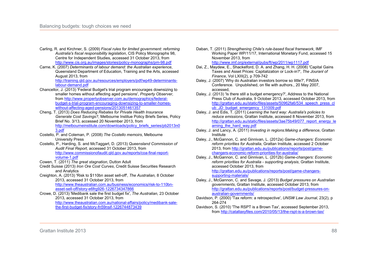- Carling, R. and Kirchner, S. (2009) *Fiscal rules for limited government: reforming Australia's fiscal responsibility legislation*, CIS Policy Monographs 98, Centre for Independent Studies, accessed 31 October 2013, from http://www.cis.org.au/images/stories/policy-monographs/pm-98.pdf
- Carne, K. (2007) *Determinants of labour demand: the Australian experience*, Queensland Department of Education, Training and the Arts, accessed August 2013, from http://training.qld.gov.au/resources/employers/pdf/wp49-determinants-

labour-demand.pdf

- Chancellor, J. (2013) 'Federal Budget's trial program encourages downsizing to smaller homes without affecting aged pensions', *Property Observer,*  from http://www.propertyobserver.com.au/demographics/federalbudget-s-trial-program-encouraging-downsizing-to-smaller-homeswithout-affecting-aged-pensions/2013051461357
- Cheng, T. (2013) *Does Reducing Rebates for Private Health Insurance Generate Cost Savings?*, Melbourne Institue Policy Briefs Series, Policy Brief No. 3/13, accessed 20 November 2013, from http://melbourneinstitute.com/downloads/policy\_briefs\_series/pb2013n0 3.pdf
- Costello, P. and Coleman, P. (2008) *The Costello memoirs*, Melbourne University Press
- Costello, P., Harding, S. and McTaggart, D. (2013) *Queensland Commission of Audit Final Report*, accessed 31 October 2013, from http://www.commissionofaudit.qld.gov.au/reports/coa-final-reportvolume-1.pdf
- Cowen, T. (2011) *The great stagnation*, Dutton Adult
- Credit Suisse (2013) *Iron Ore Cost Curves*, Credit Suisse Securities Research and Analytics
- Creighton, A. (2013) 'Risk to \$110bn asset sell-off', *The Australian,* 8 October 2013, accessed 31 October 2013, from http://www.theaustralian.com.au/business/economics/risk-to-110bn-

asset-sell-off/story-e6frg926-1226734347866

Crowe, D. (2013) 'Medibank sale the first budget fix', *The Australian,* 23 October 2013, accessed 31 October 2013, from http://www.theaustralian.com.au/national-affairs/policy/medibank-salethe-first-budget-fix/story-fn59nsif-1226744873439

- Daban, T. (2011) *Strengthening Chile's rule-based fiscal framework*, IMF Working Paper WP/11/17, International Monetary Fund, accessed 15 November 2013, from http://www.imf.org/external/pubs/ft/wp/2011/wp1117.pdf
- Dai, Z., Maydew, E., Shackelford, D. A. and Zhang, H. H. (2008) 'Capital Gains Taxes and Asset Prices: Capitalization or Lock-in?', *The Jouranl of Finance*, Vol LXIII(2), p 709-742
- Daley, J. (2007) 'Why do Australian investors borrow so little?'. FINSIA Conference. Unpublished, on file with authors., 20 May 2007, accessed,
- Daley, J. (2013) 'Is there still a budget emergency?', Address to the National Press Club of Australia, 9 October 2013, accessed October 2013, from http://grattan.edu.au/static/files/assets/50962fa6/534\_speech\_press\_cl ub\_JD\_budget\_emergency\_131009.pdf
- Daley, J. and Edis, T. (2011) *Learning the hard way: Australia's policies to reduce emissions*, Grattan Institute, accessed 8 November 2013, from http://grattan.edu.au/static/files/assets/3ae75b49/077\_report\_energy\_le arning the hard way.pdf
- Daley, J. and Lancy, A. (2011) *Investing in regions:Making a difference*, Grattan Institute
- Daley, J., McGannon, C. and Ginnivan, L. (2012a) *Game-changers: Economic reform priorities for Australia*, Grattan Institute, accessed 2 October 2013, from http://grattan.edu.au/publications/reports/post/gamechangers-economic-reform-priorities-for-australia/
- Daley, J., McGannon, C. and Ginnivan, L. (2012b) *Game-changers: Economic reform priorities for Australia - supporting analysis*, Grattan Institute, accessed October 2013, from http://grattan.edu.au/publications/reports/post/game-changerssupporting-materials/
- Daley, J., McGannon, C. and Savage, J. (2013) *Budget pressures on Australian governments*, Grattan Institute, accessed October 2013, from http://grattan.edu.au/publications/reports/post/budget-pressures-onaustralian-governments/
- Davidson, P. (2000) 'Tax reform: a retrospective', *UNSW Law Journal*, 23(2), p 264-274
- Davidson, S. (2010) 'The RSPT is a Brown Tax', accessed September 2013, from http://catallaxyfiles.com/2010/05/13/the-rspt-is-a-brown-tax/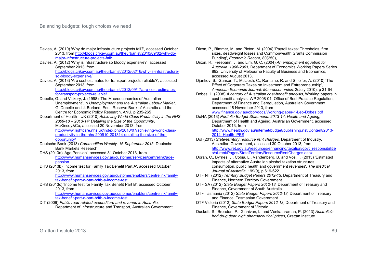- Davies, A. (2010) 'Why do major infrastructure projects fail?', accessed October 2013, from http://blogs.crikey.com.au/theurbanist/2010/09/02/why-domajor-infrastructure-projects-fail/
- Davies, A. (2012) 'Why is infrastructure so bloody expensive?', accessed September 2013, from http://blogs.crikey.com.au/theurbanist/2012/02/16/why-is-infrastructureso-bloody-expensive/
- Davies, A. (2013) 'Are cost estimates for transport projects reliable?', accessed September 2013, from http://blogs.crikey.com.au/theurbanist/2013/09/17/are-cost-estimates-

for-transport-projects-reliable/

- Debelle, G. and Vickery, J. (1998) 'The Macroeconomics of Australian Unemployment', in *Unemployment and the Australian Labour Market*, G. Debelle and J. Borland, Eds., Reserve Bank of Australia and the Centre for Economic Policy Research, ANU, p 235-265
- Department of Health UK (2010) *Achieving World Class Productivity in the NHS 2009-10 – 2013-14: Detailing the Size of the Opportunity*, McKinsey&Co, accessed 20 November 2013, from http://www.rightcare.nhs.uk/index.php/2010/07/achieving-world-classproductivity-in-the-nhs-200910-201314-detailing-the-size-of-theopportunity/
- Deutsche Bank (2013) *Commodities Weekly, 16 September 2013*, Deutsche Bank Markets Research
- DHS (2013a) 'Age Pension', accessed 31 October 2013, from http://www.humanservices.gov.au/customer/services/centrelink/agepension
- DHS (2013b) 'Income test for Family Tax Benefit Part A', accessed October 2013, from

http://www.humanservices.gov.au/customer/enablers/centrelink/familytax-benefit-part-a-part-b/ftb-a-income-test

DHS (2013c) 'Income test for Family Tax Benefit Part B', accessed October 2013, from

http://www.humanservices.gov.au/customer/enablers/centrelink/familytax-benefit-part-a-part-b/ftb-b-income-test

DIT (2009) *Public road-related expenditure and revenue in Australia,*  Department of Infrastructure and Transport, Australian Government

- Dixon, P., Rimmer, M. and Picton, M. (2004) 'Payroll taxes: Thresholds, firm sizes, deadweight losses and Commonwealth Grants Commission Funding', *Economic Record*, 80(250),
- Dixon, R., Freebairn, J. and Lim, G. C. (2004) *An employment equation for Australia: 1966-2001*, Department of Economics Working Papers Series 892. University of Melbourne Faculty of Business and Economics. accessed August 2013,
- Djankov, S., Ganser, T., McLiesh, C., Ramalho, R. and Shleifer, A. (2010) 'The Effect of Corporate Taxes on Investment and Entrepreneurship', *American Economic Journal: Macroeconomics*, 2(July 2010), p 31-64
- Dobes, L. (2008) *A century of Australian cost-benefit analysis,* Working papers in cost-benefit analysis. WP 2008-01, Office of Best Practice Regulation, Department of Finance and Deregulation, Australian Government, accessed 18 November 2013, from

www.finance.gov.au/obpr/docs/Working-paper-1-Leo-Dobes.pdf

DoHA (2013) *Portfolio Budget Statements 2013-14: Health and Ageing,*  Department of Health and Ageing, Australian Government, accessed October 2013, from

http://www.health.gov.au/internet/budget/publishing.nsf/Content/2013- 2014 Health PBS

- DoI (2013) *State/territory resource rent charges,* Department of Industry, Australian Government, accessed 30 October 2013, from http://www.ret.gov.au/resources/enhancing/taxation/govt\_responsibilitie s/st-rent/Pages/StateTerritoryResourceRentCharges.aspx
- Doran, C., Byrnes, J., Cobia, L., Vandenberg, B. and Vos, T. (2013) 'Estimated impacts of alternative Australian alcohol taxation structures consumption, public health and government revenues', *The Medical Journal of Australia*, 199(9), p 619-622
- DTF NT (2012) *Territory Budget Papers 2012-13,* Department of Treasury and Finance, Northern Territory Government
- DTF SA (2012) *State Budget Papers 2012-13,* Department of Treasury and Finance, Government of South Australia
- DTF Tasmania (2012) *State Budget Papers 2012-13,* Department of Treasury and Finance, Tasmanian Government
- DTF Victoria (2012) *State Budget Papers 2012-13,* Department of Treasury and Finance, Government of Victoria
- Duckett, S., Breadon, P., Ginnivan, L. and Venkataraman, P. (2013) *Australia's bad drug deal: high pharmaceutical prices*, Grattan Institute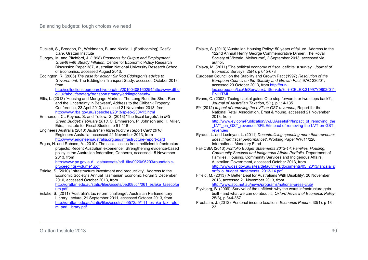- Duckett, S., Breadon, P., Weidmann, B. and Nicola, I. (Forthcoming) *Costly Care*, Grattan Institute
- Dungey, M. and Pitchford, J. (1998) *Prospects for Output and Employment Growth with Steady Inflation*, Centre for Economic Policy Research Discussion Paper 387, Australian National University Research School of Economics, accessed August 2013,
- Eddington, R. (2006) *The case for action: Sir Rod Eddington's advice to Government*, The Eddington Transport Study, accessed October 2013, from

http://collections.europarchive.org/tna/20100408160254/http:/www.dft.g ov.uk/about/strategy/transportstrategy/eddingtonstudy/

- Ellis, L. (2013) 'Housing and Mortgage Markets: The Long Run, the Short Run and the Uncertainty in Between', Address to the Citibank Property Conference, 23 April 2013, accessed 21 November 2013, from http://www.rba.gov.au/speeches/2013/sp-so-230413.html
- Emmerson, C., Keynes, S. and Tetlow, G. (2013) 'The fiscal targets', in *IFS Green Budget: February 2013*, C. Emmerson, P. Johnson and H. Miller, Eds., Institute for Fiscal Studies, p 91-118
- Engineers Australia (2010) *Australian Infrastructure Report Card 2010*, Engineers Australia, accessed 21 November 2013, from http://www.engineersaustralia.org.au//infrastructure-report-card
- Ergas, H. and Robson, A. (2010) 'The social losses from inefficient infrastructure projects: Recent Australian experience', Strengthening evidence-based policy in the Australian federation, Canberra, accessed 15 November 2013, from

http://www.pc.gov.au/\_\_data/assets/pdf\_file/0020/96203/roundtableproceedings-volume1.pdf

- Eslake, S. (2010) 'Infrastructure investment and productivity', Address to the Economic Society's Annual Tasmanian Economic Forum 3 December 2010, accessed October 2013, from http://grattan.edu.au/static/files/assets/0ed085c4/061\_eslake\_tasecofor um.pdf
- Eslake, S. (2011) 'Australia's tax reform challenge', Australian Parliamentary Library Lecture, 21 September 2011, accessed October 2013, from http://grattan.edu.au/static/files/assets/ce5572a5/111\_eslake\_tax\_refor m\_parl\_library.pdf

Eslake, S. (2013) 'Australian Housing Policy: 50 years of failure. Address to the 122nd Annual Henry George Commemorative Dinner, The Royal Society of Victoria, Melbourne', 2 September 2013, accessed via author,

Eslava, M. (2011) 'The political economy of fiscal deficits: a survey', *Journal of Economic Surveys*, 25(4), p 645-673

European Council on the Stability and Growth Pact (1997) *Resolution of the European Council on the Stability and Growth Pact,* 97/C 236/01, accessed 29 October 2013, from http://eurlex.europa.eu/LexUriServ/LexUriServ.do?uri=CELEX:31997Y0802(01):

EN:HTML

- Evans, C. (2002) 'Taxing capital gains: One step forwards or two steps back?', *Journal of Australian Taxation*, 5(1), p 114-135
- EY (2012) *Impact of removing the LVT on GST revenues*, Report for the National Retail Association, Ernst & Young, accessed 21 November 2013, from

http://www.ey.com/Publication/vwLUAssetsPI/Impact\_of\_removing\_the LVT\_on\_GST\_revenues/\$FILE/Impact-of-removing-the-LVT-on-GSTrevenues

- Eyraud, L. and Lusinyan, L. (2011) *Decentralising spending more than revenue: does it hurt fiscal performance?*, Working Paper WP/11/226, International Monetary Fund
- FaHCSIA (2013) *Portfolio Budget Statements 2013-14: Families, Housing, Community Services and Indigenous Affairs Portfolio,* Department of Families, Housing, Community Services and Indigenous Affairs, Australian Government, accessed October 2013, from http://www.dss.gov.au/sites/default/files/documents/05\_2013/fahcsia\_p ortfolio\_budget\_statements\_2013-14.pdf
- Fifield, M. (2013) 'A Better Deal for Australians With Disability', 20 November 2013, accessed 21 November 2013, from http://www.abc.net.au/news/programs/national-press-club/

Flyvbjerg, B. (2009) 'Survival of the unfittest: why the worst infrastructure gets built - and what we can do about it', *Oxford Review of Economic Policy*, 25(3), p 344-367

Freebairn, J. (2012) 'Personal income taxation', *Economic Papers*, 30(1), p 18- 23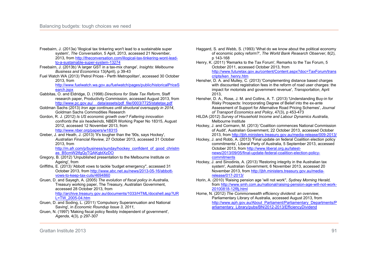- Freebairn, J. (2013a) 'Illogical tax tinkering won't lead to a sustainable super system', *The Conversation,* 5 April, 2013, accessed 21 November, 2013, from http://theconversation.com/illogical-tax-tinkering-wont-leadto-a-sustainable-super-system-13274
- Freebairn, J. (2013b) 'A larger GST in a tax-mix change', *Insights: Melbourne Business and Economics* 13(April), p 39-43
- Fuel Watch WA (2013) 'Petrol Prices Perth Metropolitan', accessed 30 October 2013, from

http://www.fuelwatch.wa.gov.au/fuelwatch/pages/public/historicalPriceS earch.jspx

- Gabbitas, O. and Eldridge, D. (1998) *Directions for State Tax Reform*, Staff research paper, Productivity Commission, accessed August 2013, from http://www.pc.gov.au/\_\_data/assets/pdf\_file/0003/7725/statetax.pdf
- Goldman Sachs (2013) *Iron age continues until structural oversupply in 2014*, Goldman Sachs Commodities Research
- Gordon, R. J. (2012) *Is US economic growth over? Faltering innovation confronts the six headwinds*, NBER Working Paper No 18315, August 2012, accessed 12 November 2013, from http://www.nber.org/papers/w18315
- Greber, J. and Heath, J. (2013) 'It's tougher than the '90s, says Hockey', *Australian Financial Review,* 27 October 2013, accessed 31 October 2013, from http://m.afr.com/p/business/sunday/hockey\_confident\_of\_good\_christm

as\_B5cmW2tfgQyTQAKgbtXzDO

- Gregory, B. (2012) 'Unpublished presentation to the Melbourne Institute on Ageing', from
- Griffiths, E. (2013) 'Abbott vows to tackle 'budget emergency'', accessed 31 October 2013, from http://www.abc.net.au/news/2013-05-16/abbottvows-to-keep-tax-cuts/4694860

Gruen, D. and Sayegh, A. (2005) *The evolution of fiscal policy in Australia,*  Treasury working paper, The Treasury, Australian Government, accessed 28 October 2013, from http://archive.treasury.gov.au/documents/1033/HTML/docshell.asp?UR L=TW\_2005-04.htm

- Gruen, D. and Soding, L. (2011) 'Compulsory Superannuation and National Saving', in *Economic Roundup Issue 3, 2011*,
- Gruen, N. (1997) 'Making fiscal policy flexibly independent of government', *Agenda*, 4(3), p 297-307
- Haggard, S. and Webb, S. (1993) 'What do we know about the political economy of economic policy reform?', *The World Bank Research Observer*, 8(2), p 143-168
- Henry, K. (2011) 'Remarks to the Tax Forum', Remarks to the Tax Forum, 5 October 2011, accessed October 2013, from http://www.futuretax.gov.au/content/Content.aspx?doc=TaxForum/trans cripts/ken\_henry.htm
- Hensher, D. A. and Mulley, C. (2013) 'Complementing distance based charges with discounted registration fees in the reform of road user charges: the impact for motorists and government revenue', *Transportation*, April 2013,
- Hensher, D. A., Rose, J. M. and Collins, A. T. (2013) 'Understanding Buy-in for Risky Prospects: Incorporating Degree of Belief into the ex-ante Assessment of Support for Alternative Road Pricing Schemes', *Journal of Transport Economics and Policy*, 47(3), p 453-473
- HILDA (2012) *Survey of Household Income and Labour Dynamics Australia*, Melbourne Institute
- Hockey, J. and Cormann, M. (2013) 'Coalition commences National Commission of Audit', Australian Government, 22 October 2013, accessed October 2013, from http://jbh.ministers.treasury.gov.au/media-release/009-2013/
- Hockey, J. and Robb, A. (2013) 'Final update on federal Coalition election policy commitments', Liberal Party of Australia, 5 September 2013, accessed October 2013, from http://www.liberal.org.au/latestnews/2013/09/05/final-update-federal-coalition-election-policycommitments
- Hockey, J. and Sinodinis, A. (2013) 'Restoring integrity in the Australian tax system', Australian Government, 6 November 2013, accessed 20 November 2013, from http://jbh.ministers.treasury.gov.au/mediarelease/017-2013/
- Horin, A. (2010) 'Raising pension age 'will not work'', *Sydney Morning Herald,*  from http://www.smh.com.au/national/raising-pension-age-will-not-work-20100818-12f8j.html

Horne, N. (2012) *The Commonwealth efficiency dividend: an overview*, Parliamentary Library of Australia, accessed August 2013, from http://www.aph.gov.au/About\_Parliament/Parliamentary\_Departments/P arliamentary\_Library/pubs/BN/2012-2013/EfficiencyDividend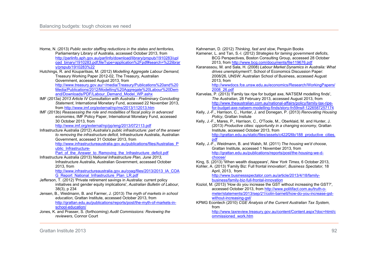- Horne, N. (2013) *Public sector staffing reductions in the states and territories*, Parliamentary Library of Australia, accessed October 2013, from http://parlinfo.aph.gov.au/parlInfo/download/library/prspub/1910283/upl oad\_binary/1910283.pdf;fileType=application%2Fpdf#search=%22librar y/prspub/1910283%22
- Hutchings, R. and Kouparitsas, M. (2012) *Modelling Aggregate Labour Demand,*  Treasury Working Paper 2012-02, The Treasury, Australian Government, accessed August 2013, from http://www.treasury.gov.au/~/media/Treasury/Publications%20and%20 Media/Publications/2012/Modelling%20Aggregate%20Labour%20Dem

and/Downloads/PDF/Labour\_Demand\_Model\_WP.ashx

- IMF (2013a) *2013 Article IV Consultation with Australia Preliminary Concluding Statement*, International Monetary Fund, accessed 22 November 2013, from http://www.imf.org/external/np/ms/2013/112013.htm
- IMF (2013b) *Reassessing the role and modalities of fiscal policy in advanced economies*, IMF Policy Paper, International Monetary Fund, accessed 30 October 2013, from

http://www.imf.org/external/np/pp/eng/2013/072113.pdf

Infrastructure Australia (2012) *Australia's public infrastructure: part of the answer to removing the infrastructure deficit,* Infrastructure Australia, Australian Government, accessed 31 October 2013, from http://www.infrastructureaustralia.gov.au/publications/files/Australias\_P

ublic\_Infrastructure-

Part of the Answer to Removing the Infrastructure deficit.pdf

Infrastructure Australia (2013) *National Infrastructure Plan, June 2013,*  Infrastructure Australia, Australian Government, accessed October 2013, from

http://www.infrastructureaustralia.gov.au/coag/files/2013/2013\_IA\_COA G\_Report\_National\_Infrastructure\_Plan\_LR.pdf

- Jefferson, T. (2012) 'Private retirement savings in Australia: current policy initiatives and gender equity implications', *Australian Bulletin of Labour*, 38(3), p 234
- Jensen, B., Weidmann, B. and Farmer, J. (2013) *The myth of markets in school education*, Grattan Institute, accessed October 2013, from http://grattan.edu.au/publications/reports/post/the-myth-of-markets-inschool-education/
- Jones, K. and Prasser, S. (forthcoming) *Audit Commissions: Reviewing the reviewers*, Connor Court

Kahneman, D. (2012) *Thinking, fast and slow*, Penguin Books

- Kamener, L. and Tan, S.-l. (2012) *Strategies for taming government deficits*, BCG Perspectives, Boston Consulting Group, accessed 28 October 2013, from http://www.bcg.com/documents/file119676.pdf
- Karanassou, M. and Sala, H. (2008) *Labour Market Dynamics in Australia: What drives unemployment?*, School of Economics Discussion Paper: 2008/26, UNSW: Australian School of Business, accessed August 2013, from

http://wwwdocs.fce.unsw.edu.au/economics/Research/WorkingPapers/ 2008\_26.pdf

- Karvelas, P. (2013) 'Family tax ripe for budget axe, NATSEM modelling finds', *The Australian,* 28 February 2013, accessed August 2013, from http://www.theaustralian.com.au/national-affairs/policy/family-tax-ripefor-budget-axe-natsem-modelling-finds/story-fn59nsif-1226587257174
- Kelly, J.-F., Harrison, C., Hunter, J. and Donegan, P. (2013) *Renovating Housing Policy*, Grattan Insitute
- Kelly, J.-F., Mares, P., Harrison, C., O'Toole, M., Oberklaid, M. and Hunter, J. (2013) *Productive cities: opportunity in a changing economy*, Grattan Institute, accessed October 2013, from http://grattan.edu.au/static/files/assets/c422f26b/188\_productive\_cities. pdf
- Kelly, J.-F., Weidmann, B. and Walsh, M. (2011) *The housing we'd choose*, Grattan Institute, accessed 1 November 2013, from http://grattan.edu.au/publications/reports/post/the-housing-we-dchoose/
- King, S. (2013) 'When wealth disappears', *New York Times,* 6 October 2013,
- Kohler, A. (2013) 'Family Biz: Full frontal innovation', *Business Spectator,* 18 April, 2013, from

http://www.businessspectator.com.au/article/2013/4/18/familybusiness/family-biz-full-frontal-innovation

- Koziol, M. (2013) 'How do you increase the GST without increasing the GST?', accessed October 2013, from http://www.politifact.com.au/truth-ometer/statements/2013/sep/21/colin-barnett/how-do-you-increase-gstwithout-increasing-gst/
- KPMG Econtech (2010) *CGE Analysis of the Current Australian Tax System*, from

http://www.taxreview.treasury.gov.au/content/Content.aspx?doc=html/c ommissioned\_work.htm

Grattan Institute 2013 92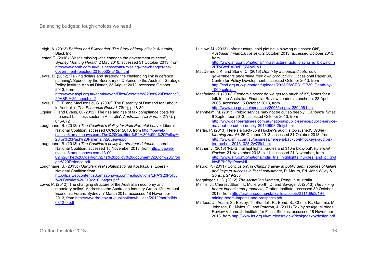- Leigh, A. (2013) *Battlers and Billionaries. The Story of Inequality in Australia*, Black Inc.
- Lester, T. (2010) 'What's missing –the changes the government rejected'. *Sydney Morning Herald,* 2 May 2010, accessed 31 October 2013, from http://www.smh.com.au/business/whats-missing--the-changes-thegovernment-rejected-20100502-u10p.html
- Lewis, D. (2012) 'Talking dollars and strategy: the challenging link in defence planning', Speech by the Secretary of Defence to the Australin Strategic Policy Institute Annual Dinner, 23 August 2012, accessed October 2013, from

http://www.aspi.org.au/admin/eventFiles/Secretary%20of%20Defence% 20ASPI%20speech.pdf

- Lewis, P. E. T. and MacDonald, G. (2002) 'The Elasticity of Demand for Labour in Australia', *The Economic Record*, 78(1), p 18-30
- Lignier, P. and Evans, C. (2012) 'The rise and rise of tax compliance costs for the small business sector in Australia', *Australian Tax Forum*, 27(3), p 615-672
- Loughnane, B. (2013a) *The Coalition's Policy for Paid Parental Leave*, Liberal National Coalition, accessed OCtober 2013, from http://lpawebstatic.s3.amazonaws.com/The%20Coalition%E2%80%99s%20Policy% 20for%20Paid%20Parental%20Leave.pdf
- Loughnane, B. (2013b) *The Coalition's policy for stronger defence*, Liberal-National Coalition, accessed 15 November 2013, from http://lpawebstatic.s3.amazonaws.com/13-09- 02%20The%20Coalition%27s%20policy%20document%20for%20Stron ger%20Defence.pdf
- Loughnane, B. (2013c) *Our plan: real solutions for all Australians*, Liberal-National Coalition from http://lpa.webcontent.s3.amazonaws.com/realsolutions/LPA%20Policy %20Booklet%20210x210\_pages.pdf
- Lowe, P. (2012) 'The changing structure of the Australian economy and monetary policy', Address to the Australian Industry Group 12th Annual Economic Forum, Sydney, 7 March 2012, accessed 18 November 2013, from http://www.rba.gov.au/publications/bulletin/2012/mar/pdf/bu-0312-9.pdf

Ludlow, M. (2013) 'Infrastructure 'gold plating is blowing out costs: Qld', *Australian Financial Review,* 2 October 2013, accessed October 2013, from

http://www.afr.com/p/national/infrastructure\_gold\_plating\_is\_blowing\_n 2LToG8xEAIBcPQZAoxUoJ

- MacDermott, K. and Stone, C. (2013) *Death by a thousand cuts: how governments undermine their own productivity*, Occasional Paper 30, Centre for Policy Development, accessed October 2013, from http://cpd.org.au/wp-content/uploads/2013/08/CPD\_OP30\_Death-by-1000-cuts.pdf
- Macfarlane, I. (2006) 'Economic news: do we get too much of it?', Notes for a talk to the Australian Financial Review Leaders' Luncheon, 28 April 2006, accessed 15 October 2013, from http://www.rba.gov.au/speeches/2006/sp-gov-280406.html
- Mannheim, M. (2013) 'Public service may not be cut so deeply', *Canberra Times,*  9 September 2013, accessed October 2013, from http://www.canberratimes.com.au/national/public-service/public-servicemay-not-be-cut-so-deeply-20130908-2teiy.html
- Martin, P. (2013) 'Here's a back-up if Hockey's audit is too rushed', *Sydney Morning Herald,* 26 October 2013, accessed 31 October 2013, from http://www.smh.com.au/business/heres-a-backup-if-hockeys-audit-istoo-rushed-20131025-2w78k.html
- Mather, J. (2013) 'NDIS trial highlights hurdles and \$10m blow-out', *Financial Review,* 21 November 2013, p 11, accessed 21 November, from http://www.afr.com/p/national/ndis\_trial\_highlights\_hurdles\_and\_ptHzwf IdwBPb9BgiPcmvHI
- Mauro, P. (2011) 'Conclusion', in *Chipping away at public debt: sources of failure and keys to success in fiscal adjustment*, P. Mauro, Ed. John Wiley & Sons, p 249-258
- Megalogenis, G. (2012) *The Australian Moment*, Penguin Australia
- Minifie, J., Cherastidtham, I., Mullerworth, D. and Savage, J. (2013) *The mining boom: impacts and prospects*, Grattan Institute, accessed 30 October 2013, from http://grattan.edu.au/static/files/assets/2111d9d3/194 mining-boom-impacts-and-prospects.pdf
- Mirrlees, J., Adam, S., Besley, T., Blundell, R., Bond, S., Chote, R., Gammie, M., Johnson, P., Myles, G. and Poterba, J. (2011) *Tax by design*, Mirrlees Review Volume 2, Institute for Fiscal Studies, accessed 18 November 2013, from http://www.ifs.org.uk/mirrleesreview/design/taxbydesign.pdf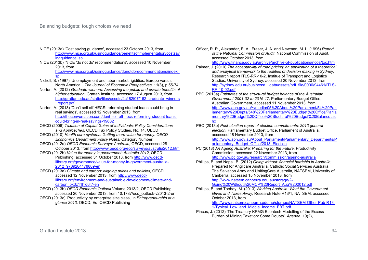- NICE (2013a) 'Cost saving guidance', accessed 23 October 2013, from http://www.nice.org.uk/usingguidance/benefitsofimplementation/costsav ingguidance.jsp
- NICE (2013b) 'NICE 'do not do' recommendations', accessed 10 November 2013, from

http://www.nice.org.uk/usingguidance/donotdorecommendations/index.j sp

- Nickell, S. (1997) 'Unemployment and labor market rigidities: Europe versus North America.', *The Journal of Economic Perspectives*, 11(3), p 55-74
- Norton, A. (2012) *Graduate winners: Assessing the public and private benefits of higher education*, Grattan Institute, accessed 17 August 2013, from http://grattan.edu.au/static/files/assets/4c182f07/162\_graduate\_winners \_report.pdf
- Norton, A. (2013) 'Don't sell off HECS: reforming student loans could bring in real savings', accessed 12 November 2013, from http://theconversation.com/dont-sell-off-hecs-reforming-student-loanscould-bring-in-real-savings-19682
- OECD (2006) *Taxation of Capital Gains of Individuals: Policy Considerations and Approaches,* OECD Tax Policy Studies, No. 14, OECD
- OECD (2010) *Health care systems: Getting more value for money. OECD Economics Department Policy Notes,* Category Number,
- OECD (2012a) *OECD Economic Surveys: Australia*, OECD, accessed 28 October 2013, from http://www.oecd.org/eco/surveys/australia2012.htm
- OECD (2012b) *Value for money in government: Australia 2012*, OECD Publishing, accessed 31 October 2013, from http://www.oecdilibrary.org/governance/value-for-money-in-government-australia-2012\_9789264178809-en
- OECD (2013a) *Climate and carbon: aligning prices and policies*, OECD, accessed 12 November 2013, from http://www.oecdilibrary.org/environment-and-sustainable-development/climate-andcarbon\_5k3z11hjg6r7-en
- OECD (2013b) *OECD Economic Outlook* Volume 2013/2, OECD Publishing, accessed 20 November 2013, from 10.1787/eco\_outlook-v2013-2-en OECD (2013c) 'Productivity by enterprise size class', in *Entrepreneurship at a*

*glance 2013*, OECD, Ed. OECD Publishing

Officer, R. R., Alexander, E. A., Fraser, J. A. and Newman, M. L. (1996) *Report of the National Commission of Audit*, National Commission of Audit, accessed October 2013, from

http://www.finance.gov.au/archive/archive-of-publications/ncoa/toc.htm

- Palmer, J. (2010) *The acceptability of road pricing: an application of a theoretical and analytical framework to the realities of decision making in Sydney*, Research report ITLS-RR-10-2, Institue of Transport and Logistics Studies, University of Sydney, accessed 20 November 2013, from http://sydney.edu.au/business/ data/assets/pdf\_file/0006/94461/ITLS-RR-10-02.pdf
- PBO (2013a) *Estimates of the structural budget balance of the Australian Government 2001-02 to 2016-17,* Parliamentary Budget Office, Australian Government, accessed 11 November 2013, from http://www.aph.gov.au/~/media/05%20About%20Parliament/54%20Parl iamentary%20Depts/548%20Parliamentary%20Budget%20Office/Parlia mentary%20Budget%20Office%20Stuctural%20Budget%20Balance.as hx
- PBO (2013b) *Post-election report of election commitments: 2013 general election,* Parliamentary Budget Office, Parliament of Australia, accessed 18 November 2013, from http://www.aph.gov.au/About\_Parliament/Parliamentary\_Departments/P

arliamentary\_Budget\_Office/2013\_Election

- PC (2013) *An Ageing Australia: Preparing for the Future*, Productivity Commission, accessed 22 November 2013, from http://www.pc.gov.au/research/commission/ageing-australia
- Phillips, B. and Nepal, B. (2012) *Going without: financial hardship in Australia*, Prepared for Anglicare Australia, Catholic Social Services Australia, The Salvation Army and UnitingCare Australia, NATSEM, University of Canberra, accessed 15 November 2013, from

http://www.natsem.canberra.edu.au/storage/2- Going%20Without%20MCP%20Report\_Aug%202012.pdf

Phillips, B. and Toohey, M. (2013) *Working Australia: What the Government Gives and Takes Away*, Research Note R13/1, NATSEM, accessed October 2013, from

http://www.natsem.canberra.edu.au/storage/NATSEM-Other-Pub-R13- 1-Typical Low and Middle Income FBT.pdf

Pincus, J. (2012) 'The Treasury-KPMG Econtech Modelling of the Excess Burden of Mining Taxation: Some Doubts', *Agenda*, 19(2),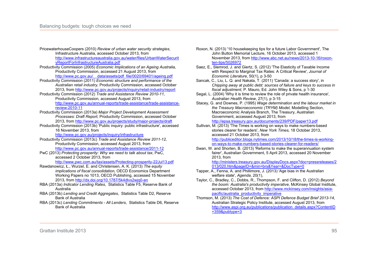- PricewaterhouseCoopers (2010) *Review of urban water security strategies*, Infrastructure Australia, accessed October 2013, from http://www.infrastructureaustralia.gov.au/water/files/UrbanWaterSecurit yReportForInfrastructureAustralia.pdf
- Productivity Commission (2005) *Economic Implications of an Ageing Australia*, Productivity Commission, accessed 21 August 2013, from http://www.pc.gov.au/\_\_data/assets/pdf\_file/0020/69401/ageing.pdf
- Productivity Commission (2011) *Economic structure and performance of the Australian retail industry,* Productivity Commission, accessed October 2013, from http://www.pc.gov.au/projects/inquiry/retail-industry/report
- Productivity Commission (2012) *Trade and Assistance Review 2010-11,*  Productivity Commission, accessed August 2013, from http://www.pc.gov.au/annual-reports/trade-assistance/trade-assistancereview-2010-11
- Productivity Commission (2013a) *Major Project Development Assessment Processes: Draft Report,* Productivity Commission, accessed October 2013, from http://www.pc.gov.au/projects/study/major-projects/draft
- Productivity Commission (2013b) 'Public inquiry: public infrastructure', accessed 16 November 2013, from

http://www.pc.gov.au/projects/inquiry/infrastructure

- Productivity Commission (2013c) *Trade and Assistance Review 2011-12,*  Productivity Commission, accessed August 2013, from http://www.pc.gov.au/annual-reports/trade-assistance/2011-12
- PwC (2013) *Protecting prosperity: Why we need to talk about tax*, PwC, accessed 2 October 2013, from
	- http://www.pwc.com.au/tax/assets/Protecting-prosperity-22Jul13.pdf
- Rawdanowicz, Ł., Wurzel, E. and Christensen, A. K. (2013) *The equity implications of fiscal consolidation,* OECD Economics Department Working Papers no 1013, OECD Publishing, accessed 15 November 2013, from http://dx.doi.org/10.1787/5k4dlvx2wjq0-en
- RBA (2013a) *Indicator Lending Rates*, Statistics Table F5, Reserve Bank of Australia
- RBA (2013b) *Lending and Credit Aggregates*, Statistics Table D2, Reserve Bank of Australia
- RBA (2013c) *Lending Commitments All Lenders*, Statistics Table D6, Reserve Bank of Australia
- Roxon, N. (2013) '10 housekeeping tips for a future Labor Government', The John Button Memorial Lecture, 16 October 2013, accessed 1 November 2013, from http://www.abc.net.au/news/2013-10-16/roxonten-tips/5026972
- Saez, E., Slemrod, J. and Giertz, S. (2012) 'The Elasticity of Taxable Income with Respect to Marginal Tax Rates: A Critical Review', *Journal of Economic Literature*, 50(1), p 3-50
- Sancak, C., Liu, L. Q. and Nakata, T. (2011) 'Canada: a success story', in *Chipping away at public debt: sources of failure and keys to success in fiscal adjustment*, P. Mauro, Ed. John Wiley & Sons, p 1-30
- Segal, L. (2004) 'Why it is time to review the role of private health insurance', *Australian Health Review*, 27(1), p 3-15
- Stacey, G. and Downes, P. (1995) *Wage determination and the labour market in the Treasury Macroeconomic (TRYM) Model,* Modelling Section, Macroeconomic Analysis Branch, The Treasury, Australian Government, accessed August 2013, from

http://epsa.treasury.gov.au/documents/239/PDF/paper13.pdf

Sullivan, M. (2013) 'The Times is working on ways to make numbers-based stories clearer for readers', *New York Times,* 18 October 2013, accessed 21 October 2013, from

http://publiceditor.blogs.nytimes.com/2013/10/18/the-times-is-workingon-ways-to-make-numbers-based-stories-clearer-for-readers/

Swan, W. and Shorten, B. (2013) 'Reforms to make the superannuation system fairer', Australian Government, 5 April 2013, accessed 20 November 2013, from

http://ministers.treasury.gov.au/DisplayDocs.aspx?doc=pressreleases/2 013/020.htm&pageID=&min=brs&Year=&DocType=0

- Tapper, A., Fenna, A. and Phillimore, J. (2013) 'Age bias in the Australian welfare state', *Agenda*, 20(1),
- Taylor, C., Bradley, C., Dobbs, R., Thompson, F. and Clifton, D. (2012) *Beyond the boom: Australia's productivity imperative*, McKinsey Global Institute, accessed October 2013, from http://www.mckinsey.com/insights/asiapacific/australia\_productivity\_imperative
- Thomson, M. (2013) *The Cost of Defence: ASPI Defence Budget Brief 2013-14*, Australian Strategic Policy Institute, accessed August 2013, from http://www.aspi.org.au/publications/publication\_details.aspx?ContentID  $=359$ &pubtype=3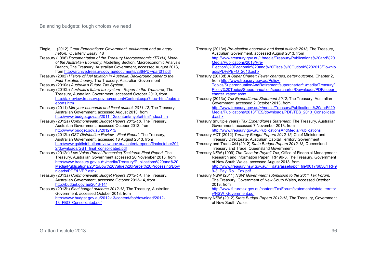- Tingle, L. (2012) *Great Expectations: Government, entitlement and an angry nation*, Quarterly Essay, 48
- Treasury (1996) *Documentation of the Treasury Macroeconomic (TRYM) Model of the Australian Economy,* Modelling Section, Macroeconomic Analysis Branch, The Treasury, Australian Government, accessed August 2013, from http://archive.treasury.gov.au/documents/236/PDF/part01.pdf
- Treasury (2002) *History of fuel taxation in Australia: Background paper to the Fuel Taxation Inquiry,* The Treasury, Australian Government
- Treasury (2010a) *Australia's Future Tax System*,
- Treasury (2010b) *Australia's future tax system Report to the Treasurer,* The Treasury, Australian Government, accessed October 2013, from http://taxreview.treasury.gov.au/content/Content.aspx?doc=html/pubs\_r eports.htm
- Treasury (2011) *Mid-year economic and fiscal outlook 2011-12,* The Treasury, Australian Government, accessed August 2013, from http://www.budget.gov.au/2011-12/content/myefo/html/index.htm
- Treasury (2012a) *Commonwealth Budget Papers 2012-13,* The Treasury, Australian Government, accessed October 2013, from http://www.budget.gov.au/2012-13/
- Treasury (2012b) *GST Distribution Review Final Report,* The Treasury, Australian Government, accessed 18 August 2013, from http://www.gstdistributionreview.gov.au/content/reports/finaloctober201 2/downloads/GST\_final\_consolidated.pdf
- Treasury (2012c) *Low Value Parcel Processing Taskforce Final Report,* The Treasury, Australian Government accessed 20 November 2013, from http://www.treasury.gov.au/~/media/Treasury/Publications%20and%20 Media/Publications/2012/Low%20Value%20Parcel%20Processing/Dow nloads/PDF/LVPP.ashx
- Treasury (2013a) *Commonwealth Budget Papers 2013-14,* The Treasury, Australian Government, accessed October 2013-14, from http://budget.gov.au/2013-14/

Treasury (2013b) *Final budget outcome 2012-13,* The Treasury, Australian Government, accessed October 2013, from http://www.budget.gov.au/2012-13/content/fbo/download/2012- 13\_FBO\_Consolidated.pdf

Treasury (2013c) *Pre-election economic and fiscal outlook 2013,* The Treasury, Australian Government, accessed August 2013, from http://www.treasury.gov.au/~/media/Treasury/Publications%20and%20 Media/Publications/2013/Pre-Election%20Economic%20and%20Fiscal%20Outlook%202013/Downlo ads/PDF/PEFO\_2013.ashx Treasury (2013d) *A Super Charter: Fewer changes, better outcome,* Chapter 2, from http://www.treasury.gov.au/Policy-Topics/SuperannuationAndRetirement/supercharter/~/media/Treasury/ Policy%20Topics/Superannuation/supercharter/Downloads/PDF/super\_ charter\_report.ashx Treasury (2013e) *Tax Expenditures Statement 2012,* The Treasury, Australian Government, accessed 2 October 2013, from http://www.treasury.gov.au/~/media/Treasury/Publications%20and%20 Media/Publications/2013/TES/downloads/PDF/TES\_2013\_Consolidate d.ashx Treasury (multiple years) *Tax Expenditures Statement,* The Treasury, Australian Government, accessed 7 November 2013, from http://www.treasury.gov.au/PublicationsAndMedia/Publications Treasury ACT (2012) *Territory Budget Papers 2012-13,* Chief Minister and Treasury Directorate, Australian Capital Territory Government Treasury and Trade Qld (2012) *State Budget Papers 2012-13,* Queensland Treasury and Trade, Queensland Government Treasury NSW (1999) *The Case for Payroll Tax,* Office of Financial Management Research and Information Paper TRP 99-3, The Treasury, Government of New South Wales, accessed August 2013, from http://www.treasury.nsw.gov.au/\_\_data/assets/pdf\_file/0017/6650/TRP9 9-3 Pay Roll Tax.pdf Treasury NSW (2011) *NSW Government submission to the 2011 Tax Forum,*  The Treasury, Government of New South Wales, accessed October 2013, from http://www.futuretax.gov.au/content/TaxForum/statements/state\_territor

y/NSW\_Government.pdf Treasury NSW (2012) *State Budget Papers 2012-13,* The Treasury, Government of New South Wales